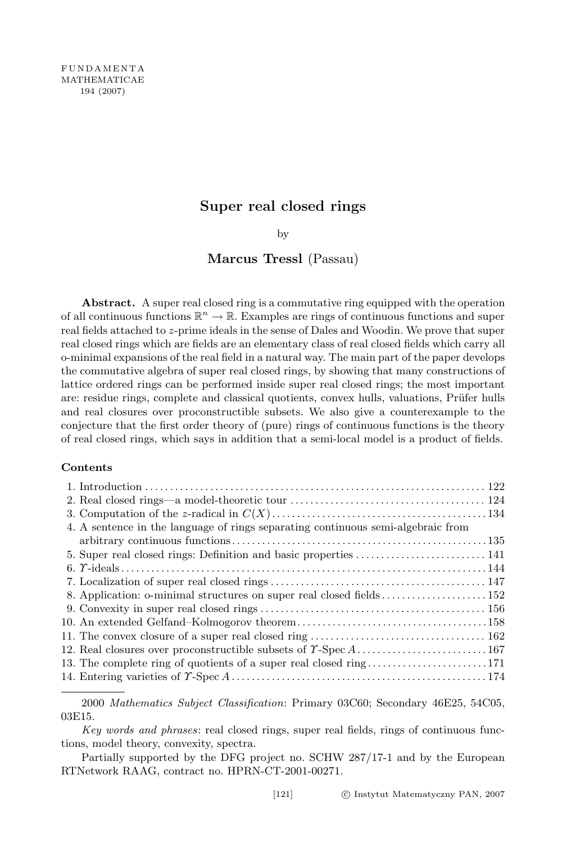## Super real closed rings

by

## Marcus Tressl (Passau)

Abstract. A super real closed ring is a commutative ring equipped with the operation of all continuous functions  $\mathbb{R}^n \to \mathbb{R}$ . Examples are rings of continuous functions and super real fields attached to z-prime ideals in the sense of Dales and Woodin. We prove that super real closed rings which are fields are an elementary class of real closed fields which carry all o-minimal expansions of the real field in a natural way. The main part of the paper develops the commutative algebra of super real closed rings, by showing that many constructions of lattice ordered rings can be performed inside super real closed rings; the most important are: residue rings, complete and classical quotients, convex hulls, valuations, Prüfer hulls and real closures over proconstructible subsets. We also give a counterexample to the conjecture that the first order theory of (pure) rings of continuous functions is the theory of real closed rings, which says in addition that a semi-local model is a product of fields.

#### Contents

| 4. A sentence in the language of rings separating continuous semi-algebraic from |  |
|----------------------------------------------------------------------------------|--|
|                                                                                  |  |
| 5. Super real closed rings: Definition and basic properties  141                 |  |
|                                                                                  |  |
|                                                                                  |  |
|                                                                                  |  |
|                                                                                  |  |
|                                                                                  |  |
|                                                                                  |  |
|                                                                                  |  |
|                                                                                  |  |
|                                                                                  |  |

<sup>2000</sup> Mathematics Subject Classification: Primary 03C60; Secondary 46E25, 54C05, 03E15.

Key words and phrases: real closed rings, super real fields, rings of continuous functions, model theory, convexity, spectra.

Partially supported by the DFG project no. SCHW 287/17-1 and by the European RTNetwork RAAG, contract no. HPRN-CT-2001-00271.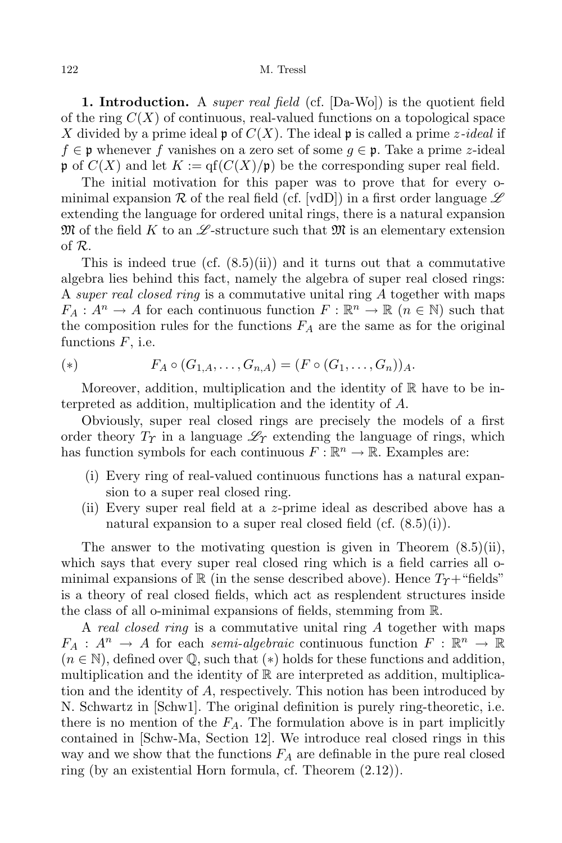**1. Introduction.** A *super real field* (cf.  $[Da-Wo]$ ) is the quotient field of the ring  $C(X)$  of continuous, real-valued functions on a topological space X divided by a prime ideal  $\mathfrak{p}$  of  $C(X)$ . The ideal  $\mathfrak{p}$  is called a prime *z*-ideal if  $f \in \mathfrak{p}$  whenever f vanishes on a zero set of some  $g \in \mathfrak{p}$ . Take a prime z-ideal  $\mathfrak{p}$  of  $C(X)$  and let  $K := \text{qf}(C(X)/\mathfrak{p})$  be the corresponding super real field.

The initial motivation for this paper was to prove that for every ominimal expansion R of the real field (cf. [vdD]) in a first order language  $\mathscr L$ extending the language for ordered unital rings, there is a natural expansion  $\mathfrak{M}$  of the field K to an  $\mathscr{L}$ -structure such that  $\mathfrak{M}$  is an elementary extension of R.

This is indeed true (cf.  $(8.5)(ii)$ ) and it turns out that a commutative algebra lies behind this fact, namely the algebra of super real closed rings: A super real closed ring is a commutative unital ring A together with maps  $F_A: A^n \to A$  for each continuous function  $F: \mathbb{R}^n \to \mathbb{R}$   $(n \in \mathbb{N})$  such that the composition rules for the functions  $F_A$  are the same as for the original functions  $F$ , i.e.

(\*) 
$$
F_A \circ (G_{1,A}, \ldots, G_{n,A}) = (F \circ (G_1, \ldots, G_n))_A.
$$

Moreover, addition, multiplication and the identity of  $\mathbb R$  have to be interpreted as addition, multiplication and the identity of A.

Obviously, super real closed rings are precisely the models of a first order theory  $T_{\gamma}$  in a language  $\mathscr{L}_{\gamma}$  extending the language of rings, which has function symbols for each continuous  $F : \mathbb{R}^n \to \mathbb{R}$ . Examples are:

- (i) Every ring of real-valued continuous functions has a natural expansion to a super real closed ring.
- (ii) Every super real field at a z-prime ideal as described above has a natural expansion to a super real closed field (cf.  $(8.5)(i)$ ).

The answer to the motivating question is given in Theorem  $(8.5)(ii)$ , which says that every super real closed ring which is a field carries all ominimal expansions of R (in the sense described above). Hence  $T\gamma$ + "fields" is a theory of real closed fields, which act as resplendent structures inside the class of all o-minimal expansions of fields, stemming from R.

A real closed ring is a commutative unital ring A together with maps  $F_A: A^n \to A$  for each semi-algebraic continuous function  $F: \mathbb{R}^n \to \mathbb{R}$  $(n \in \mathbb{N})$ , defined over  $\mathbb{Q}$ , such that  $(*)$  holds for these functions and addition, multiplication and the identity of  $\mathbb R$  are interpreted as addition, multiplication and the identity of A, respectively. This notion has been introduced by N. Schwartz in [Schw1]. The original definition is purely ring-theoretic, i.e. there is no mention of the  $F_A$ . The formulation above is in part implicitly contained in [Schw-Ma, Section 12]. We introduce real closed rings in this way and we show that the functions  $F_A$  are definable in the pure real closed ring (by an existential Horn formula, cf. Theorem (2.12)).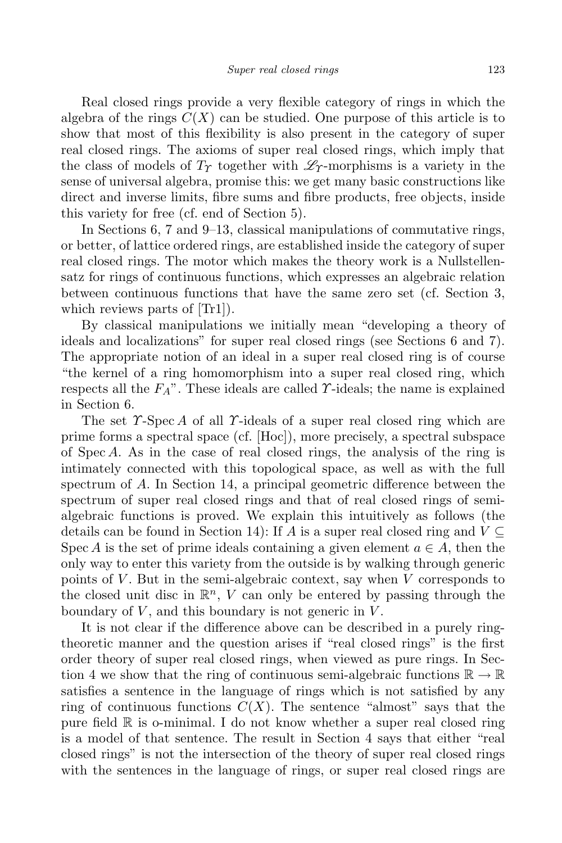Real closed rings provide a very flexible category of rings in which the algebra of the rings  $C(X)$  can be studied. One purpose of this article is to show that most of this flexibility is also present in the category of super real closed rings. The axioms of super real closed rings, which imply that the class of models of  $T<sub>\Upsilon</sub>$  together with  $\mathscr{L}_{\Upsilon}$ -morphisms is a variety in the sense of universal algebra, promise this: we get many basic constructions like direct and inverse limits, fibre sums and fibre products, free objects, inside this variety for free (cf. end of Section 5).

In Sections 6, 7 and 9–13, classical manipulations of commutative rings, or better, of lattice ordered rings, are established inside the category of super real closed rings. The motor which makes the theory work is a Nullstellensatz for rings of continuous functions, which expresses an algebraic relation between continuous functions that have the same zero set (cf. Section 3, which reviews parts of [Tr1]).

By classical manipulations we initially mean "developing a theory of ideals and localizations" for super real closed rings (see Sections 6 and 7). The appropriate notion of an ideal in a super real closed ring is of course "the kernel of a ring homomorphism into a super real closed ring, which respects all the  $F_A$ ". These ideals are called  $\gamma$ -ideals; the name is explained in Section 6.

The set  $\Upsilon$ -Spec A of all  $\Upsilon$ -ideals of a super real closed ring which are prime forms a spectral space (cf. [Hoc]), more precisely, a spectral subspace of Spec A. As in the case of real closed rings, the analysis of the ring is intimately connected with this topological space, as well as with the full spectrum of A. In Section 14, a principal geometric difference between the spectrum of super real closed rings and that of real closed rings of semialgebraic functions is proved. We explain this intuitively as follows (the details can be found in Section 14): If A is a super real closed ring and  $V \subseteq$ Spec A is the set of prime ideals containing a given element  $a \in A$ , then the only way to enter this variety from the outside is by walking through generic points of  $V$ . But in the semi-algebraic context, say when  $V$  corresponds to the closed unit disc in  $\mathbb{R}^n$ , V can only be entered by passing through the boundary of  $V$ , and this boundary is not generic in  $V$ .

It is not clear if the difference above can be described in a purely ringtheoretic manner and the question arises if "real closed rings" is the first order theory of super real closed rings, when viewed as pure rings. In Section 4 we show that the ring of continuous semi-algebraic functions  $\mathbb{R} \to \mathbb{R}$ satisfies a sentence in the language of rings which is not satisfied by any ring of continuous functions  $C(X)$ . The sentence "almost" says that the pure field R is o-minimal. I do not know whether a super real closed ring is a model of that sentence. The result in Section 4 says that either "real closed rings" is not the intersection of the theory of super real closed rings with the sentences in the language of rings, or super real closed rings are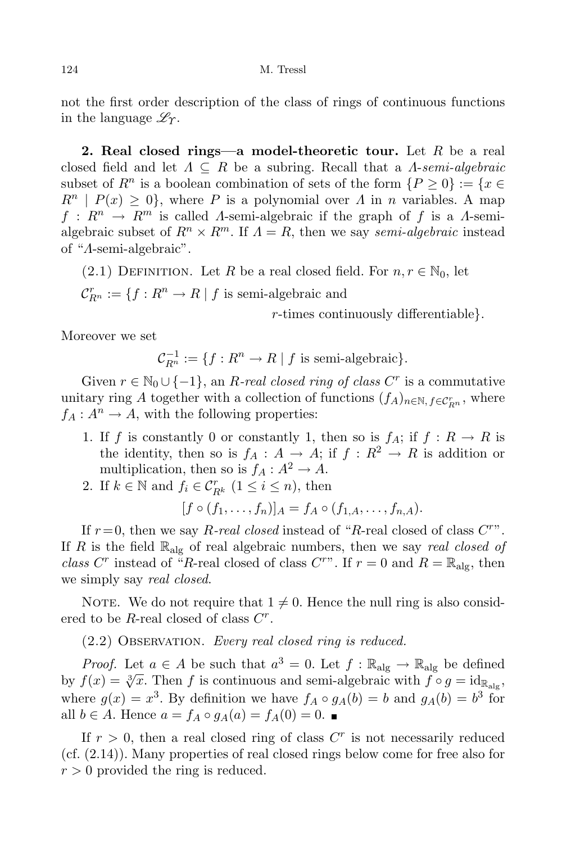not the first order description of the class of rings of continuous functions in the language  $\mathscr{L}_{\Upsilon}$ .

**2. Real closed rings—a model-theoretic tour.** Let R be a real closed field and let  $\Lambda \subseteq R$  be a subring. Recall that a  $\Lambda$ -semi-algebraic subset of  $R^n$  is a boolean combination of sets of the form  $\{P \geq 0\} := \{x \in \mathbb{R}^n : P(x) \geq 0\}$  $R^n \mid P(x) \geq 0$ , where P is a polynomial over  $\Lambda$  in n variables. A map  $f: R^n \to R^m$  is called A-semi-algebraic if the graph of f is a A-semialgebraic subset of  $R^n \times R^m$ . If  $\Lambda = R$ , then we say *semi-algebraic* instead of "Λ-semi-algebraic".

(2.1) DEFINITION. Let R be a real closed field. For  $n, r \in \mathbb{N}_0$ , let  $\mathcal{C}_{R^n}^r := \{f: R^n \to R \mid f \text{ is semi-algebraic and }\}$ 

r-times continuously differentiable}.

Moreover we set

$$
\mathcal{C}_{R^n}^{-1} := \{ f : R^n \to R \mid f \text{ is semi-algebraic} \}.
$$

Given  $r \in \mathbb{N}_0 \cup \{-1\}$ , an *R-real closed ring of class C<sup>r</sup>* is a commutative unitary ring A together with a collection of functions  $(f_A)_{n \in \mathbb{N}, f \in \mathcal{C}_{R^n}^r}$ , where  $f_A: A^n \to A$ , with the following properties:

- 1. If f is constantly 0 or constantly 1, then so is  $f_A$ ; if  $f: R \to R$  is the identity, then so is  $f_A: A \to A$ ; if  $f: R^2 \to R$  is addition or multiplication, then so is  $f_A: A^2 \to A$ .
- 2. If  $k \in \mathbb{N}$  and  $f_i \in \mathcal{C}_{R^k}^r$   $(1 \leq i \leq n)$ , then

$$
[f\circ (f_1,\ldots,f_n)]_A=f_A\circ (f_{1,A},\ldots,f_{n,A}).
$$

If  $r=0$ , then we say R-real closed instead of "R-real closed of class  $C^{r}$ ". If R is the field  $\mathbb{R}_{\text{alg}}$  of real algebraic numbers, then we say real closed of class C<sup>r</sup> instead of "R-real closed of class C<sup>r"</sup>. If  $r = 0$  and  $R = \mathbb{R}_{\text{alg}}$ , then we simply say *real closed*.

NOTE. We do not require that  $1 \neq 0$ . Hence the null ring is also considered to be  $R$ -real closed of class  $C^r$ .

 $(2.2)$  Observation. Every real closed ring is reduced.

*Proof.* Let  $a \in A$  be such that  $a^3 = 0$ . Let  $f : \mathbb{R}_{\text{alg}} \to \mathbb{R}_{\text{alg}}$  be defined by  $f(x) = \sqrt[3]{x}$ . Then f is continuous and semi-algebraic with  $f \circ g = id_{\mathbb{R}_{\text{alg}}}$ , where  $g(x) = x^3$ . By definition we have  $f_A \circ g_A(b) = b$  and  $g_A(b) = b^3$  for all  $b \in A$ . Hence  $a = f_A \circ g_A(a) = f_A(0) = 0$ . ■

If  $r > 0$ , then a real closed ring of class  $C<sup>r</sup>$  is not necessarily reduced (cf. (2.14)). Many properties of real closed rings below come for free also for  $r > 0$  provided the ring is reduced.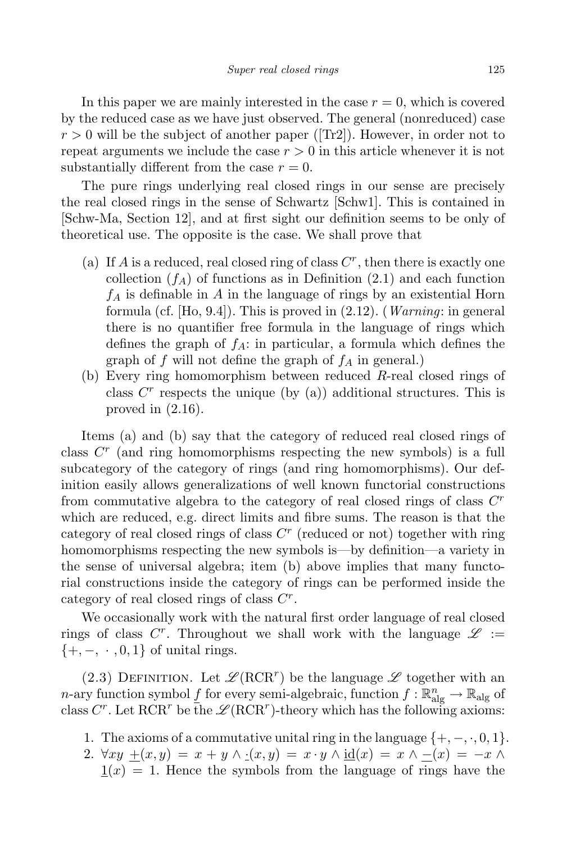In this paper we are mainly interested in the case  $r = 0$ , which is covered by the reduced case as we have just observed. The general (nonreduced) case  $r > 0$  will be the subject of another paper ([Tr2]). However, in order not to repeat arguments we include the case  $r > 0$  in this article whenever it is not substantially different from the case  $r = 0$ .

The pure rings underlying real closed rings in our sense are precisely the real closed rings in the sense of Schwartz [Schw1]. This is contained in [Schw-Ma, Section 12], and at first sight our definition seems to be only of theoretical use. The opposite is the case. We shall prove that

- (a) If A is a reduced, real closed ring of class  $C^r$ , then there is exactly one collection  $(f_A)$  of functions as in Definition (2.1) and each function  $f_A$  is definable in A in the language of rings by an existential Horn formula (cf. [Ho, 9.4]). This is proved in (2.12). (Warning: in general there is no quantifier free formula in the language of rings which defines the graph of  $f_A$ : in particular, a formula which defines the graph of f will not define the graph of  $f_A$  in general.)
- (b) Every ring homomorphism between reduced R-real closed rings of class  $C<sup>r</sup>$  respects the unique (by (a)) additional structures. This is proved in (2.16).

Items (a) and (b) say that the category of reduced real closed rings of class  $C<sup>r</sup>$  (and ring homomorphisms respecting the new symbols) is a full subcategory of the category of rings (and ring homomorphisms). Our definition easily allows generalizations of well known functorial constructions from commutative algebra to the category of real closed rings of class  $C<sup>r</sup>$ which are reduced, e.g. direct limits and fibre sums. The reason is that the category of real closed rings of class  $C<sup>r</sup>$  (reduced or not) together with ring homomorphisms respecting the new symbols is—by definition—a variety in the sense of universal algebra; item (b) above implies that many functorial constructions inside the category of rings can be performed inside the category of real closed rings of class  $C^r$ .

We occasionally work with the natural first order language of real closed rings of class C<sup>r</sup>. Throughout we shall work with the language  $\mathscr{L}$  :=  $\{+, -, \cdot, 0, 1\}$  of unital rings.

(2.3) DEFINITION. Let  $\mathscr{L}(\text{RCR}^r)$  be the language  $\mathscr{L}$  together with an n-ary function symbol  $\underline{f}$  for every semi-algebraic, function  $f : \mathbb{R}^n_{\text{alg}} \to \mathbb{R}_{\text{alg}}$  of class  $C^r$ . Let RCR<sup>r</sup> be the  $\mathscr{L}(RCR^r)$ -theory which has the following axioms:

- 1. The axioms of a commutative unital ring in the language  $\{+,-,\cdot,0,1\}$ .
- 2.  $\forall xy \; + (x, y) = x + y \land (x, y) = x \cdot y \land \underline{\text{id}}(x) = x \land (x) = -x \land$  $1(x) = 1$ . Hence the symbols from the language of rings have the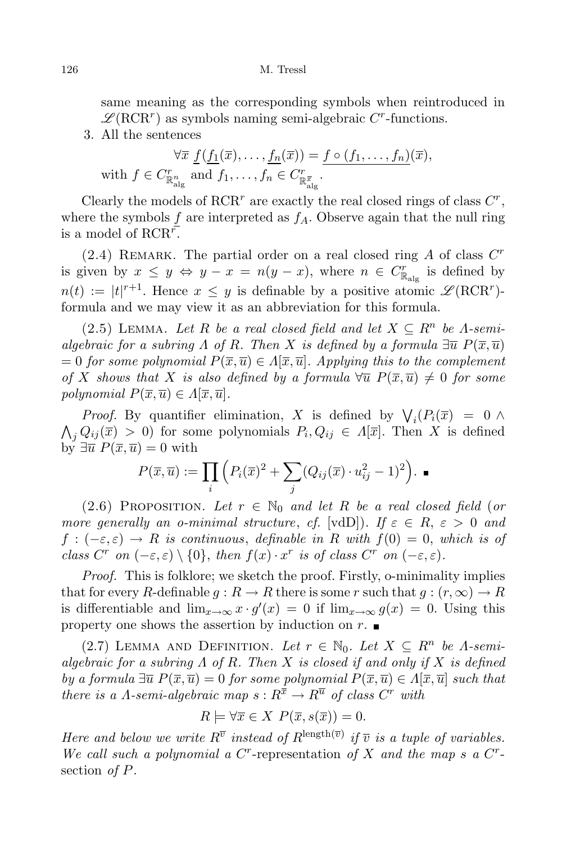same meaning as the corresponding symbols when reintroduced in  $\mathscr{L}(\text{RCR}^r)$  as symbols naming semi-algebraic  $C^r$ -functions.

3. All the sentences

$$
\forall \overline{x} \underline{f}(\underline{f_1}(\overline{x}), \dots, \underline{f_n}(\overline{x})) = \underline{f} \circ (f_1, \dots, f_n)(\overline{x}),
$$
  
with  $f \in C_{\mathbb{R}^n_{\text{alg}}}$  and  $f_1, \dots, f_n \in C_{\mathbb{R}^{\overline{x}}_{\text{alg}}}$ .

Clearly the models of  $RCR^r$  are exactly the real closed rings of class  $C^r$ , where the symbols f are interpreted as  $f_A$ . Observe again that the null ring is a model of  $RCR^r$ .

 $(2.4)$  REMARK. The partial order on a real closed ring A of class  $C<sup>r</sup>$ is given by  $x \leq y \Leftrightarrow y - x = n(y - x)$ , where  $n \in C_{\mathbb{R}_{\text{alg}}}^r$  is defined by  $n(t) := |t|^{r+1}$ . Hence  $x \leq y$  is definable by a positive atomic  $\mathscr{L}(\text{RCR}^r)$ formula and we may view it as an abbreviation for this formula.

(2.5) LEMMA. Let R be a real closed field and let  $X \subseteq R^n$  be  $\Lambda$ -semialgebraic for a subring  $\Lambda$  of R. Then X is defined by a formula  $\exists \overline{u} P(\overline{x}, \overline{u})$  $= 0$  for some polynomial  $P(\overline{x}, \overline{u}) \in \Lambda[\overline{x}, \overline{u}]$ . Applying this to the complement of X shows that X is also defined by a formula  $\forall \overline{u} P(\overline{x}, \overline{u}) \neq 0$  for some polynomial  $P(\overline{x}, \overline{u}) \in \Lambda[\overline{x}, \overline{u}]$ .

*Proof.* By quantifier elimination, X is defined by  $\bigvee_i (P_i(\overline{x}) = 0 \wedge$  $\bigwedge_j Q_{ij}(\overline{x}) > 0$  for some polynomials  $P_i, Q_{ij} \in \Lambda[\overline{x}]$ . Then X is defined by  $\exists \overline{u} P(\overline{x}, \overline{u}) = 0$  with

$$
P(\overline{x}, \overline{u}) := \prod_i \left( P_i(\overline{x})^2 + \sum_j (Q_{ij}(\overline{x}) \cdot u_{ij}^2 - 1)^2 \right). \blacksquare
$$

(2.6) PROPOSITION. Let  $r \in \mathbb{N}_0$  and let R be a real closed field (or more generally an o-minimal structure, cf. [vdD]). If  $\varepsilon \in R$ ,  $\varepsilon > 0$  and  $f:(-\varepsilon,\varepsilon)\to R$  is continuous, definable in R with  $f(0)=0$ , which is of class  $C^r$  on  $(-\varepsilon,\varepsilon) \setminus \{0\}$ , then  $f(x) \cdot x^r$  is of class  $C^r$  on  $(-\varepsilon,\varepsilon)$ .

Proof. This is folklore; we sketch the proof. Firstly, o-minimality implies that for every R-definable  $g: R \to R$  there is some r such that  $g: (r, \infty) \to R$ is differentiable and  $\lim_{x\to\infty} x \cdot g'(x) = 0$  if  $\lim_{x\to\infty} g(x) = 0$ . Using this property one shows the assertion by induction on  $r$ .

(2.7) LEMMA AND DEFINITION. Let  $r \in \mathbb{N}_0$ . Let  $X \subseteq R^n$  be A-semialgebraic for a subring  $\Lambda$  of R. Then X is closed if and only if X is defined by a formula  $\exists \overline{u} P(\overline{x}, \overline{u}) = 0$  for some polynomial  $P(\overline{x}, \overline{u}) \in \Lambda[\overline{x}, \overline{u}]$  such that there is a  $\Lambda$ -semi-algebraic map  $s: R^{\overline{x}} \to R^{\overline{u}}$  of class  $C^r$  with

$$
R \models \forall \overline{x} \in X \ P(\overline{x}, s(\overline{x})) = 0.
$$

Here and below we write  $R^{\overline{v}}$  instead of  $R^{\text{length}(\overline{v})}$  if  $\overline{v}$  is a tuple of variables. We call such a polynomial a C<sup>r</sup>-representation of X and the map s a C<sup>r</sup>section of  $P$ .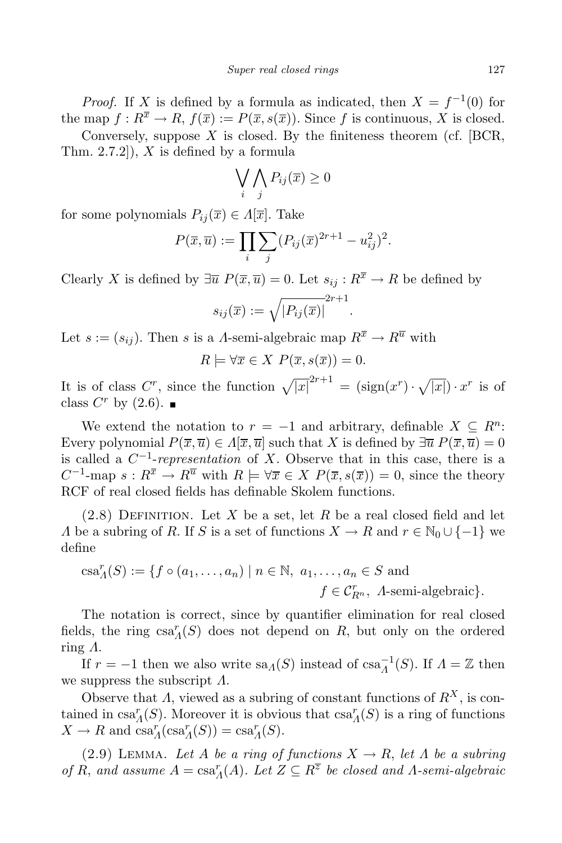*Proof.* If X is defined by a formula as indicated, then  $X = f^{-1}(0)$  for the map  $f: R^{\overline{x}} \to R$ ,  $f(\overline{x}) := P(\overline{x}, s(\overline{x}))$ . Since f is continuous, X is closed.

Conversely, suppose  $X$  is closed. By the finiteness theorem (cf. [BCR, Thm.  $2.7.2$ , X is defined by a formula

$$
\bigvee_i \bigwedge_j P_{ij}(\overline{x}) \ge 0
$$

for some polynomials  $P_{ij}(\overline{x}) \in \Lambda[\overline{x}]$ . Take

$$
P(\overline{x}, \overline{u}) := \prod_{i} \sum_{j} (P_{ij}(\overline{x})^{2r+1} - u_{ij}^{2})^{2}.
$$

Clearly X is defined by  $\exists \overline{u} P(\overline{x}, \overline{u}) = 0$ . Let  $s_{ij} : R^{\overline{x}} \to R$  be defined by

$$
s_{ij}(\overline{x}) := \sqrt{|P_{ij}(\overline{x})|}^{2r+1}
$$

.

Let  $s := (s_{ij})$ . Then s is a A-semi-algebraic map  $R^{\overline{x}} \to R^{\overline{u}}$  with

$$
R \models \forall \overline{x} \in X \ P(\overline{x}, s(\overline{x})) = 0.
$$

It is of class C<sup>r</sup>, since the function  $\sqrt{|x|}^{2r+1} = (\text{sign}(x^r) \cdot \sqrt{|x|}) \cdot x^r$  is of class  $C^r$  by  $(2.6)$ .

We extend the notation to  $r = -1$  and arbitrary, definable  $X \subseteq R^n$ : Every polynomial  $P(\overline{x}, \overline{u}) \in A[\overline{x}, \overline{u}]$  such that X is defined by  $\exists \overline{u} P(\overline{x}, \overline{u}) = 0$ is called a  $C^{-1}$ -representation of X. Observe that in this case, there is a  $C^{-1}$ -map  $s: R^{\overline{x}} \to R^{\overline{u}}$  with  $R \models \forall \overline{x} \in X$   $P(\overline{x}, s(\overline{x})) = 0$ , since the theory RCF of real closed fields has definable Skolem functions.

 $(2.8)$  DEFINITION. Let X be a set, let R be a real closed field and let A be a subring of R. If S is a set of functions  $X \to R$  and  $r \in \mathbb{N}_0 \cup \{-1\}$  we define

$$
csaAr(S) := \{ f \circ (a_1, ..., a_n) \mid n \in \mathbb{N}, a_1, ..., a_n \in S \text{ and}
$$

$$
f \in C_{R^n}^r, \text{ A-semi-algebraic} \}.
$$

The notation is correct, since by quantifier elimination for real closed fields, the ring  $csa<sub>A</sub><sup>r</sup>(S)$  does not depend on R, but only on the ordered ring Λ.

If  $r = -1$  then we also write  $sa<sub>A</sub>(S)$  instead of  $csa<sub>A</sub><sup>-1</sup>(S)$ . If  $\Lambda = \mathbb{Z}$  then we suppress the subscript  $\Lambda$ .

Observe that  $\Lambda$ , viewed as a subring of constant functions of  $R^X$ , is contained in  $csa<sub>A</sub><sup>r</sup>(S)$ . Moreover it is obvious that  $csa<sub>A</sub><sup>r</sup>(S)$  is a ring of functions  $X \to R$  and  $csa_A^r (csa_A^r(S)) = csa_A^r(S)$ .

(2.9) LEMMA. Let A be a ring of functions  $X \to R$ , let A be a subring of R, and assume  $A = \text{csa}_A^r(A)$ . Let  $Z \subseteq R^{\overline{z}}$  be closed and  $\Lambda$ -semi-algebraic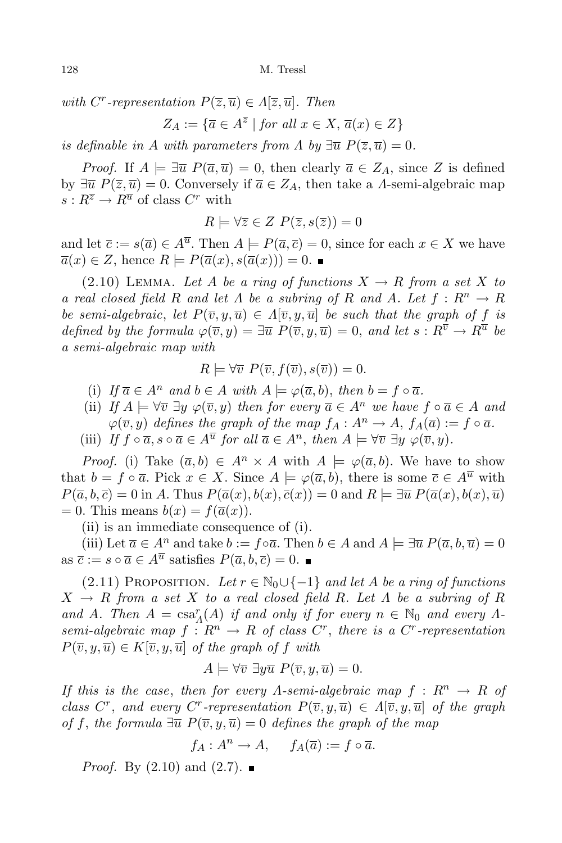with C<sup>r</sup>-representation  $P(\overline{z}, \overline{u}) \in \Lambda[\overline{z}, \overline{u}]$ . Then

 $Z_A := \{ \overline{a} \in A^{\overline{z}} \mid \text{for all } x \in X, \, \overline{a}(x) \in Z \}$ 

is definable in A with parameters from  $\Lambda$  by  $\exists \overline{u} P(\overline{z}, \overline{u}) = 0$ .

*Proof.* If  $A \models \exists \overline{u} P(\overline{a}, \overline{u}) = 0$ , then clearly  $\overline{a} \in Z_A$ , since Z is defined by  $\exists \overline{u} P(\overline{z}, \overline{u}) = 0$ . Conversely if  $\overline{a} \in Z_A$ , then take a *A*-semi-algebraic map  $s: R^{\overline{z}} \to R^{\overline{u}}$  of class  $C^r$  with

$$
R \models \forall \overline{z} \in Z \ P(\overline{z}, s(\overline{z})) = 0
$$

and let  $\overline{c} := s(\overline{a}) \in A^{\overline{u}}$ . Then  $A \models P(\overline{a}, \overline{c}) = 0$ , since for each  $x \in X$  we have  $\overline{a}(x) \in Z$ , hence  $R \models P(\overline{a}(x), s(\overline{a}(x))) = 0$ .

(2.10) LEMMA. Let A be a ring of functions  $X \to R$  from a set X to a real closed field R and let  $\Lambda$  be a subring of R and A. Let  $f: R^n \to R$ be semi-algebraic, let  $P(\overline{v}, y, \overline{u}) \in A[\overline{v}, y, \overline{u}]$  be such that the graph of f is defined by the formula  $\varphi(\overline{v}, y) = \exists \overline{u} P(\overline{v}, y, \overline{u}) = 0$ , and let  $s : R^{\overline{v}} \to R^{\overline{u}}$  be a semi-algebraic map with

$$
R \models \forall \overline{v} \ P(\overline{v}, f(\overline{v}), s(\overline{v})) = 0.
$$

- (i) If  $\overline{a} \in A^n$  and  $b \in A$  with  $A \models \varphi(\overline{a}, b)$ , then  $b = f \circ \overline{a}$ .
- (ii) If  $A \models \forall \overline{v} \exists y \varphi(\overline{v}, y)$  then for every  $\overline{a} \in A^n$  we have  $f \circ \overline{a} \in A$  and  $\varphi(\overline{v}, y)$  defines the graph of the map  $f_A : A^n \to A$ ,  $f_A(\overline{a}) := f \circ \overline{a}$ .
- (iii) If  $f \circ \overline{a}$ ,  $s \circ \overline{a} \in A^{\overline{u}}$  for all  $\overline{a} \in A^n$ , then  $A \models \forall \overline{v} \exists y \varphi(\overline{v}, y)$ .

*Proof.* (i) Take  $(\bar{a}, b) \in A^n \times A$  with  $A \models \varphi(\bar{a}, b)$ . We have to show that  $b = f \circ \overline{a}$ . Pick  $x \in X$ . Since  $A \models \varphi(\overline{a}, b)$ , there is some  $\overline{c} \in A^{\overline{u}}$  with  $P(\overline{a}, b, \overline{c}) = 0$  in A. Thus  $P(\overline{a}(x), b(x), \overline{c}(x)) = 0$  and  $R \models \exists \overline{u} P(\overline{a}(x), b(x), \overline{u})$  $= 0$ . This means  $b(x) = f(\overline{a}(x))$ .

(ii) is an immediate consequence of (i).

(iii) Let  $\overline{a} \in A^n$  and take  $b := f \circ \overline{a}$ . Then  $b \in A$  and  $A \models \exists \overline{u} P(\overline{a}, b, \overline{u}) = 0$ as  $\overline{c} := s \circ \overline{a} \in A^{\overline{u}}$  satisfies  $P(\overline{a}, b, \overline{c}) = 0$ .

(2.11) PROPOSITION. Let  $r \in \mathbb{N}_0 \cup \{-1\}$  and let A be a ring of functions  $X \rightarrow R$  from a set X to a real closed field R. Let  $\Lambda$  be a subring of R and A. Then  $A = \text{csa}_{A}^{r}(A)$  if and only if for every  $n \in \mathbb{N}_{0}$  and every  $\Lambda$  $semi-algebraic map f: R<sup>n</sup> \to R$  of class  $C<sup>r</sup>$ , there is a  $C<sup>r</sup>$ -representation  $P(\overline{v}, y, \overline{u}) \in K[\overline{v}, y, \overline{u}]$  of the graph of f with

$$
A \models \forall \overline{v} \; \exists y \overline{u} \; P(\overline{v}, y, \overline{u}) = 0.
$$

If this is the case, then for every A-semi-algebraic map  $f: R^n \to R$  of class  $C^r$ , and every  $C^r$ -representation  $P(\overline{v}, y, \overline{u}) \in \Lambda[\overline{v}, y, \overline{u}]$  of the graph of f, the formula  $\exists \overline{u} P(\overline{v}, y, \overline{u}) = 0$  defines the graph of the map

$$
f_A: A^n \to A
$$
,  $f_A(\overline{a}) := f \circ \overline{a}$ .

*Proof.* By  $(2.10)$  and  $(2.7)$ .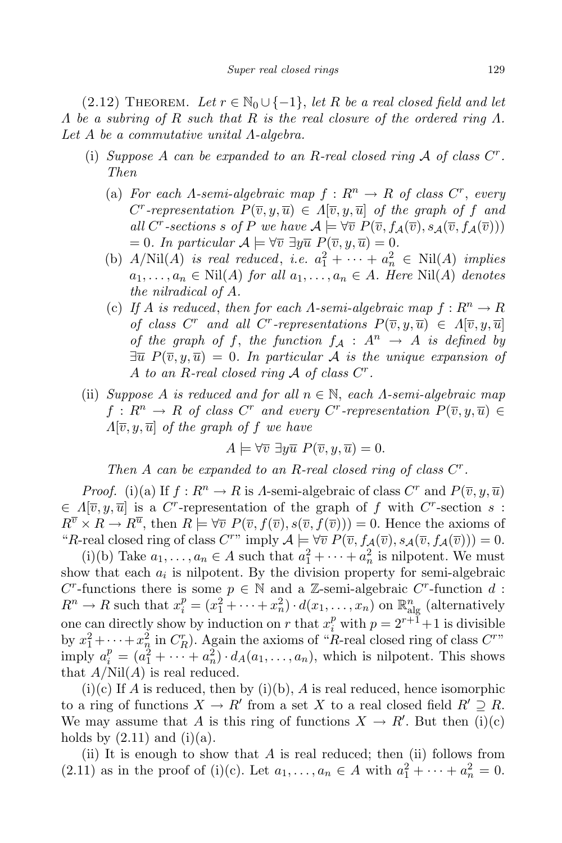(2.12) THEOREM. Let  $r \in \mathbb{N}_0 \cup \{-1\}$ , let R be a real closed field and let  $\Lambda$  be a subring of R such that R is the real closure of the ordered ring  $\Lambda$ . Let  $A$  be a commutative unital  $A$ -algebra.

- (i) Suppose A can be expanded to an R-real closed ring  $A$  of class  $C^r$ . Then
	- (a) For each  $\Lambda$ -semi-algebraic map  $f: R^n \to R$  of class  $C^r$ , every  $C^r$ -representation  $P(\overline{v}, y, \overline{u}) \in \Lambda[\overline{v}, y, \overline{u}]$  of the graph of f and all C<sup>r</sup>-sections s of P we have  $\mathcal{A} \models \forall \overline{v} \ P(\overline{v}, f_{\mathcal{A}}(\overline{v}), s_{\mathcal{A}}(\overline{v}, f_{\mathcal{A}}(\overline{v})))$ = 0. In particular  $\mathcal{A} \models \forall \overline{v} \exists y \overline{u} P(\overline{v}, y, \overline{u}) = 0.$
	- (b)  $A/Nil(A)$  is real reduced, i.e.  $a_1^2 + \cdots + a_n^2 \in Nil(A)$  implies  $a_1, \ldots, a_n \in Nil(A)$  for all  $a_1, \ldots, a_n \in A$ . Here  $Nil(A)$  denotes the nilradical of A.
	- (c) If A is reduced, then for each  $\Lambda$ -semi-algebraic map  $f: \mathbb{R}^n \to \mathbb{R}$ of class  $C^r$  and all  $C^r$ -representations  $P(\overline{v}, y, \overline{u}) \in \Lambda[\overline{v}, y, \overline{u}]$ of the graph of f, the function  $f_A : A^n \rightarrow A$  is defined by  $\exists \overline{u} P(\overline{v}, y, \overline{u}) = 0$ . In particular A is the unique expansion of A to an R-real closed ring  $\mathcal A$  of class  $C^r$ .
- (ii) Suppose A is reduced and for all  $n \in \mathbb{N}$ , each A-semi-algebraic map  $f: R^n \to R$  of class  $C^r$  and every  $C^r$ -representation  $P(\overline{v}, y, \overline{u}) \in$  $\Lambda[\overline{v}, y, \overline{u}]$  of the graph of f we have

$$
A \models \forall \overline{v} \; \exists y \overline{u} \; P(\overline{v}, y, \overline{u}) = 0.
$$

Then  $A$  can be expanded to an  $R$ -real closed ring of class  $C^r$ .

*Proof.* (i)(a) If  $f : R^n \to R$  is A-semi-algebraic of class  $C^r$  and  $P(\overline{v}, y, \overline{u})$  $\in \Lambda[\overline{v}, y, \overline{u}]$  is a C<sup>r</sup>-representation of the graph of f with C<sup>r</sup>-section s :  $R^{\overline{v}} \times R \to R^{\overline{u}}$ , then  $R \models \forall \overline{v} \; P(\overline{v}, f(\overline{v}), s(\overline{v}, f(\overline{v}))) = 0$ . Hence the axioms of "R-real closed ring of class  $C^{r}$ " imply  $\mathcal{A} \models \forall \overline{v} P(\overline{v}, f_{\mathcal{A}}(\overline{v}), s_{\mathcal{A}}(\overline{v}, f_{\mathcal{A}}(\overline{v}))) = 0.$ 

(i)(b) Take  $a_1, \ldots, a_n \in A$  such that  $a_1^2 + \cdots + a_n^2$  is nilpotent. We must show that each  $a_i$  is nilpotent. By the division property for semi-algebraic  $C^r$ -functions there is some  $p \in \mathbb{N}$  and a Z-semi-algebraic  $C^r$ -function d:  $R^n \to R$  such that  $x_i^p = (x_1^2 + \cdots + x_n^2) \cdot d(x_1, \ldots, x_n)$  on  $\mathbb{R}^n_{\text{alg}}$  (alternatively one can directly show by induction on r that  $x_i^p$  with  $p = 2^{r+1} + 1$  is divisible by  $x_1^2 + \cdots + x_n^2$  in  $C_R^r$ ). Again the axioms of "R-real closed ring of class  $C^{r}$ " imply  $a_i^p = (a_1^2 + \cdots + a_n^2) \cdot d_A(a_1, \ldots, a_n)$ , which is nilpotent. This shows that  $A/Nil(A)$  is real reduced.

 $(i)(c)$  If A is reduced, then by  $(i)(b)$ , A is real reduced, hence isomorphic to a ring of functions  $X \to R'$  from a set X to a real closed field  $R' \supseteq R$ . We may assume that A is this ring of functions  $X \to R'$ . But then (i)(c) holds by  $(2.11)$  and  $(i)(a)$ .

(ii) It is enough to show that  $A$  is real reduced; then (ii) follows from (2.11) as in the proof of (i)(c). Let  $a_1, ..., a_n \in A$  with  $a_1^2 + ... + a_n^2 = 0$ .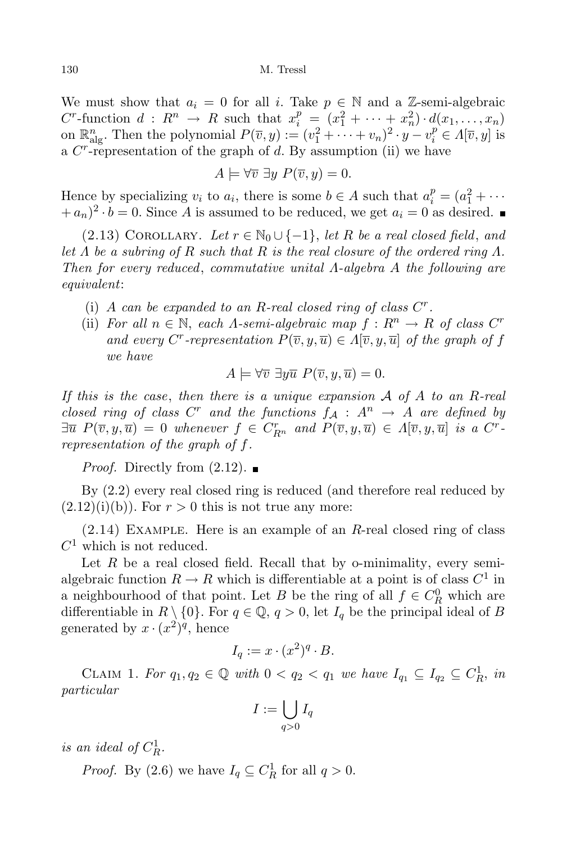We must show that  $a_i = 0$  for all i. Take  $p \in \mathbb{N}$  and a Z-semi-algebraic  $C^r$ -function  $d: R^n \to R$  such that  $x_i^p = (x_1^2 + \cdots + x_n^2) \cdot d(x_1, \ldots, x_n)$ on  $\mathbb{R}^n_{\text{alg}}$ . Then the polynomial  $P(\overline{v}, y) := (v_1^2 + \cdots + v_n)^2 \cdot y - v_i^p \in \Lambda[\overline{v}, y]$  is a  $C^r$ -representation of the graph of d. By assumption (ii) we have

$$
A \models \forall \overline{v} \; \exists y \; P(\overline{v}, y) = 0.
$$

Hence by specializing  $v_i$  to  $a_i$ , there is some  $b \in A$  such that  $a_i^p = (a_1^2 + \cdots$  $(a + a_n)^2 \cdot b = 0$ . Since A is assumed to be reduced, we get  $a_i = 0$  as desired.

(2.13) COROLLARY. Let  $r \in \mathbb{N}_0 \cup \{-1\}$ , let R be a real closed field, and let  $\Lambda$  be a subring of R such that R is the real closure of the ordered ring  $\Lambda$ . Then for every reduced, commutative unital  $\Lambda$ -algebra  $\Lambda$  the following are equivalent:

- (i) A can be expanded to an R-real closed ring of class  $C<sup>r</sup>$ .
- (ii) For all  $n \in \mathbb{N}$ , each  $\Lambda$ -semi-algebraic map  $f: R^n \to R$  of class  $C^r$ and every  $C^r$ -representation  $P(\overline{v}, y, \overline{u}) \in \Lambda[\overline{v}, y, \overline{u}]$  of the graph of f we have

$$
A \models \forall \overline{v} \; \exists y \overline{u} \; P(\overline{v}, y, \overline{u}) = 0.
$$

If this is the case, then there is a unique expansion  $A$  of  $A$  to an  $R$ -real closed ring of class  $C^r$  and the functions  $f_A : A^n \to A$  are defined by  $\exists \overline{u} \ P(\overline{v}, y, \overline{u}) = 0$  whenever  $f \in C_{R^n}^r$  and  $P(\overline{v}, y, \overline{u}) \in \Lambda[\overline{v}, y, \overline{u}]$  is a  $C^r$ representation of the graph of f.

*Proof.* Directly from  $(2.12)$ .

By (2.2) every real closed ring is reduced (and therefore real reduced by  $(2.12)(i)(b)$ . For  $r > 0$  this is not true any more:

 $(2.14)$  EXAMPLE. Here is an example of an R-real closed ring of class  $C^1$  which is not reduced.

Let  $R$  be a real closed field. Recall that by o-minimality, every semialgebraic function  $R \to R$  which is differentiable at a point is of class  $C^1$  in a neighbourhood of that point. Let B be the ring of all  $f \in C_R^0$  which are differentiable in  $R \setminus \{0\}$ . For  $q \in \mathbb{Q}$ ,  $q > 0$ , let  $I_q$  be the principal ideal of B generated by  $x \cdot (x^2)^q$ , hence

$$
I_q := x \cdot (x^2)^q \cdot B.
$$

CLAIM 1. For  $q_1, q_2 \in \mathbb{Q}$  with  $0 < q_2 < q_1$  we have  $I_{q_1} \subseteq I_{q_2} \subseteq C_R^1$ , in particular

$$
I := \bigcup_{q>0} I_q
$$

is an ideal of  $C_R^1$ .

*Proof.* By (2.6) we have  $I_q \subseteq C_R^1$  for all  $q > 0$ .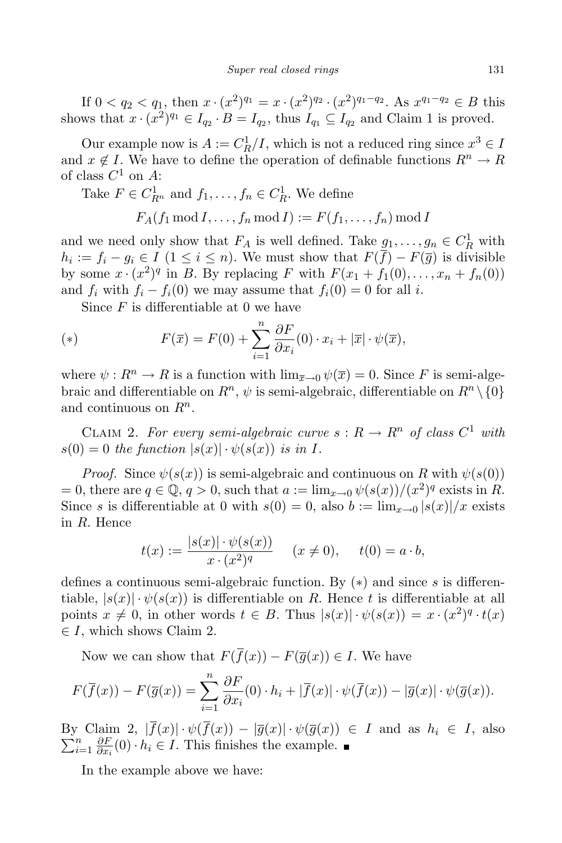If  $0 < q_2 < q_1$ , then  $x \cdot (x^2)^{q_1} = x \cdot (x^2)^{q_2} \cdot (x^2)^{q_1-q_2}$ . As  $x^{q_1-q_2} \in B$  this shows that  $x \cdot (x^2)^{q_1} \in I_{q_2} \cdot B = I_{q_2}$ , thus  $I_{q_1} \subseteq I_{q_2}$  and Claim 1 is proved.

Our example now is  $A := C_R^1/I$ , which is not a reduced ring since  $x^3 \in I$ and  $x \notin I$ . We have to define the operation of definable functions  $R^n \to R$ of class  $C^1$  on A:

Take 
$$
F \in C_{R^n}^1
$$
 and  $f_1, \ldots, f_n \in C_R^1$ . We define

$$
F_A(f_1 \bmod I, \dots, f_n \bmod I) := F(f_1, \dots, f_n) \bmod I
$$

and we need only show that  $F_A$  is well defined. Take  $g_1, \ldots, g_n \in C_R^1$  with  $h_i := f_i - g_i \in I \ (1 \leq i \leq n)$ . We must show that  $F(f) - F(\overline{g})$  is divisible by some  $x \cdot (x^2)^q$  in B. By replacing F with  $F(x_1 + f_1(0), \ldots, x_n + f_n(0))$ and  $f_i$  with  $f_i - f_i(0)$  we may assume that  $f_i(0) = 0$  for all i.

Since  $F$  is differentiable at 0 we have

(\*) 
$$
F(\overline{x}) = F(0) + \sum_{i=1}^{n} \frac{\partial F}{\partial x_i}(0) \cdot x_i + |\overline{x}| \cdot \psi(\overline{x}),
$$

where  $\psi: R^n \to R$  is a function with  $\lim_{\overline{x}\to 0} \psi(\overline{x})=0$ . Since F is semi-algebraic and differentiable on  $R^n$ ,  $\psi$  is semi-algebraic, differentiable on  $R^n \setminus \{0\}$ and continuous on  $R^n$ .

CLAIM 2. For every semi-algebraic curve  $s: R \to R^n$  of class  $C^1$  with  $s(0) = 0$  the function  $|s(x)| \cdot \psi(s(x))$  is in I.

*Proof.* Since  $\psi(s(x))$  is semi-algebraic and continuous on R with  $\psi(s(0))$ = 0, there are  $q \in \mathbb{Q}$ ,  $q > 0$ , such that  $a := \lim_{x \to 0} \psi(s(x))/(x^2)^q$  exists in R. Since s is differentiable at 0 with  $s(0) = 0$ , also  $b := \lim_{x\to 0} |s(x)|/x$  exists in R. Hence

$$
t(x) := \frac{|s(x)| \cdot \psi(s(x))}{x \cdot (x^2)^q} \quad (x \neq 0), \quad t(0) = a \cdot b,
$$

defines a continuous semi-algebraic function. By  $(*)$  and since s is differentiable,  $|s(x)| \cdot \psi(s(x))$  is differentiable on R. Hence t is differentiable at all points  $x \neq 0$ , in other words  $t \in B$ . Thus  $|s(x)| \cdot \psi(s(x)) = x \cdot (x^2)^q \cdot t(x)$  $\in I$ , which shows Claim 2.

Now we can show that  $F(\overline{f}(x)) - F(\overline{g}(x)) \in I$ . We have

$$
F(\overline{f}(x)) - F(\overline{g}(x)) = \sum_{i=1}^{n} \frac{\partial F}{\partial x_i}(0) \cdot h_i + |\overline{f}(x)| \cdot \psi(\overline{f}(x)) - |\overline{g}(x)| \cdot \psi(\overline{g}(x)).
$$

 $\sum_{i=1}^{n}$ By Claim 2,  $|\overline{f}(x)| \cdot \psi(\overline{f}(x)) - |\overline{g}(x)| \cdot \psi(\overline{g}(x)) \in I$  and as  $h_i \in I$ , also  $\frac{n}{i=1} \frac{\partial F}{\partial x_i}$  $\frac{\partial F}{\partial x_i}(0) \cdot h_i \in I$ . This finishes the example.

In the example above we have: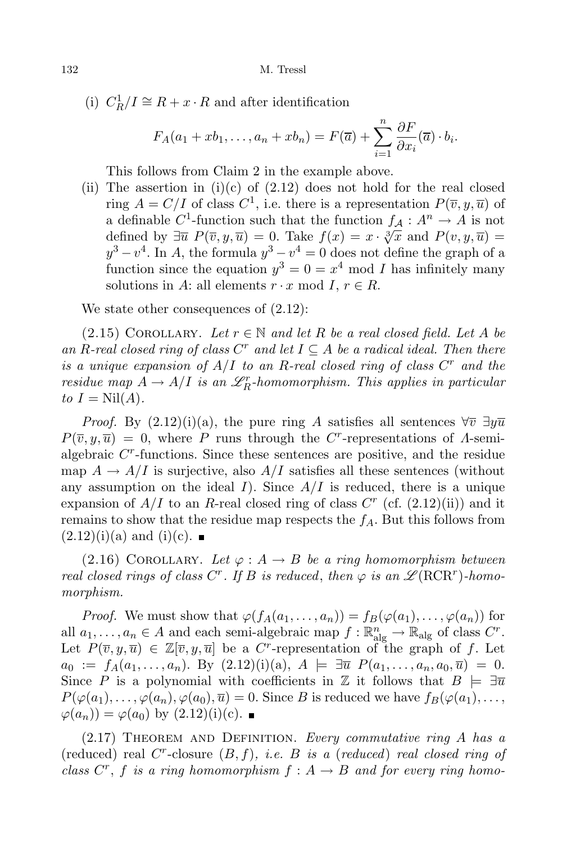(i)  $C_R^1/I \cong R + x \cdot R$  and after identification

$$
F_A(a_1+xb_1,\ldots,a_n+xb_n)=F(\overline{a})+\sum_{i=1}^n\frac{\partial F}{\partial x_i}(\overline{a})\cdot b_i.
$$

This follows from Claim 2 in the example above.

(ii) The assertion in (i)(c) of  $(2.12)$  does not hold for the real closed ring  $A = C/I$  of class  $C^1$ , i.e. there is a representation  $P(\overline{v}, y, \overline{u})$  of a definable  $C^1$ -function such that the function  $f_A : A^n \to A$  is not defined by  $\exists \overline{u} P(\overline{v}, y, \overline{u}) = 0$ . Take  $f(x) = x \cdot \sqrt[3]{x}$  and  $P(v, y, \overline{u}) =$  $y^3 - v^4$ . In A, the formula  $y^3 - v^4 = 0$  does not define the graph of a function since the equation  $y^3 = 0 = x^4 \mod I$  has infinitely many solutions in A: all elements  $r \cdot x \mod I$ ,  $r \in R$ .

We state other consequences of  $(2.12)$ :

(2.15) COROLLARY. Let  $r \in \mathbb{N}$  and let R be a real closed field. Let A be an R-real closed ring of class  $C^r$  and let  $I \subseteq A$  be a radical ideal. Then there is a unique expansion of  $A/I$  to an R-real closed ring of class  $C<sup>r</sup>$  and the residue map  $A \to A/I$  is an  $\mathscr{L}_R^r$ -homomorphism. This applies in particular to  $I = Nil(A)$ .

*Proof.* By  $(2.12)(i)(a)$ , the pure ring A satisfies all sentences  $\forall \overline{v} \exists v \overline{u}$  $P(\overline{v}, y, \overline{u}) = 0$ , where P runs through the C<sup>r</sup>-representations of A-semialgebraic C<sup>r</sup>-functions. Since these sentences are positive, and the residue map  $A \to A/I$  is surjective, also  $A/I$  satisfies all these sentences (without any assumption on the ideal I). Since  $A/I$  is reduced, there is a unique expansion of  $A/I$  to an R-real closed ring of class  $C<sup>r</sup>$  (cf.  $(2.12)(ii)$ ) and it remains to show that the residue map respects the  $f_A$ . But this follows from  $(2.12)(i)(a)$  and  $(i)(c)$ .

(2.16) COROLLARY. Let  $\varphi: A \to B$  be a ring homomorphism between real closed rings of class  $C^r$ . If B is reduced, then  $\varphi$  is an  $\mathscr{L}(\text{RCR}^r)$ -homomorphism.

*Proof.* We must show that  $\varphi(f_A(a_1, \ldots, a_n)) = f_B(\varphi(a_1), \ldots, \varphi(a_n))$  for all  $a_1, \ldots, a_n \in A$  and each semi-algebraic map  $f : \mathbb{R}^n_{\text{alg}} \to \mathbb{R}_{\text{alg}}$  of class  $C^r$ . Let  $P(\overline{v}, y, \overline{u}) \in \mathbb{Z}[\overline{v}, y, \overline{u}]$  be a C<sup>r</sup>-representation of the graph of f. Let  $a_0 := f_A(a_1, \ldots, a_n)$ . By  $(2.12)(i)(a), A \models \exists \overline{u} P(a_1, \ldots, a_n, a_0, \overline{u}) = 0$ . Since P is a polynomial with coefficients in Z it follows that  $B \models \exists \overline{u}$  $P(\varphi(a_1), \ldots, \varphi(a_n), \varphi(a_0), \overline{u}) = 0$ . Since B is reduced we have  $f_B(\varphi(a_1), \ldots, \varphi(a_n))$  $\varphi(a_n)) = \varphi(a_0)$  by  $(2.12)(i)(c)$ .

 $(2.17)$  THEOREM AND DEFINITION. Every commutative ring A has a (reduced) real  $C^r$ -closure  $(B, f)$ , *i.e.* B is a (reduced) real closed ring of class  $C^r$ , f is a ring homomorphism  $f : A \rightarrow B$  and for every ring homo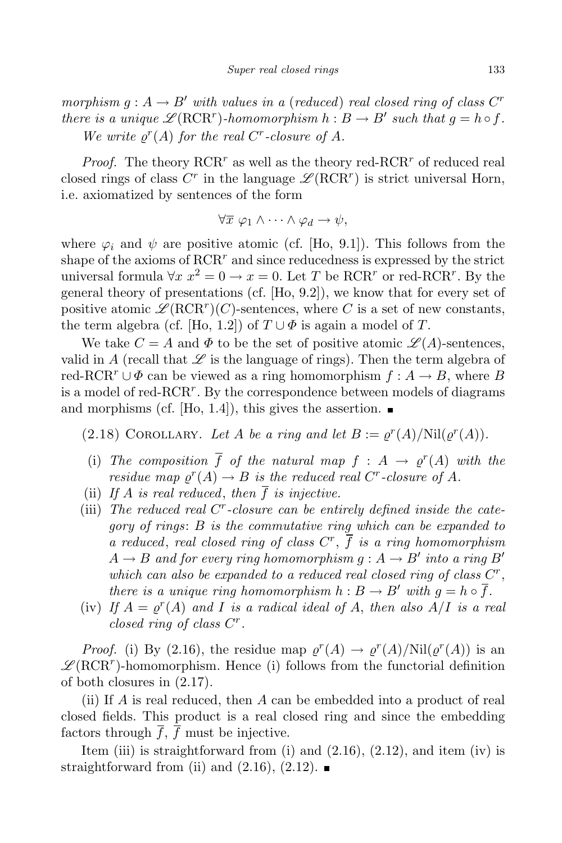morphism  $g : A \to B'$  with values in a (reduced) real closed ring of class  $C^r$ there is a unique  $\mathscr{L}(\text{RCR}^r)$ -homomorphism  $h : B \to B'$  such that  $g = h \circ f$ . We write  $\varrho^{r}(A)$  for the real C<sup>r</sup>-closure of A.

*Proof.* The theory  $RCR^r$  as well as the theory red- $RCR^r$  of reduced real closed rings of class  $C<sup>r</sup>$  in the language  $\mathscr{L}(\text{RCR}^r)$  is strict universal Horn, i.e. axiomatized by sentences of the form

$$
\forall \overline{x} \; \varphi_1 \wedge \cdots \wedge \varphi_d \to \psi,
$$

where  $\varphi_i$  and  $\psi$  are positive atomic (cf. [Ho, 9.1]). This follows from the shape of the axioms of  $RCR^r$  and since reducedness is expressed by the strict universal formula  $\forall x \ x^2 = 0 \rightarrow x = 0$ . Let T be RCR<sup>r</sup> or red-RCR<sup>r</sup>. By the general theory of presentations (cf. [Ho, 9.2]), we know that for every set of positive atomic  $\mathscr{L}(\text{RCR}^r)(C)$ -sentences, where C is a set of new constants, the term algebra (cf. [Ho, 1.2]) of  $T \cup \Phi$  is again a model of T.

We take  $C = A$  and  $\Phi$  to be the set of positive atomic  $\mathscr{L}(A)$ -sentences, valid in A (recall that  $\mathscr L$  is the language of rings). Then the term algebra of red-RCR<sup>r</sup> ∪ $\Phi$  can be viewed as a ring homomorphism  $f : A \to B$ , where B is a model of red-RCR<sup> $r$ </sup>. By the correspondence between models of diagrams and morphisms (cf.  $[H_0, 1.4]$ ), this gives the assertion.

(2.18) COROLLARY. Let A be a ring and let  $B := \varrho^{r}(A)/\text{Nil}(\varrho^{r}(A)).$ 

- (i) The composition  $\overline{f}$  of the natural map  $f : A \to \varrho^r(A)$  with the residue map  $\varrho^r(A) \to B$  is the reduced real C<sup>r</sup>-closure of A.
- (ii) If A is real reduced, then  $\overline{f}$  is injective.
- (iii) The reduced real  $C<sup>r</sup>$ -closure can be entirely defined inside the category of rings: B is the commutative ring which can be expanded to a reduced, real closed ring of class  $C^r$ ,  $\overline{f}$  is a ring homomorphism  $A \rightarrow B$  and for every ring homomorphism  $g : A \rightarrow B'$  into a ring  $B'$ which can also be expanded to a reduced real closed ring of class  $C^r$ , there is a unique ring homomorphism  $h : B \to B'$  with  $q = h \circ \overline{f}$ .
- (iv) If  $A = \varrho^{r}(A)$  and I is a radical ideal of A, then also  $A/I$  is a real closed ring of class  $C^r$ .

*Proof.* (i) By (2.16), the residue map  $\varrho^r(A) \to \varrho^r(A)/\text{Nil}(\varrho^r(A))$  is an  $\mathscr{L}(\text{RCR}^r)$ -homomorphism. Hence (i) follows from the functorial definition of both closures in (2.17).

(ii) If A is real reduced, then A can be embedded into a product of real closed fields. This product is a real closed ring and since the embedding factors through  $f, f$  must be injective.

Item (iii) is straightforward from (i) and  $(2.16)$ ,  $(2.12)$ , and item (iv) is straightforward from (ii) and  $(2.16)$ ,  $(2.12)$ .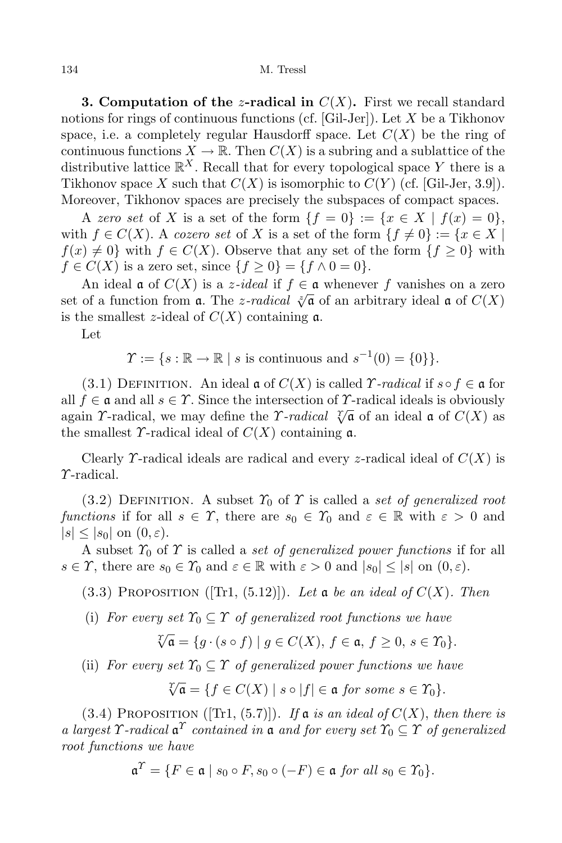**3. Computation of the z-radical in**  $C(X)$ . First we recall standard notions for rings of continuous functions (cf. [Gil-Jer]). Let X be a Tikhonov space, i.e. a completely regular Hausdorff space. Let  $C(X)$  be the ring of continuous functions  $X \to \mathbb{R}$ . Then  $C(X)$  is a subring and a sublattice of the distributive lattice  $\mathbb{R}^X$ . Recall that for every topological space Y there is a Tikhonov space X such that  $C(X)$  is isomorphic to  $C(Y)$  (cf. [Gil-Jer, 3.9]). Moreover, Tikhonov spaces are precisely the subspaces of compact spaces.

A zero set of X is a set of the form  $\{f = 0\} := \{x \in X \mid f(x) = 0\},\$ with  $f \in C(X)$ . A cozero set of X is a set of the form  $\{f \neq 0\} := \{x \in X \mid$  $f(x) \neq 0$  with  $f \in C(X)$ . Observe that any set of the form  $\{f \geq 0\}$  with  $f \in C(X)$  is a zero set, since  $\{f \geq 0\} = \{f \wedge 0 = 0\}.$ 

An ideal  $\mathfrak a$  of  $C(X)$  is a *z*-ideal if  $f \in \mathfrak a$  whenever f vanishes on a zero set of a function from **a**. The *z*-radical  $\sqrt[x]{a}$  of an arbitrary ideal **a** of  $C(X)$ is the smallest z-ideal of  $C(X)$  containing  $a$ .

Let

 $\Upsilon := \{ s : \mathbb{R} \to \mathbb{R} \mid s \text{ is continuous and } s^{-1}(0) = \{ 0 \} \}.$ 

(3.1) DEFINITION. An ideal  $\mathfrak{a}$  of  $C(X)$  is called  $\Upsilon$ -radical if  $s \circ f \in \mathfrak{a}$  for all  $f \in \mathfrak{a}$  and all  $s \in \mathcal{Y}$ . Since the intersection of  $\mathcal{Y}$ -radical ideals is obviously again *T*-radical, we may define the *T*-radical  $\sqrt{\pi}$  of an ideal **a** of  $C(X)$  as the smallest *T*-radical ideal of  $C(X)$  containing **a**.

Clearly *T*-radical ideals are radical and every *z*-radical ideal of  $C(X)$  is Υ-radical.

(3.2) DEFINITION. A subset  $\Upsilon_0$  of  $\Upsilon$  is called a set of generalized root functions if for all  $s \in \Upsilon$ , there are  $s_0 \in \Upsilon_0$  and  $\varepsilon \in \mathbb{R}$  with  $\varepsilon > 0$  and  $|s| \leq |s_0|$  on  $(0, \varepsilon)$ .

A subset  $\Upsilon_0$  of  $\Upsilon$  is called a set of generalized power functions if for all  $s \in \Upsilon$ , there are  $s_0 \in \Upsilon_0$  and  $\varepsilon \in \mathbb{R}$  with  $\varepsilon > 0$  and  $|s_0| \leq |s|$  on  $(0, \varepsilon)$ .

(3.3) PROPOSITION ([Tr1, (5.12)]). Let  $\mathfrak a$  be an ideal of  $C(X)$ . Then

(i) For every set  $\Upsilon_0 \subseteq \Upsilon$  of generalized root functions we have

$$
\sqrt[T]{\mathfrak{a}} = \{ g \cdot (s \circ f) \mid g \in C(X), \, f \in \mathfrak{a}, \, f \ge 0, \, s \in \Upsilon_0 \}.
$$

(ii) For every set  $\Upsilon_0 \subseteq \Upsilon$  of generalized power functions we have

$$
\sqrt[T]{\mathfrak{a}} = \{ f \in C(X) \mid s \circ |f| \in \mathfrak{a} \text{ for some } s \in \mathcal{Y}_0 \}.
$$

(3.4) PROPOSITION ([Tr1, (5.7)]). If a is an ideal of  $C(X)$ , then there is a largest  $\Upsilon$ -radical  $\mathfrak{a}^{\Upsilon}$  contained in  $\mathfrak{a}$  and for every set  $\Upsilon_0 \subseteq \Upsilon$  of generalized root functions we have

$$
\mathfrak{a}^{\Upsilon} = \{ F \in \mathfrak{a} \mid s_0 \circ F, s_0 \circ (-F) \in \mathfrak{a} \text{ for all } s_0 \in \Upsilon_0 \}.
$$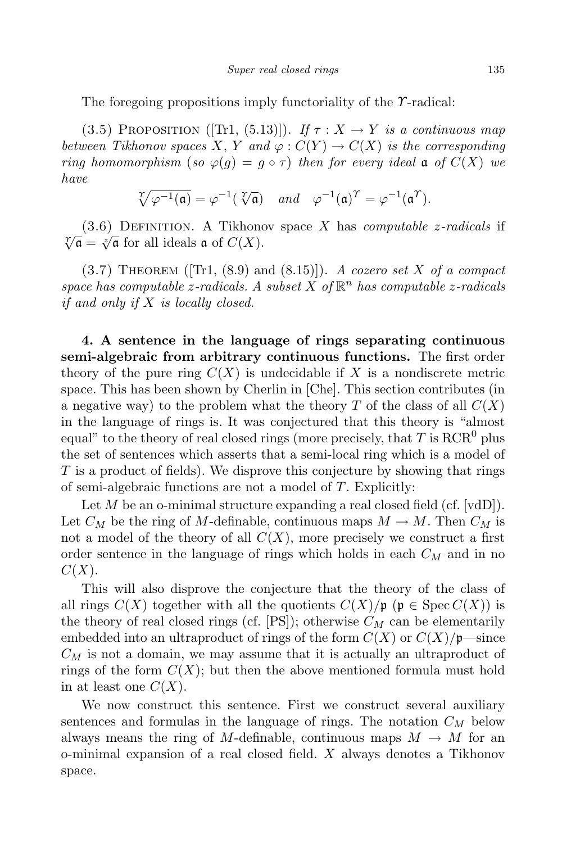The foregoing propositions imply functoriality of the  $\gamma$ -radical:

(3.5) PROPOSITION ([Tr1, (5.13)]). If  $\tau : X \to Y$  is a continuous map between Tikhonov spaces X, Y and  $\varphi: C(Y) \to C(X)$  is the corresponding ring homomorphism (so  $\varphi(q) = q \circ \tau$ ) then for every ideal  $\mathfrak{a}$  of  $C(X)$  we have

$$
\sqrt[T]{\varphi^{-1}(\mathfrak{a})} = \varphi^{-1}(\sqrt[T]{\mathfrak{a}}) \quad \text{and} \quad \varphi^{-1}(\mathfrak{a})^T = \varphi^{-1}(\mathfrak{a}^T).
$$

 $(3.6)$  DEFINITION. A Tikhonov space X has *computable z-radicals* if  $\overline{\mathcal{K}}\overline{\mathfrak{a}} = \overline{\mathfrak{c}}\overline{\mathfrak{a}}$  for all ideals  $\mathfrak{a}$  of  $C(X)$ .

 $(3.7)$  THEOREM ([Tr1,  $(8.9)$  and  $(8.15)$ ]). A cozero set X of a compact space has computable z-radicals. A subset  $X$  of  $\mathbb{R}^n$  has computable z-radicals if and only if X is locally closed.

4. A sentence in the language of rings separating continuous semi-algebraic from arbitrary continuous functions. The first order theory of the pure ring  $C(X)$  is undecidable if X is a nondiscrete metric space. This has been shown by Cherlin in [Che]. This section contributes (in a negative way) to the problem what the theory T of the class of all  $C(X)$ in the language of rings is. It was conjectured that this theory is "almost equal" to the theory of real closed rings (more precisely, that  $T$  is  $RCR^0$  plus the set of sentences which asserts that a semi-local ring which is a model of T is a product of fields). We disprove this conjecture by showing that rings of semi-algebraic functions are not a model of T. Explicitly:

Let M be an o-minimal structure expanding a real closed field (cf. [vdD]). Let  $C_M$  be the ring of M-definable, continuous maps  $M \to M$ . Then  $C_M$  is not a model of the theory of all  $C(X)$ , more precisely we construct a first order sentence in the language of rings which holds in each  $C_M$  and in no  $C(X).$ 

This will also disprove the conjecture that the theory of the class of all rings  $C(X)$  together with all the quotients  $C(X)/\mathfrak{p}$  ( $\mathfrak{p} \in \operatorname{Spec} C(X)$ ) is the theory of real closed rings (cf.  $[PS]$ ); otherwise  $C_M$  can be elementarily embedded into an ultraproduct of rings of the form  $C(X)$  or  $C(X)/\mathfrak{p}$ —since  $C_M$  is not a domain, we may assume that it is actually an ultraproduct of rings of the form  $C(X)$ ; but then the above mentioned formula must hold in at least one  $C(X)$ .

We now construct this sentence. First we construct several auxiliary sentences and formulas in the language of rings. The notation  $C_M$  below always means the ring of M-definable, continuous maps  $M \to M$  for an o-minimal expansion of a real closed field. X always denotes a Tikhonov space.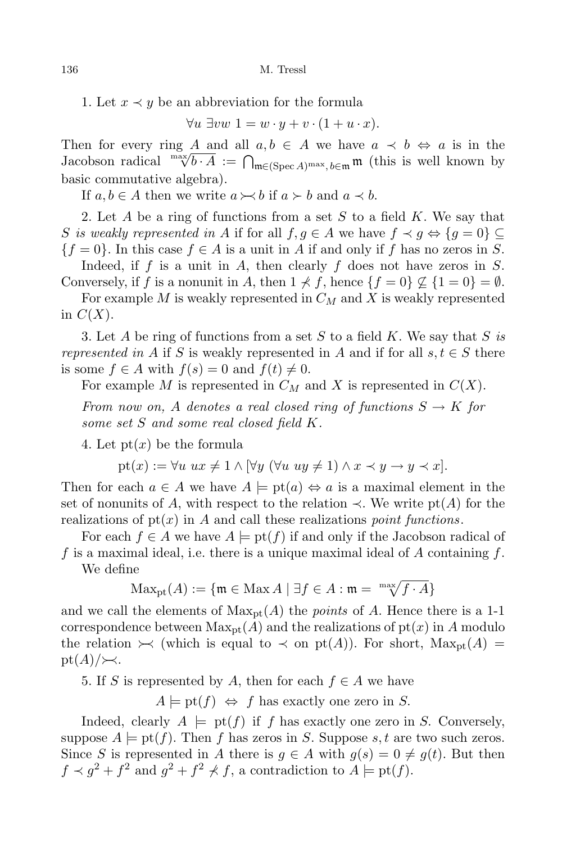1. Let  $x \prec y$  be an abbreviation for the formula

 $\forall u \exists vw 1 = w \cdot y + v \cdot (1 + u \cdot x).$ 

Then for every ring A and all  $a, b \in A$  we have  $a \prec b \Leftrightarrow a$  is in the Jacobson radical  $m\sqrt[n]{b \cdot A} := \bigcap_{m \in (\text{Spec } A)^{max}, b \in \mathfrak{m}} m$  (this is well known by basic commutative algebra).

If  $a, b \in A$  then we write  $a \rightarrow b$  if  $a \succ b$  and  $a \prec b$ .

2. Let  $A$  be a ring of functions from a set  $S$  to a field  $K$ . We say that S is weakly represented in A if for all  $f, g \in A$  we have  $f \prec g \Leftrightarrow \{g = 0\} \subseteq$  ${f = 0}$ . In this case  $f \in A$  is a unit in A if and only if f has no zeros in S.

Indeed, if f is a unit in A, then clearly f does not have zeros in  $S$ . Conversely, if f is a nonunit in A, then  $1 \nless f$ , hence  $\{f = 0\} \nsubseteq \{1 = 0\} = \emptyset$ .

For example  $M$  is weakly represented in  $C_M$  and  $X$  is weakly represented in  $C(X)$ .

3. Let A be ring of functions from a set S to a field K. We say that S is represented in A if S is weakly represented in A and if for all  $s, t \in S$  there is some  $f \in A$  with  $f(s) = 0$  and  $f(t) \neq 0$ .

For example M is represented in  $C_M$  and X is represented in  $C(X)$ .

From now on, A denotes a real closed ring of functions  $S \to K$  for some set S and some real closed field K.

4. Let  $pt(x)$  be the formula

 $pt(x) := \forall u \; ux \neq 1 \land [\forall y \; (\forall u \; uy \neq 1) \land x \prec y \rightarrow y \prec x].$ 

Then for each  $a \in A$  we have  $A \models pt(a) \Leftrightarrow a$  is a maximal element in the set of nonunits of A, with respect to the relation  $\prec$ . We write pt(A) for the realizations of  $pt(x)$  in A and call these realizations *point functions*.

For each  $f \in A$  we have  $A \models pt(f)$  if and only if the Jacobson radical of f is a maximal ideal, i.e. there is a unique maximal ideal of A containing  $f$ .

We define

$$
\mathrm{Max}_{\mathrm{pt}}(A) := \{ \mathfrak{m} \in \mathrm{Max}\,A \mid \exists f \in A : \mathfrak{m} = \sqrt[\max]{f \cdot A} \}
$$

and we call the elements of  $Max_{pt}(A)$  the *points* of A. Hence there is a 1-1 correspondence between  $\text{Max}_{\text{pt}}(A)$  and the realizations of  $\text{pt}(x)$  in A modulo the relation  $\forall$  (which is equal to  $\prec$  on pt(A)). For short,  $Max_{pt}(A)$  =  $pt(A)/\!\!\succ\!\!\prec$ .

5. If S is represented by A, then for each  $f \in A$  we have

 $A \models \text{pt}(f) \Leftrightarrow f$  has exactly one zero in S.

Indeed, clearly  $A \models pt(f)$  if f has exactly one zero in S. Conversely, suppose  $A \models pt(f)$ . Then f has zeros in S. Suppose s, t are two such zeros. Since S is represented in A there is  $g \in A$  with  $g(s) = 0 \neq g(t)$ . But then  $f \prec g^2 + f^2$  and  $g^2 + f^2 \not\prec f$ , a contradiction to  $A \models \text{pt}(f)$ .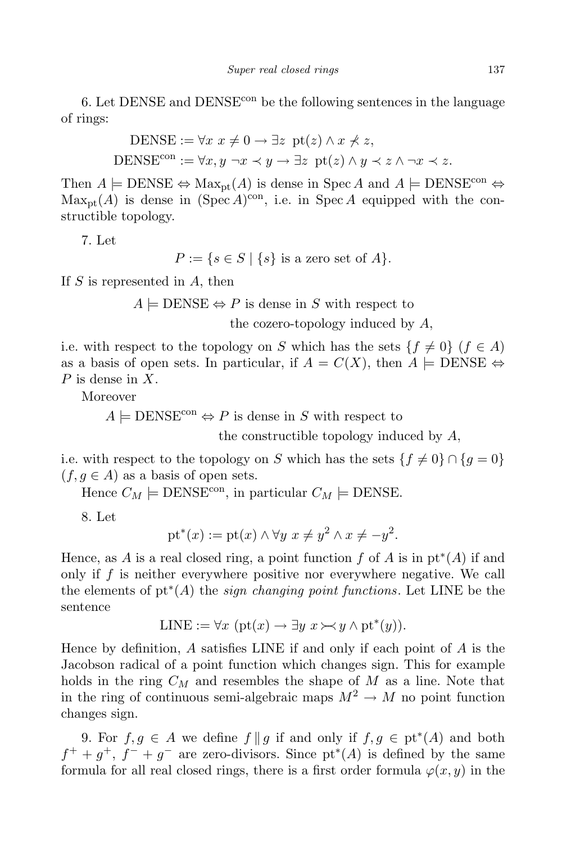6. Let DENSE and DENSEcon be the following sentences in the language of rings:

$$
\text{DENSE} := \forall x \ x \neq 0 \to \exists z \ \text{pt}(z) \land x \neq z,
$$
\n
$$
\text{DENSE}^{\text{con}} := \forall x, y \ \neg x \prec y \to \exists z \ \text{pt}(z) \land y \prec z \land \neg x \prec z.
$$

Then  $A \models$  DENSE  $\Leftrightarrow$  Max<sub>pt</sub>(A) is dense in Spec A and  $A \models$  DENSE<sup>con</sup>  $\Leftrightarrow$  $\text{Max}_{pt}(A)$  is dense in  $(\text{Spec } A)^{\text{con}}$ , i.e. in  $\text{Spec } A$  equipped with the constructible topology.

7. Let

 $P := \{ s \in S \mid \{s\} \text{ is a zero set of } A \}.$ 

If  $S$  is represented in  $A$ , then

 $A \models$  DENSE  $\Leftrightarrow$  P is dense in S with respect to

the cozero-topology induced by A,

i.e. with respect to the topology on S which has the sets  $\{f \neq 0\}$   $(f \in A)$ as a basis of open sets. In particular, if  $A = C(X)$ , then  $A \models$  DENSE  $\Leftrightarrow$ P is dense in  $X$ .

Moreover

 $A \models$  DENSE<sup>con</sup>  $\Leftrightarrow$  P is dense in S with respect to

the constructible topology induced by A,

i.e. with respect to the topology on S which has the sets  $\{f \neq 0\} \cap \{g = 0\}$  $(f, g \in A)$  as a basis of open sets.

Hence  $C_M \models$  DENSE<sup>con</sup>, in particular  $C_M \models$  DENSE.

8. Let

$$
\mathrm{pt}^*(x) := \mathrm{pt}(x) \wedge \forall y \ x \neq y^2 \wedge x \neq -y^2.
$$

Hence, as A is a real closed ring, a point function f of A is in  $pt^*(A)$  if and only if  $f$  is neither everywhere positive nor everywhere negative. We call the elements of  $pt^*(A)$  the *sign changing point functions*. Let LINE be the sentence

$$
LINE := \forall x \ (\text{pt}(x) \to \exists y \ x \rightarrowtail y \land \text{pt}^*(y)).
$$

Hence by definition,  $\tilde{A}$  satisfies LINE if and only if each point of  $\tilde{A}$  is the Jacobson radical of a point function which changes sign. This for example holds in the ring  $C_M$  and resembles the shape of M as a line. Note that in the ring of continuous semi-algebraic maps  $M^2 \to M$  no point function changes sign.

9. For  $f, g \in A$  we define  $f \parallel g$  if and only if  $f, g \in pt^*(A)$  and both  $f^+ + g^+, f^- + g^-$  are zero-divisors. Since  $pt^*(A)$  is defined by the same formula for all real closed rings, there is a first order formula  $\varphi(x, y)$  in the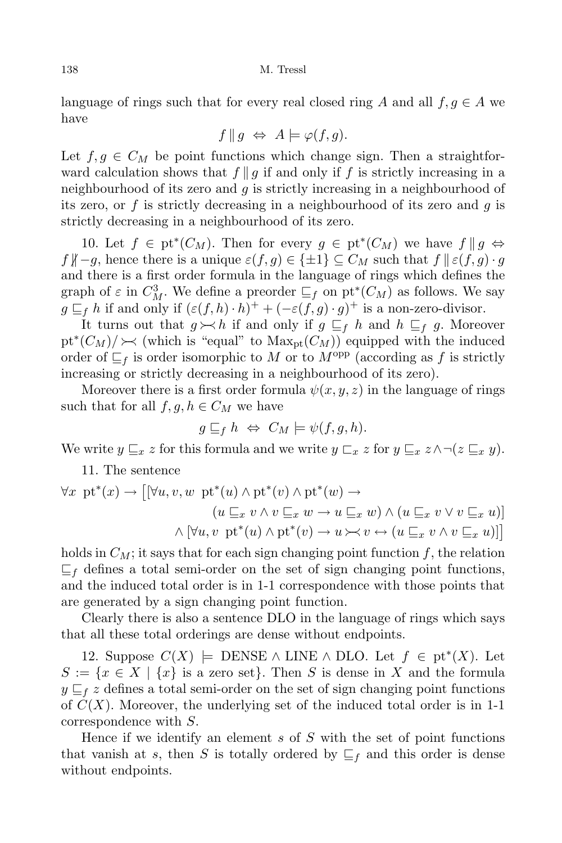language of rings such that for every real closed ring A and all  $f, g \in A$  we have

$$
f \parallel g \iff A \models \varphi(f, g).
$$

Let  $f, g \in C_M$  be point functions which change sign. Then a straightforward calculation shows that  $f \, \| g$  if and only if f is strictly increasing in a neighbourhood of its zero and  $q$  is strictly increasing in a neighbourhood of its zero, or f is strictly decreasing in a neighbourhood of its zero and  $q$  is strictly decreasing in a neighbourhood of its zero.

10. Let  $f \in \text{pt}^*(C_M)$ . Then for every  $g \in \text{pt}^*(C_M)$  we have  $f \parallel g \Leftrightarrow$  $f\nparallel -q$ , hence there is a unique  $\varepsilon(f, q) \in \{\pm 1\} \subseteq C_M$  such that  $f \parallel \varepsilon(f, q) \cdot q$ and there is a first order formula in the language of rings which defines the graph of  $\varepsilon$  in  $C_M^3$ . We define a preorder  $\sqsubseteq_f$  on  $pt^*(C_M)$  as follows. We say  $g \sqsubseteq_f h$  if and only if  $(\varepsilon(f, h) \cdot h)^+ + (-\varepsilon(f, g) \cdot g)^+$  is a non-zero-divisor.

It turns out that  $g \rightthreetimes h$  if and only if  $g \subseteq_f h$  and  $h \subseteq_f g$ . Moreover  $pt^*(C_M)/\sim$  (which is "equal" to  $Max_{pt}(C_M)$ ) equipped with the induced order of  $\sqsubseteq_f$  is order isomorphic to M or to  $M^{\text{opp}}$  (according as f is strictly increasing or strictly decreasing in a neighbourhood of its zero).

Moreover there is a first order formula  $\psi(x, y, z)$  in the language of rings such that for all  $f, g, h \in C_M$  we have

$$
g \sqsubseteq_f h \iff C_M \models \psi(f, g, h).
$$

We write  $y \sqsubseteq_x z$  for this formula and we write  $y \sqsubset_x z$  for  $y \sqsubseteq_x z \land \neg (z \sqsubseteq_x y)$ .

11. The sentence

$$
\forall x \ \mathrm{pt}^*(x) \to \big[ [\forall u, v, w \ \mathrm{pt}^*(u) \land \mathrm{pt}^*(v) \land \mathrm{pt}^*(w) \to
$$

$$
(u \sqsubseteq_x v \land v \sqsubseteq_x w \to u \sqsubseteq_x w) \land (u \sqsubseteq_x v \lor v \sqsubseteq_x u) \big]
$$

$$
\land [\forall u, v \ \mathrm{pt}^*(u) \land \mathrm{pt}^*(v) \to u \succ v \leftrightarrow (u \sqsubseteq_x v \land v \sqsubseteq_x u)] \big]
$$

holds in  $C_M$ ; it says that for each sign changing point function f, the relation  $\sqsubseteq_f$  defines a total semi-order on the set of sign changing point functions, and the induced total order is in 1-1 correspondence with those points that are generated by a sign changing point function.

Clearly there is also a sentence DLO in the language of rings which says that all these total orderings are dense without endpoints.

12. Suppose  $C(X) \models$  DENSE ∧ LINE ∧ DLO. Let  $f \in pt^*(X)$ . Let  $S := \{x \in X \mid \{x\}$  is a zero set}. Then S is dense in X and the formula  $y \sqsubseteq_f z$  defines a total semi-order on the set of sign changing point functions of  $C(X)$ . Moreover, the underlying set of the induced total order is in 1-1 correspondence with S.

Hence if we identify an element  $s$  of  $S$  with the set of point functions that vanish at s, then S is totally ordered by  $\subseteq_f$  and this order is dense without endpoints.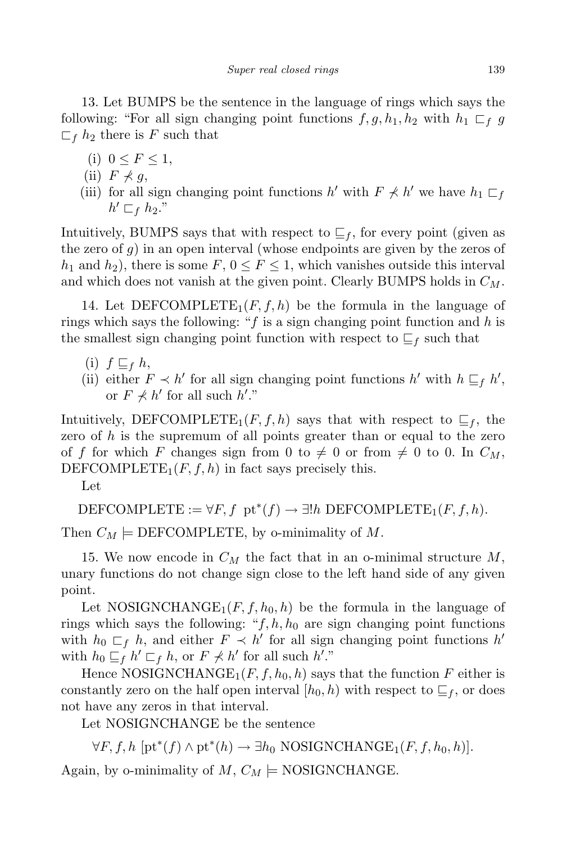13. Let BUMPS be the sentence in the language of rings which says the following: "For all sign changing point functions  $f, g, h_1, h_2$  with  $h_1 \sqsubset_f g$  $\sqsubset_f h_2$  there is F such that

- (i)  $0 \leq F \leq 1$ ,
- (ii)  $F \nless q$ ,
- (iii) for all sign changing point functions  $h'$  with  $F \nless h'$  we have  $h_1 \sqsubset f$  $h' \sqsubset_f h_2$ ."

Intuitively, BUMPS says that with respect to  $\sqsubseteq_f$ , for every point (given as the zero of  $g$ ) in an open interval (whose endpoints are given by the zeros of  $h_1$  and  $h_2$ ), there is some  $F, 0 \leq F \leq 1$ , which vanishes outside this interval and which does not vanish at the given point. Clearly BUMPS holds in  $C_M$ .

14. Let DEFCOMPLETE<sub>1</sub> $(F, f, h)$  be the formula in the language of rings which says the following: " $f$  is a sign changing point function and h is the smallest sign changing point function with respect to  $\sqsubseteq_f$  such that

- (i)  $f \sqsubseteq_f h$ ,
- (ii) either  $F \prec h'$  for all sign changing point functions  $h'$  with  $h \sqsubseteq_f h'$ , or  $F \nless h'$  for all such  $h'$ ."

Intuitively, DEFCOMPLETE<sub>1</sub>(F, f, h) says that with respect to  $\subseteq$  f, the zero of  $h$  is the supremum of all points greater than or equal to the zero of f for which F changes sign from 0 to  $\neq$  0 or from  $\neq$  0 to 0. In  $C_M$ , DEFCOMPLETE<sub>1</sub> $(F, f, h)$  in fact says precisely this.

Let

DEFCOMPLETE :=  $\forall F, f \textrm{pt}^*(f) \rightarrow \exists! h \textrm{DEFCOMPLETE}_1(F, f, h).$ 

Then  $C_M \models$  DEFCOMPLETE, by o-minimality of M.

15. We now encode in  $C_M$  the fact that in an o-minimal structure M, unary functions do not change sign close to the left hand side of any given point.

Let NOSIGNCHANGE<sub>1</sub> $(F, f, h_0, h)$  be the formula in the language of rings which says the following: " $f, h, h_0$  are sign changing point functions with  $h_0 \sqsubset_f h$ , and either  $F \prec h'$  for all sign changing point functions  $h'$ with  $h_0 \sqsubseteq_f h' \sqsubset_f h$ , or  $F \nless h'$  for all such  $h'$ ."

Hence NOSIGNCHANGE<sub>1</sub> $(F, f, h_0, h)$  says that the function F either is constantly zero on the half open interval  $[h_0, h)$  with respect to  $\sqsubseteq_f$ , or does not have any zeros in that interval.

Let NOSIGNCHANGE be the sentence

 $\forall F, f, h \; [\text{pt}^*(f) \land \text{pt}^*(h) \rightarrow \exists h_0 \; \text{NOSIGNCHANGE}_1(F, f, h_0, h)].$ 

Again, by o-minimality of  $M$ ,  $C_M \models \text{NOSIGNCHANGE}.$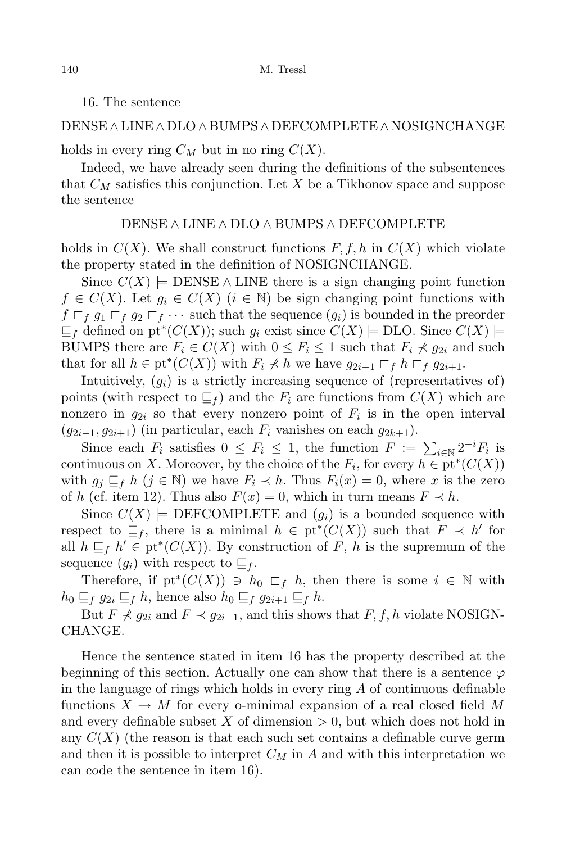### 16. The sentence

# DENSE∧LINE∧ DLO∧ BUMPS∧ DEFCOMPLETE∧ NOSIGNCHANGE

holds in every ring  $C_M$  but in no ring  $C(X)$ .

Indeed, we have already seen during the definitions of the subsentences that  $C_M$  satisfies this conjunction. Let X be a Tikhonov space and suppose the sentence

### DENSE ∧ LINE ∧ DLO ∧ BUMPS ∧ DEFCOMPLETE

holds in  $C(X)$ . We shall construct functions F, f, h in  $C(X)$  which violate the property stated in the definition of NOSIGNCHANGE.

Since  $C(X) \models$  DENSE ∧ LINE there is a sign changing point function  $f \in C(X)$ . Let  $g_i \in C(X)$   $(i \in \mathbb{N})$  be sign changing point functions with  $f \sqsubset_f g_1 \sqsubset_f g_2 \sqsubset_f \cdots$  such that the sequence  $(g_i)$  is bounded in the preorder  $\sqsubseteq_f$  defined on pt<sup>\*</sup>( $C(X)$ ); such  $g_i$  exist since  $C(X) \models$  DLO. Since  $C(X) \models$ BUMPS there are  $F_i \in C(X)$  with  $0 \leq F_i \leq 1$  such that  $F_i \nless g_{2i}$  and such that for all  $h \in \text{pt}^*(C(X))$  with  $F_i \nless h$  we have  $g_{2i-1} \sqsubset_f h \sqsubset_f g_{2i+1}$ .

Intuitively,  $(q_i)$  is a strictly increasing sequence of (representatives of) points (with respect to  $\sqsubseteq_f$ ) and the  $F_i$  are functions from  $C(X)$  which are nonzero in  $g_{2i}$  so that every nonzero point of  $F_i$  is in the open interval  $(g_{2i-1}, g_{2i+1})$  (in particular, each  $F_i$  vanishes on each  $g_{2k+1}$ ).

Since each  $F_i$  satisfies  $0 \leq F_i \leq 1$ , the function  $F := \sum_{i \in \mathbb{N}} 2^{-i} F_i$  is continuous on X. Moreover, by the choice of the  $F_i$ , for every  $h \in \text{pt}^*(C(X))$ with  $g_i \sqsubseteq_f h$   $(j \in \mathbb{N})$  we have  $F_i \prec h$ . Thus  $F_i(x) = 0$ , where x is the zero of h (cf. item 12). Thus also  $F(x) = 0$ , which in turn means  $F \prec h$ .

Since  $C(X) \models$  DEFCOMPLETE and  $(q_i)$  is a bounded sequence with respect to  $\sqsubseteq_f$ , there is a minimal  $h \in pt^*(C(X))$  such that  $F \prec h'$  for all  $h \sqsubseteq_f h' \in \text{pt}^*(C(X))$ . By construction of F, h is the supremum of the sequence  $(g_i)$  with respect to  $\sqsubseteq_f$ .

Therefore, if  $pt^*(C(X)) \ni h_0 \sqsubset_f h$ , then there is some  $i \in \mathbb{N}$  with  $h_0 \sqsubseteq_f g_{2i} \sqsubseteq_f h$ , hence also  $h_0 \sqsubseteq_f g_{2i+1} \sqsubseteq_f h$ .

But  $F \nless g_{2i}$  and  $F \nless g_{2i+1}$ , and this shows that  $F, f, h$  violate NOSIGN-CHANGE.

Hence the sentence stated in item 16 has the property described at the beginning of this section. Actually one can show that there is a sentence  $\varphi$ in the language of rings which holds in every ring  $A$  of continuous definable functions  $X \to M$  for every o-minimal expansion of a real closed field M and every definable subset X of dimension  $> 0$ , but which does not hold in any  $C(X)$  (the reason is that each such set contains a definable curve germ and then it is possible to interpret  $C_M$  in A and with this interpretation we can code the sentence in item 16).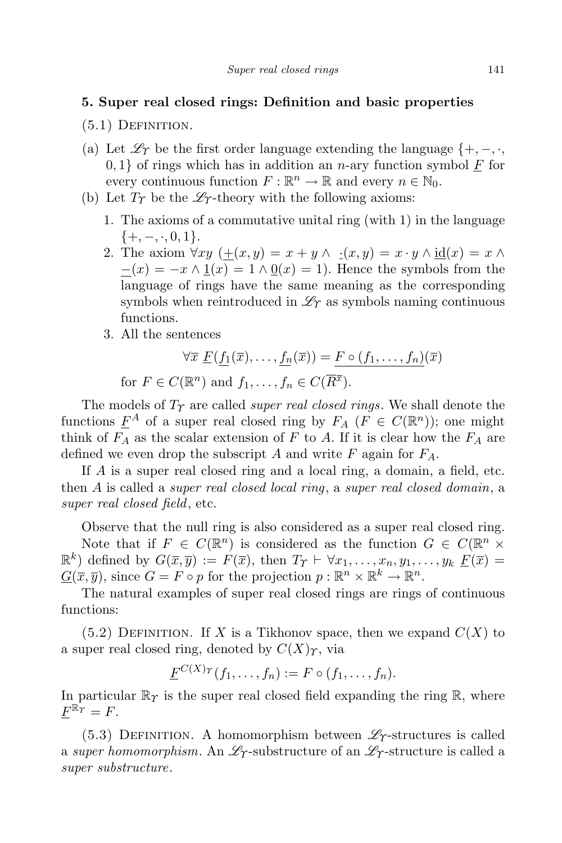## 5. Super real closed rings: Definition and basic properties

- $(5.1)$  Definition.
- (a) Let  $\mathscr{L}_{\Upsilon}$  be the first order language extending the language  $\{+,-,\cdot,\cdot,\cdot\}$ 0, 1} of rings which has in addition an n-ary function symbol  $\underline{F}$  for every continuous function  $F : \mathbb{R}^n \to \mathbb{R}$  and every  $n \in \mathbb{N}_0$ .
- (b) Let  $T_Y$  be the  $\mathscr{L}_Y$ -theory with the following axioms:
	- 1. The axioms of a commutative unital ring (with 1) in the language  $\{+, -, \cdot, 0, 1\}.$
	- 2. The axiom  $\forall xy \; (+(x,y) = x + y \land \; (x,y) = x \cdot y \land \underline{\text{id}}(x) = x \land$  $-(x) = -x \wedge 1(x) = 1 \wedge 0(x) = 1$ . Hence the symbols from the language of rings have the same meaning as the corresponding symbols when reintroduced in  $\mathcal{L}_\Upsilon$  as symbols naming continuous functions.
	- 3. All the sentences

$$
\forall \overline{x} \ \underline{F(\underline{f_1}(\overline{x}), \dots, \underline{f_n}(\overline{x}))} = \underline{F} \circ (f_1, \dots, f_n)(\overline{x})
$$
  
for  $F \in C(\mathbb{R}^n)$  and  $f_1, \dots, f_n \in C(\overline{R}^{\overline{x}})$ .

The models of  $T_{\gamma}$  are called *super real closed rings*. We shall denote the functions  $\underline{F}^A$  of a super real closed ring by  $F_A$   $(F \in C(\mathbb{R}^n))$ ; one might think of  $F_A$  as the scalar extension of F to A. If it is clear how the  $F_A$  are defined we even drop the subscript A and write F again for  $F_A$ .

If A is a super real closed ring and a local ring, a domain, a field, etc. then A is called a *super real closed local ring*, a *super real closed domain*, a super real closed field, etc.

Observe that the null ring is also considered as a super real closed ring. Note that if  $F \in C(\mathbb{R}^n)$  is considered as the function  $G \in C(\mathbb{R}^n \times$  $\mathbb{R}^k$  defined by  $G(\overline{x}, \overline{y}) := F(\overline{x})$ , then  $T_Y \vdash \forall x_1, \ldots, x_n, y_1, \ldots, y_k$   $\underline{F}(\overline{x}) =$  $\underline{G}(\overline{x}, \overline{y})$ , since  $G = F \circ p$  for the projection  $p : \mathbb{R}^n \times \mathbb{R}^k \to \mathbb{R}^n$ .

The natural examples of super real closed rings are rings of continuous functions:

 $(5.2)$  DEFINITION. If X is a Tikhonov space, then we expand  $C(X)$  to a super real closed ring, denoted by  $C(X)<sub>T</sub>$ , via

$$
\underline{F}^{C(X)\Upsilon}(f_1,\ldots,f_n):=F\circ(f_1,\ldots,f_n).
$$

In particular  $\mathbb{R}_{\gamma}$  is the super real closed field expanding the ring  $\mathbb{R}$ , where  $\underline{F}^{\mathbb{R}_T} = F.$ 

(5.3) DEFINITION. A homomorphism between  $\mathcal{L}_\mathit{Y}$ -structures is called a super homomorphism. An  $\mathcal{L}_\mathit{Y}$ -substructure of an  $\mathcal{L}_\mathit{Y}$ -structure is called a super substructure.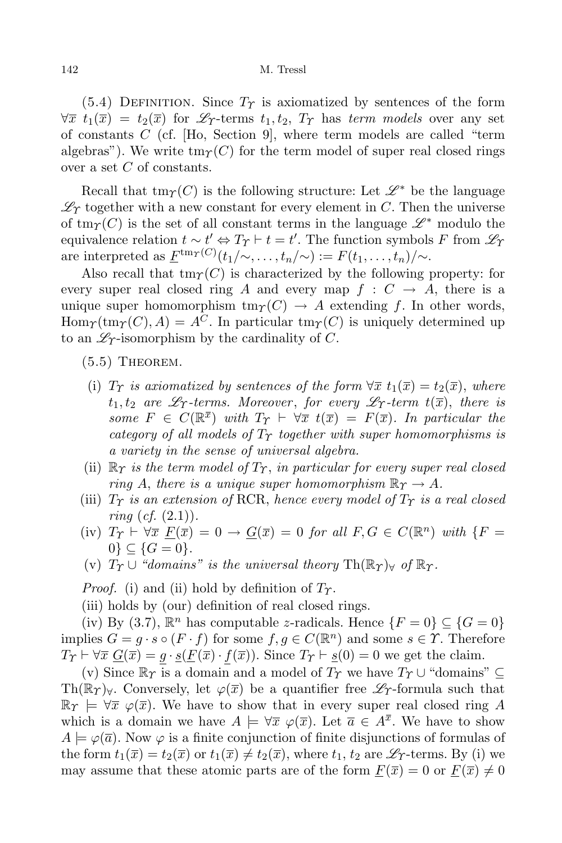(5.4) DEFINITION. Since  $T_{\gamma}$  is axiomatized by sentences of the form  $\forall \bar{x}$   $t_1(\bar{x}) = t_2(\bar{x})$  for  $\mathscr{L}_{\mathcal{V}}$ -terms  $t_1, t_2, T_{\mathcal{V}}$  has term models over any set of constants C (cf. [Ho, Section 9], where term models are called "term algebras"). We write  $\text{tm}_{\mathcal{I}}(C)$  for the term model of super real closed rings over a set C of constants.

Recall that  $\text{tm}(C)$  is the following structure: Let  $\mathscr{L}^*$  be the language  $\mathscr{L}_{\Upsilon}$  together with a new constant for every element in C. Then the universe of  $\text{tm}_{\gamma}(C)$  is the set of all constant terms in the language  $\mathscr{L}^*$  modulo the equivalence relation  $t \sim t' \Leftrightarrow T\gamma \vdash t = t'$ . The function symbols F from  $\mathscr{L}_\gamma$ are interpreted as  $\underline{F}^{\text{tm}_{\Upsilon}(C)}(t_1/\sim,\ldots,t_n/\sim) := F(t_1,\ldots,t_n)/\sim$ .

Also recall that  $tm<sub>\Upsilon</sub>(C)$  is characterized by the following property: for every super real closed ring A and every map  $f : C \to A$ , there is a unique super homomorphism  $\text{tm}_{\gamma}(C) \rightarrow A$  extending f. In other words,  $\text{Hom}_{\mathcal{V}}(\text{tm}_{\mathcal{V}}(C), A) = A^C$ . In particular  $\text{tm}_{\mathcal{V}}(C)$  is uniquely determined up to an  $\mathscr{L}_{\Upsilon}$ -isomorphism by the cardinality of C.

- $(5.5)$  THEOREM.
- (i)  $T_{\Upsilon}$  is axiomatized by sentences of the form  $\forall \overline{x}$   $t_1(\overline{x}) = t_2(\overline{x})$ , where  $t_1, t_2$  are  $\mathscr{L}_\Upsilon$ -terms. Moreover, for every  $\mathscr{L}_\Upsilon$ -term  $t(\overline{x})$ , there is some  $F \in C(\mathbb{R}^{\overline{x}})$  with  $T_Y \vdash \forall \overline{x}$   $t(\overline{x}) = F(\overline{x})$ . In particular the category of all models of  $T<sub>\Upsilon</sub>$  together with super homomorphisms is a variety in the sense of universal algebra.
- (ii)  $\mathbb{R}_{\gamma}$  is the term model of  $T_{\gamma}$ , in particular for every super real closed ring A, there is a unique super homomorphism  $\mathbb{R}_{\gamma} \to A$ .
- (iii)  $T_{\gamma}$  is an extension of RCR, hence every model of  $T_{\gamma}$  is a real closed *ring*  $(cf. (2.1))$ .
- (iv)  $T_{\Upsilon} \vdash \forall \overline{x} \underline{F}(\overline{x}) = 0 \rightarrow \underline{G}(\overline{x}) = 0$  for all  $F, G \in C(\mathbb{R}^n)$  with  $\{F =$  $0\} \subseteq \{G = 0\}.$
- (v)  $T_{\Upsilon} \cup \text{``domains''}$  is the universal theory  $\text{Th}(\mathbb{R}_{\Upsilon})_{\forall}$  of  $\mathbb{R}_{\Upsilon}$ .

*Proof.* (i) and (ii) hold by definition of  $T_{\Upsilon}$ .

(iii) holds by (our) definition of real closed rings.

(iv) By (3.7),  $\mathbb{R}^n$  has computable z-radicals. Hence  $\{F = 0\} \subseteq \{G = 0\}$ implies  $G = g \cdot s \circ (F \cdot f)$  for some  $f, g \in C(\mathbb{R}^n)$  and some  $s \in \Upsilon$ . Therefore  $T_T \vdash \forall \overline{x} \ G(\overline{x}) = g \cdot \underline{s}(F(\overline{x}) \cdot f(\overline{x}))$ . Since  $T_T \vdash \underline{s}(0) = 0$  we get the claim.

(v) Since  $\mathbb{R}_{\gamma}$  is a domain and a model of  $T_{\gamma}$  we have  $T_{\gamma} \cup$  "domains"  $\subseteq$ Th( $\mathbb{R}_{\gamma}$ )<sub>∀</sub>. Conversely, let  $\varphi(\overline{x})$  be a quantifier free  $\mathscr{L}_{\gamma}$ -formula such that  $\mathbb{R}\gamma \models \forall \bar{x} \varphi(\bar{x})$ . We have to show that in every super real closed ring A which is a domain we have  $A \models \forall \overline{x} \ \varphi(\overline{x})$ . Let  $\overline{a} \in A^{\overline{x}}$ . We have to show  $A \models \varphi(\overline{a})$ . Now  $\varphi$  is a finite conjunction of finite disjunctions of formulas of the form  $t_1(\overline{x}) = t_2(\overline{x})$  or  $t_1(\overline{x}) \neq t_2(\overline{x})$ , where  $t_1, t_2$  are  $\mathscr{L}_\Upsilon$ -terms. By (i) we may assume that these atomic parts are of the form  $F(\bar{x}) = 0$  or  $F(\bar{x}) \neq 0$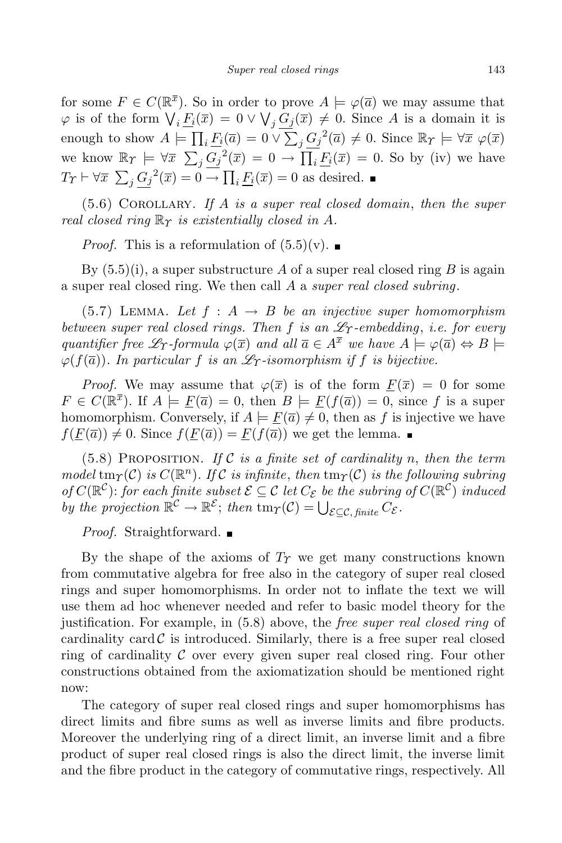for some  $F \in C(\mathbb{R}^{\overline{x}})$ . So in order to prove  $A \models \varphi(\overline{a})$  we may assume that  $\varphi$  is of the form  $\bigvee_i \underline{F_i}(\overline{x}) = 0 \vee \bigvee_j \underline{G_j}(\overline{x}) \neq 0$ . Since A is a domain it is enough to show  $A \models \prod_i \underline{F_i}(\overline{a}) = 0 \vee \sum_j \underline{G_j}^2(\overline{a}) \neq 0$ . Since  $\mathbb{R}\gamma \models \forall \overline{x} \; \varphi(\overline{x})$ we know  $\mathbb{R}_{\Upsilon} \models \forall \overline{x} \sum_j \underline{G_j}^2(\overline{x}) = 0 \rightarrow \prod_i \underline{F_i}(\overline{x}) = 0$ . So by (iv) we have  $T_T \vdash \forall \overline{x} \sum_j \frac{G_j}{\langle \overline{x} \rangle} = 0 \rightarrow \prod_i \underline{F_i}(\overline{x}) = 0$  as desired.

 $(5.6)$  COROLLARY. If A is a super real closed domain, then the super real closed ring  $\mathbb{R}_{\Upsilon}$  is existentially closed in A.

*Proof.* This is a reformulation of  $(5.5)(v)$ .

By  $(5.5)(i)$ , a super substructure A of a super real closed ring B is again a super real closed ring. We then call A a *super real closed subring*.

(5.7) LEMMA. Let  $f : A \rightarrow B$  be an injective super homomorphism between super real closed rings. Then f is an  $\mathscr{L}_{\mathcal{T}}$ -embedding, i.e. for every quantifier free  $\mathscr{L}_Y$ -formula  $\varphi(\overline{x})$  and all  $\overline{a} \in A^{\overline{x}}$  we have  $A \models \varphi(\overline{a}) \Leftrightarrow B \models$  $\varphi(f(\overline{a}))$ . In particular f is an  $\mathscr{L}_{\Upsilon}$ -isomorphism if f is bijective.

*Proof.* We may assume that  $\varphi(\overline{x})$  is of the form  $F(\overline{x}) = 0$  for some  $F \in C(\mathbb{R}^{\overline{x}})$ . If  $A \models \underline{F}(\overline{a}) = 0$ , then  $B \models \underline{F}(f(\overline{a})) = 0$ , since f is a super homomorphism. Conversely, if  $A \models \underline{F}(\overline{a}) \neq 0$ , then as f is injective we have  $f(\underline{F}(\overline{a})) \neq 0$ . Since  $f(\underline{F}(\overline{a})) = \underline{F}(f(\overline{a}))$  we get the lemma.

 $(5.8)$  PROPOSITION. If C is a finite set of cardinality n, then the term model tm $\gamma(\mathcal{C})$  is  $C(\mathbb{R}^n)$ . If  $\mathcal{C}$  is infinite, then tm $\gamma(\mathcal{C})$  is the following subring of  $C(\mathbb{R}^{\mathcal{C}})$ : for each finite subset  $\mathcal{E} \subseteq \mathcal{C}$  let  $C_{\mathcal{E}}$  be the subring of  $C(\mathbb{R}^{\mathcal{C}})$  induced by the projection  $\mathbb{R}^{\mathcal{C}} \to \mathbb{R}^{\mathcal{E}}$ ; then  $\tan(\mathcal{C}) = \bigcup_{\mathcal{E} \subseteq \mathcal{C},\text{finite}} C_{\mathcal{E}}$ .

*Proof.* Straightforward.

By the shape of the axioms of  $T_{\Upsilon}$  we get many constructions known from commutative algebra for free also in the category of super real closed rings and super homomorphisms. In order not to inflate the text we will use them ad hoc whenever needed and refer to basic model theory for the justification. For example, in (5.8) above, the free super real closed ring of cardinality card  $\mathcal C$  is introduced. Similarly, there is a free super real closed ring of cardinality  $\mathcal C$  over every given super real closed ring. Four other constructions obtained from the axiomatization should be mentioned right now:

The category of super real closed rings and super homomorphisms has direct limits and fibre sums as well as inverse limits and fibre products. Moreover the underlying ring of a direct limit, an inverse limit and a fibre product of super real closed rings is also the direct limit, the inverse limit and the fibre product in the category of commutative rings, respectively. All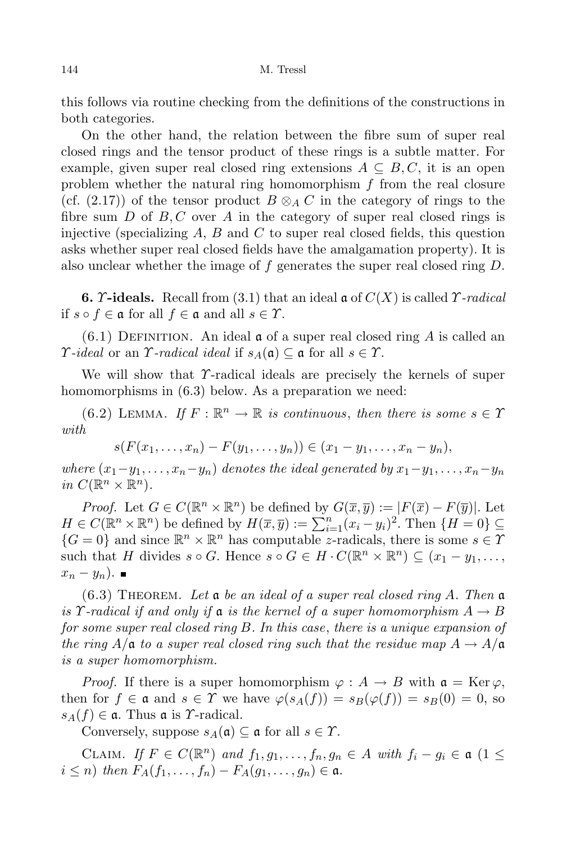this follows via routine checking from the definitions of the constructions in both categories.

On the other hand, the relation between the fibre sum of super real closed rings and the tensor product of these rings is a subtle matter. For example, given super real closed ring extensions  $A \subseteq B, C$ , it is an open problem whether the natural ring homomorphism  $f$  from the real closure (cf. (2.17)) of the tensor product  $B \otimes_A C$  in the category of rings to the fibre sum  $D$  of  $B, C$  over  $A$  in the category of super real closed rings is injective (specializing  $A, B$  and  $C$  to super real closed fields, this question asks whether super real closed fields have the amalgamation property). It is also unclear whether the image of f generates the super real closed ring D.

**6.**  $\Upsilon$ -ideals. Recall from (3.1) that an ideal a of  $C(X)$  is called  $\Upsilon$ -radical if  $s \circ f \in \mathfrak{a}$  for all  $f \in \mathfrak{a}$  and all  $s \in \Upsilon$ .

 $(6.1)$  DEFINITION. An ideal **a** of a super real closed ring A is called an *T*-ideal or an *T*-radical ideal if  $s_A(\mathfrak{a}) \subseteq \mathfrak{a}$  for all  $s \in \Upsilon$ .

We will show that  $\gamma$ -radical ideals are precisely the kernels of super homomorphisms in  $(6.3)$  below. As a preparation we need:

 $(6.2)$  LEMMA. If  $F : \mathbb{R}^n \to \mathbb{R}$  is continuous, then there is some  $s \in \mathcal{Y}$ with

$$
s(F(x_1,...,x_n) - F(y_1,...,y_n)) \in (x_1 - y_1,...,x_n - y_n),
$$

where  $(x_1-y_1, \ldots, x_n-y_n)$  denotes the ideal generated by  $x_1-y_1, \ldots, x_n-y_n$ in  $C(\mathbb{R}^n \times \mathbb{R}^n)$ .

*Proof.* Let  $G \in C(\mathbb{R}^n \times \mathbb{R}^n)$  be defined by  $G(\overline{x}, \overline{y}) := |F(\overline{x}) - F(\overline{y})|$ . Let  $H \in C(\mathbb{R}^n \times \mathbb{R}^n)$  be defined by  $H(\overline{x}, \overline{y}) := \sum_{i=1}^n (x_i - y_i)^2$ . Then  $\{H = 0\} \subseteq$  ${G = 0}$  and since  $\mathbb{R}^n \times \mathbb{R}^n$  has computable z-radicals, there is some  $s \in \gamma$ such that H divides  $s \circ G$ . Hence  $s \circ G \in H \cdot C(\mathbb{R}^n \times \mathbb{R}^n) \subseteq (x_1 - y_1, \ldots,$  $x_n - y_n$ ).  $\blacksquare$ 

 $(6.3)$  THEOREM. Let a be an ideal of a super real closed ring A. Then a is Y-radical if and only if  $a$  is the kernel of a super homomorphism  $A \to B$ for some super real closed ring  $B$ . In this case, there is a unique expansion of the ring  $A/\mathfrak{a}$  to a super real closed ring such that the residue map  $A \to A/\mathfrak{a}$ is a super homomorphism.

*Proof.* If there is a super homomorphism  $\varphi : A \to B$  with  $\mathfrak{a} = \text{Ker } \varphi$ , then for  $f \in \mathfrak{a}$  and  $s \in \Upsilon$  we have  $\varphi(s_A(f)) = s_B(\varphi(f)) = s_B(0) = 0$ , so  $s_A(f) \in \mathfrak{a}$ . Thus  $\mathfrak{a}$  is Y-radical.

Conversely, suppose  $s_A(\mathfrak{a}) \subseteq \mathfrak{a}$  for all  $s \in \Upsilon$ .

CLAIM. If  $F \in C(\mathbb{R}^n)$  and  $f_1, g_1, \ldots, f_n, g_n \in A$  with  $f_i - g_i \in \mathfrak{a}$  (1  $\leq$  $i \le n$ ) then  $F_A(f_1, ..., f_n) - F_A(g_1, ..., g_n) \in \mathfrak{a}.$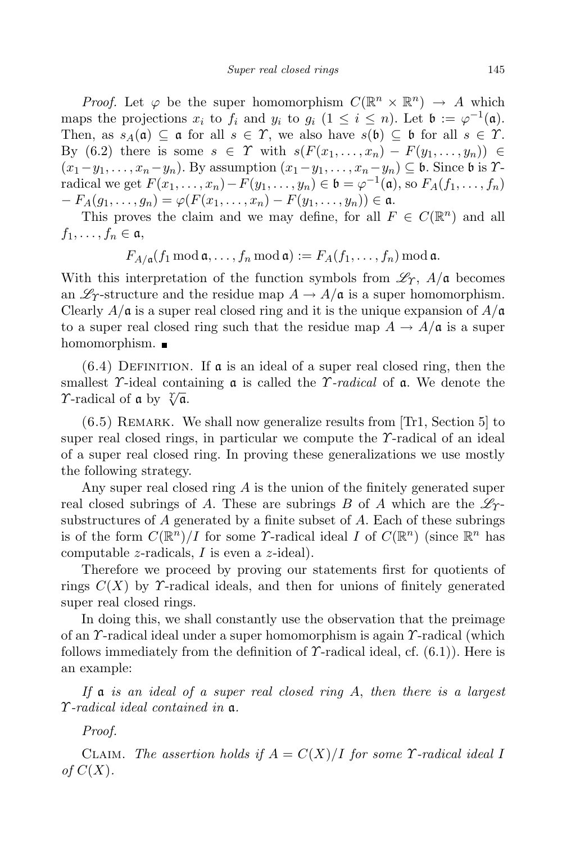*Proof.* Let  $\varphi$  be the super homomorphism  $C(\mathbb{R}^n \times \mathbb{R}^n) \to A$  which maps the projections  $x_i$  to  $f_i$  and  $y_i$  to  $g_i$  ( $1 \leq i \leq n$ ). Let  $\mathfrak{b} := \varphi^{-1}(\mathfrak{a})$ . Then, as  $s_A(\mathfrak{a}) \subseteq \mathfrak{a}$  for all  $s \in \Upsilon$ , we also have  $s(\mathfrak{b}) \subseteq \mathfrak{b}$  for all  $s \in \Upsilon$ . By (6.2) there is some  $s \in \Upsilon$  with  $s(F(x_1, \ldots, x_n) - F(y_1, \ldots, y_n)) \in$  $(x_1-y_1, \ldots, x_n-y_n)$ . By assumption  $(x_1-y_1, \ldots, x_n-y_n) \subseteq \mathfrak{b}$ . Since  $\mathfrak{b}$  is  $\mathcal{T}$ radical we get  $F(x_1, \ldots, x_n) - F(y_1, \ldots, y_n) \in \mathfrak{b} = \varphi^{-1}(\mathfrak{a}),$  so  $F_A(f_1, \ldots, f_n)$  $-F_A(g_1,..., g_n) = \varphi(F(x_1,..., x_n) - F(y_1,..., y_n)) \in \mathfrak{a}.$ 

This proves the claim and we may define, for all  $F \in C(\mathbb{R}^n)$  and all  $f_1, \ldots, f_n \in \mathfrak{a},$ 

 $F_{A/\mathfrak{a}}(f_1 \mod \mathfrak{a}, \ldots, f_n \mod \mathfrak{a}) := F_A(f_1, \ldots, f_n) \mod \mathfrak{a}.$ 

With this interpretation of the function symbols from  $\mathscr{L}_{\gamma}$ ,  $A/\mathfrak{a}$  becomes an  $\mathcal{L}_\mathcal{T}$ -structure and the residue map  $A \to A/\mathfrak{a}$  is a super homomorphism. Clearly  $A/\mathfrak{a}$  is a super real closed ring and it is the unique expansion of  $A/\mathfrak{a}$ to a super real closed ring such that the residue map  $A \to A/\mathfrak{a}$  is a super homomorphism.

 $(6.4)$  DEFINITION. If **a** is an ideal of a super real closed ring, then the smallest  $\gamma$ -ideal containing  $\alpha$  is called the  $\gamma$ -radical of  $\alpha$ . We denote the T-radical of  $\mathfrak{a}$  by  $\sqrt[\mathcal{I}]{\mathfrak{a}}$ .

 $(6.5)$  REMARK. We shall now generalize results from [Tr1, Section 5] to super real closed rings, in particular we compute the  $\gamma$ -radical of an ideal of a super real closed ring. In proving these generalizations we use mostly the following strategy.

Any super real closed ring A is the union of the finitely generated super real closed subrings of A. These are subrings B of A which are the  $\mathscr{L}_{\mathcal{T}}$ substructures of  $A$  generated by a finite subset of  $A$ . Each of these subrings is of the form  $C(\mathbb{R}^n)/I$  for some  $\Upsilon$ -radical ideal I of  $C(\mathbb{R}^n)$  (since  $\mathbb{R}^n$  has computable *z*-radicals,  $I$  is even a *z*-ideal).

Therefore we proceed by proving our statements first for quotients of rings  $C(X)$  by  $\Upsilon$ -radical ideals, and then for unions of finitely generated super real closed rings.

In doing this, we shall constantly use the observation that the preimage of an  $\gamma$ -radical ideal under a super homomorphism is again  $\gamma$ -radical (which follows immediately from the definition of  $\Upsilon$ -radical ideal, cf. (6.1)). Here is an example:

If  $\alpha$  is an ideal of a super real closed ring A, then there is a largest Υ-radical ideal contained in a.

Proof.

CLAIM. The assertion holds if  $A = C(X)/I$  for some  $\Upsilon$ -radical ideal I of  $C(X)$ .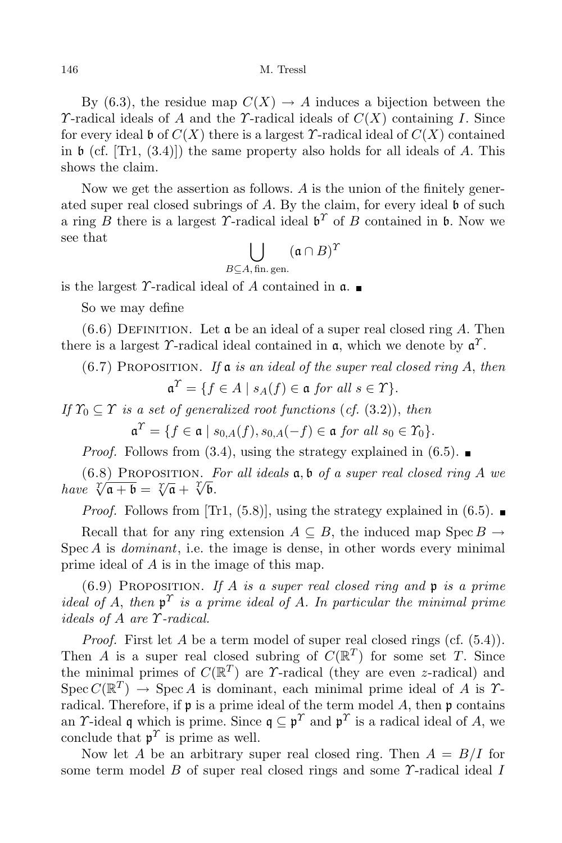By (6.3), the residue map  $C(X) \to A$  induces a bijection between the T-radical ideals of A and the T-radical ideals of  $C(X)$  containing I. Since for every ideal b of  $C(X)$  there is a largest T-radical ideal of  $C(X)$  contained in  $\mathfrak b$  (cf. [Tr1, (3.4)]) the same property also holds for all ideals of A. This shows the claim.

Now we get the assertion as follows. A is the union of the finitely generated super real closed subrings of  $A$ . By the claim, for every ideal  $\mathfrak b$  of such a ring B there is a largest T-radical ideal  $\mathfrak{b}^T$  of B contained in  $\mathfrak{b}$ . Now we see that

$$
\bigcup_{B \subseteq A, \text{ fin. gen.}} (\mathfrak{a} \cap B)^{\Upsilon}
$$

is the largest T-radical ideal of A contained in  $\mathfrak{a}$ .

So we may define

 $(6.6)$  DEFINITION. Let  $\mathfrak a$  be an ideal of a super real closed ring A. Then there is a largest T-radical ideal contained in  $\mathfrak{a}$ , which we denote by  $\mathfrak{a}^T$ .

 $(6.7)$  PROPOSITION. If **a** is an ideal of the super real closed ring A, then

$$
\mathfrak{a}^{\Upsilon} = \{ f \in A \mid s_A(f) \in \mathfrak{a} \text{ for all } s \in \Upsilon \}.
$$

If  $\Upsilon_0 \subset \Upsilon$  is a set of generalized root functions (cf. (3.2)), then

 $\mathfrak{a}^{\mathcal{T}} = \{ f \in \mathfrak{a} \mid s_{0,A}(f), s_{0,A}(-f) \in \mathfrak{a} \text{ for all } s_0 \in \mathcal{T}_0 \}.$ 

*Proof.* Follows from (3.4), using the strategy explained in (6.5).

 $(6.8)$  PROPOSITION. For all ideals  $a, b$  of a super real closed ring A we have  $\sqrt[x]{a+b} = \sqrt[x]{a} + \sqrt[x]{b}$ .

*Proof.* Follows from [Tr1, (5.8)], using the strategy explained in (6.5).

Recall that for any ring extension  $A \subseteq B$ , the induced map Spec  $B \to$  $Spec A$  is *dominant*, i.e. the image is dense, in other words every minimal prime ideal of A is in the image of this map.

 $(6.9)$  PROPOSITION. If A is a super real closed ring and p is a prime ideal of A, then  $p^{\Upsilon}$  is a prime ideal of A. In particular the minimal prime ideals of A are Υ-radical.

*Proof.* First let A be a term model of super real closed rings (cf.  $(5.4)$ ). Then A is a super real closed subring of  $C(\mathbb{R}^T)$  for some set T. Since the minimal primes of  $C(\mathbb{R}^T)$  are  $\Upsilon$ -radical (they are even z-radical) and  $Spec C(\mathbb{R}^T) \to Spec A$  is dominant, each minimal prime ideal of A is  $\Upsilon$ radical. Therefore, if  $\mathfrak p$  is a prime ideal of the term model A, then  $\mathfrak p$  contains an *Y*-ideal q which is prime. Since  $q \nsubseteq p^{\Upsilon}$  and  $p^{\Upsilon}$  is a radical ideal of A, we conclude that  $\mathfrak{p}^{\gamma}$  is prime as well.

Now let A be an arbitrary super real closed ring. Then  $A = B/I$  for some term model B of super real closed rings and some  $\Upsilon$ -radical ideal I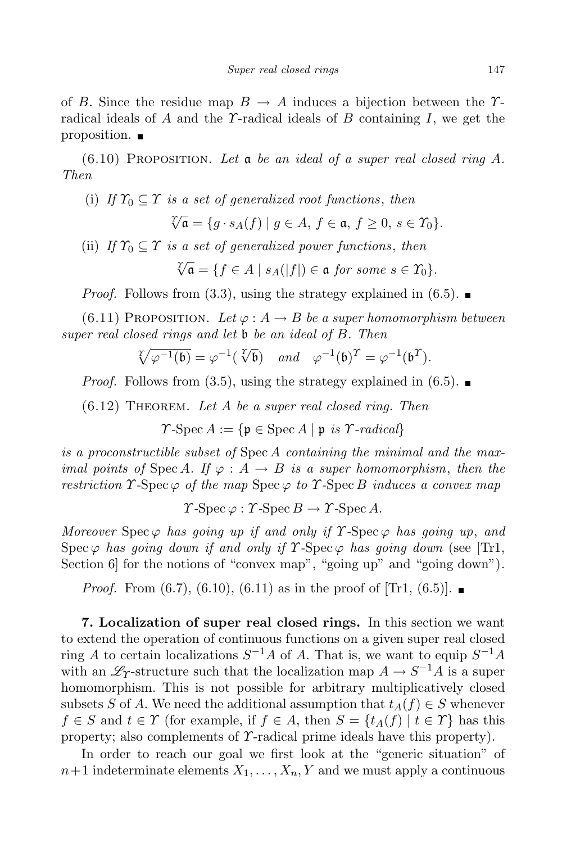of B. Since the residue map  $B \to A$  induces a bijection between the  $\Upsilon$ radical ideals of A and the Y-radical ideals of B containing I, we get the proposition.

 $(6.10)$  PROPOSITION. Let  $\mathfrak a$  be an ideal of a super real closed ring A. Then

(i) If 
$$
\Upsilon_0 \subseteq \Upsilon
$$
 is a set of generalized root functions, then

$$
\sqrt[T]{\mathfrak{a}} = \{ g \cdot s_A(f) \mid g \in A, f \in \mathfrak{a}, f \ge 0, s \in \Upsilon_0 \}.
$$

(ii) If  $\Upsilon_0 \subseteq \Upsilon$  is a set of generalized power functions, then

$$
\sqrt[T]{\mathfrak{a}}=\{f\in A\mid s_A(|f|)\in \mathfrak{a}\textit{ for some }s\in\varUpsilon_0\}.
$$

*Proof.* Follows from (3.3), using the strategy explained in (6.5).

(6.11) PROPOSITION. Let  $\varphi: A \to B$  be a super homomorphism between super real closed rings and let b be an ideal of B. Then

$$
\sqrt[T]{\varphi^{-1}(\mathfrak{b})} = \varphi^{-1}(\sqrt[T]{\mathfrak{b}}) \quad \text{and} \quad \varphi^{-1}(\mathfrak{b})^T = \varphi^{-1}(\mathfrak{b}^T).
$$

*Proof.* Follows from (3.5), using the strategy explained in (6.5).

 $(6.12)$  THEOREM. Let A be a super real closed ring. Then

 $\Upsilon$ -Spec  $A := \{ \mathfrak{p} \in \mathrm{Spec} \, A \mid \mathfrak{p} \text{ is } \Upsilon\text{-}radical \}$ 

is a proconstructible subset of Spec A containing the minimal and the maximal points of Spec A. If  $\varphi : A \to B$  is a super homomorphism, then the restriction  $\gamma$ -Spec  $\varphi$  of the map Spec  $\varphi$  to  $\gamma$ -Spec B induces a convex map

 $\Upsilon$ -Spec  $\varphi : \Upsilon$ -Spec  $B \to \Upsilon$ -Spec A.

Moreover Spec  $\varphi$  has going up if and only if  $\Upsilon$ -Spec  $\varphi$  has going up, and Spec  $\varphi$  has going down if and only if  $\Upsilon$ -Spec  $\varphi$  has going down (see [Tr1, Section 6 for the notions of "convex map", "going up" and "going down").

*Proof.* From  $(6.7)$ ,  $(6.10)$ ,  $(6.11)$  as in the proof of  $[Tr1, (6.5)]$ .

7. Localization of super real closed rings. In this section we want to extend the operation of continuous functions on a given super real closed ring A to certain localizations  $S^{-1}A$  of A. That is, we want to equip  $S^{-1}A$ with an  $\mathscr{L}_T$ -structure such that the localization map  $A \to S^{-1}A$  is a super homomorphism. This is not possible for arbitrary multiplicatively closed subsets S of A. We need the additional assumption that  $t_A(f) \in S$  whenever  $f \in S$  and  $t \in \Upsilon$  (for example, if  $f \in A$ , then  $S = \{t_A(f) \mid t \in \Upsilon\}$  has this property; also complements of  $\Upsilon$ -radical prime ideals have this property).

In order to reach our goal we first look at the "generic situation" of  $n+1$  indeterminate elements  $X_1, \ldots, X_n, Y$  and we must apply a continuous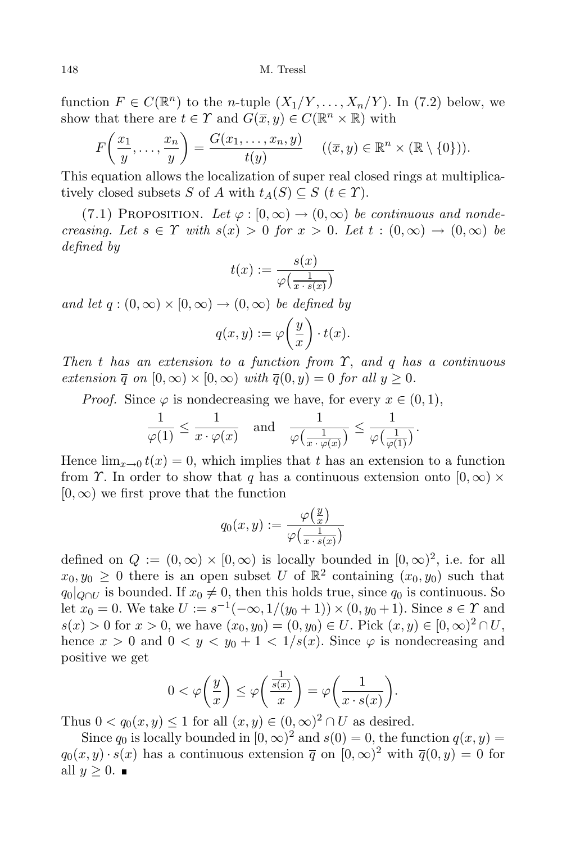function  $F \in C(\mathbb{R}^n)$  to the *n*-tuple  $(X_1/Y, \ldots, X_n/Y)$ . In (7.2) below, we show that there are  $t \in \Upsilon$  and  $G(\overline{x}, y) \in C(\mathbb{R}^n \times \mathbb{R})$  with

$$
F\left(\frac{x_1}{y},\ldots,\frac{x_n}{y}\right)=\frac{G(x_1,\ldots,x_n,y)}{t(y)}\quad ((\overline{x},y)\in\mathbb{R}^n\times(\mathbb{R}\setminus\{0\})).
$$

This equation allows the localization of super real closed rings at multiplicatively closed subsets S of A with  $t_A(S) \subseteq S$   $(t \in \Upsilon)$ .

(7.1) PROPOSITION. Let  $\varphi : [0, \infty) \to (0, \infty)$  be continuous and nondecreasing. Let  $s \in \Upsilon$  with  $s(x) > 0$  for  $x > 0$ . Let  $t : (0, \infty) \to (0, \infty)$  be defined by

$$
t(x) := \frac{s(x)}{\varphi\left(\frac{1}{x \cdot s(x)}\right)}
$$

and let  $q:(0,\infty)\times[0,\infty)\to(0,\infty)$  be defined by

$$
q(x,y) := \varphi\bigg(\frac{y}{x}\bigg) \cdot t(x).
$$

Then t has an extension to a function from  $\Upsilon$ , and q has a continuous extension  $\overline{q}$  on  $[0,\infty) \times [0,\infty)$  with  $\overline{q}(0,y) = 0$  for all  $y \geq 0$ .

*Proof.* Since  $\varphi$  is nondecreasing we have, for every  $x \in (0,1)$ ,

$$
\frac{1}{\varphi(1)} \le \frac{1}{x \cdot \varphi(x)} \quad \text{and} \quad \frac{1}{\varphi\left(\frac{1}{x \cdot \varphi(x)}\right)} \le \frac{1}{\varphi\left(\frac{1}{\varphi(1)}\right)}.
$$

Hence  $\lim_{x\to 0} t(x) = 0$ , which implies that t has an extension to a function from  $\hat{T}$ . In order to show that q has a continuous extension onto  $[0,\infty) \times$  $[0, \infty)$  we first prove that the function

$$
q_0(x,y) := \frac{\varphi\left(\frac{y}{x}\right)}{\varphi\left(\frac{1}{x \cdot s(x)}\right)}
$$

defined on  $Q := (0, \infty) \times [0, \infty)$  is locally bounded in  $[0, \infty)^2$ , i.e. for all  $x_0, y_0 \geq 0$  there is an open subset U of  $\mathbb{R}^2$  containing  $(x_0, y_0)$  such that  $q_0|_{\mathcal{O} \cap U}$  is bounded. If  $x_0 \neq 0$ , then this holds true, since  $q_0$  is continuous. So let  $x_0 = 0$ . We take  $U := s^{-1}(-\infty, 1/(y_0 + 1)) \times (0, y_0 + 1)$ . Since  $s \in \Upsilon$  and  $s(x) > 0$  for  $x > 0$ , we have  $(x_0, y_0) = (0, y_0) \in U$ . Pick  $(x, y) \in [0, \infty)^2 \cap U$ , hence  $x > 0$  and  $0 < y < y_0 + 1 < 1/s(x)$ . Since  $\varphi$  is nondecreasing and positive we get

$$
0 < \varphi\left(\frac{y}{x}\right) \le \varphi\left(\frac{\frac{1}{s(x)}}{x}\right) = \varphi\left(\frac{1}{x \cdot s(x)}\right).
$$

Thus  $0 < q_0(x, y) \le 1$  for all  $(x, y) \in (0, \infty)^2 \cap U$  as desired.

Since  $q_0$  is locally bounded in  $[0, \infty)^2$  and  $s(0) = 0$ , the function  $q(x, y) =$  $q_0(x, y) \cdot s(x)$  has a continuous extension  $\overline{q}$  on  $[0, \infty)^2$  with  $\overline{q}(0, y) = 0$  for all  $y \geq 0$ .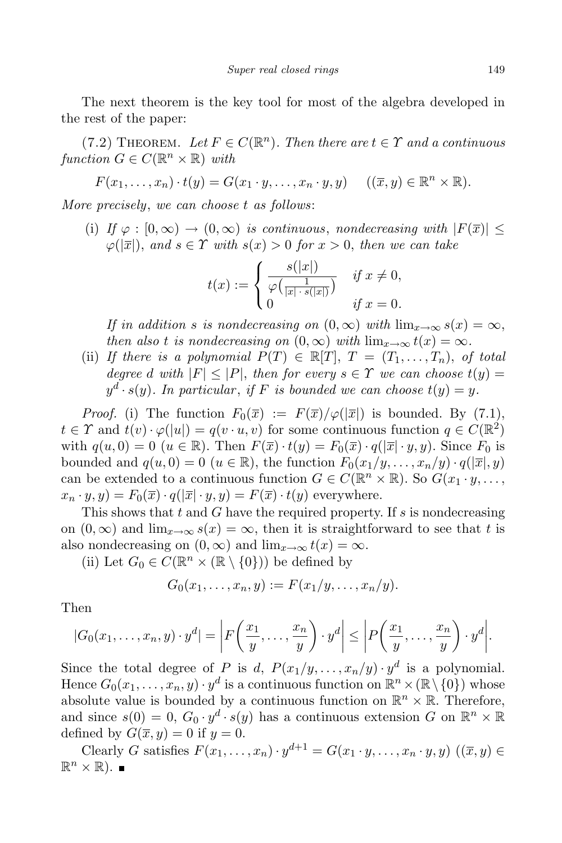The next theorem is the key tool for most of the algebra developed in the rest of the paper:

(7.2) THEOREM. Let  $F \in C(\mathbb{R}^n)$ . Then there are  $t \in \Upsilon$  and a continuous function  $G \in C(\mathbb{R}^n \times \mathbb{R})$  with

$$
F(x_1,\ldots,x_n)\cdot t(y)=G(x_1\cdot y,\ldots,x_n\cdot y,y)\quad ((\overline{x},y)\in\mathbb{R}^n\times\mathbb{R}).
$$

More precisely, we can choose t as follows:

(i) If  $\varphi : [0, \infty) \to (0, \infty)$  is continuous, nondecreasing with  $|F(\overline{x})| \leq$  $\varphi(|\overline{x}|)$ , and  $s \in \Upsilon$  with  $s(x) > 0$  for  $x > 0$ , then we can take

$$
t(x) := \begin{cases} \frac{s(|x|)}{\varphi(\frac{1}{|x| \cdot s(|x|)})} & \text{if } x \neq 0, \\ 0 & \text{if } x = 0. \end{cases}
$$

If in addition s is nondecreasing on  $(0, \infty)$  with  $\lim_{x\to\infty} s(x) = \infty$ , then also t is nondecreasing on  $(0, \infty)$  with  $\lim_{x\to\infty} t(x) = \infty$ .

(ii) If there is a polynomial  $P(T) \in \mathbb{R}[T], T = (T_1, \ldots, T_n)$ , of total degree d with  $|F| \leq |P|$ , then for every  $s \in \Upsilon$  we can choose  $t(y) =$  $y^d \cdot s(y)$ . In particular, if F is bounded we can choose  $t(y) = y$ .

*Proof.* (i) The function  $F_0(\overline{x}) := F(\overline{x})/\varphi(|\overline{x}|)$  is bounded. By (7.1),  $t \in \mathcal{X}$  and  $t(v) \cdot \varphi(|u|) = q(v \cdot u, v)$  for some continuous function  $q \in C(\mathbb{R}^2)$ with  $q(u, 0) = 0$   $(u \in \mathbb{R})$ . Then  $F(\overline{x}) \cdot t(y) = F_0(\overline{x}) \cdot q(|\overline{x}| \cdot y, y)$ . Since  $F_0$  is bounded and  $q(u, 0) = 0$   $(u \in \mathbb{R})$ , the function  $F_0(x_1/y, \ldots, x_n/y) \cdot q(\overline{x}, y)$ can be extended to a continuous function  $G \in C(\mathbb{R}^n \times \mathbb{R})$ . So  $G(x_1 \cdot y, \ldots,$  $x_n \cdot y, y) = F_0(\overline{x}) \cdot q(\overline{x} \cdot y, y) = F(\overline{x}) \cdot t(y)$  everywhere.

This shows that  $t$  and  $G$  have the required property. If  $s$  is nondecreasing on  $(0, \infty)$  and  $\lim_{x\to\infty} s(x) = \infty$ , then it is straightforward to see that t is also nondecreasing on  $(0, \infty)$  and  $\lim_{x\to\infty} t(x) = \infty$ .

(ii) Let  $G_0 \in C(\mathbb{R}^n \times (\mathbb{R} \setminus \{0\}))$  be defined by

$$
G_0(x_1,\ldots,x_n,y):=F(x_1/y,\ldots,x_n/y).
$$

Then

$$
|G_0(x_1,\ldots,x_n,y)\cdot y^d| = \left|F\left(\frac{x_1}{y},\ldots,\frac{x_n}{y}\right)\cdot y^d\right| \le \left|P\left(\frac{x_1}{y},\ldots,\frac{x_n}{y}\right)\cdot y^d\right|.
$$

Since the total degree of P is d,  $P(x_1/y, \ldots, x_n/y) \cdot y^d$  is a polynomial. Hence  $G_0(x_1,\ldots,x_n,y) \cdot y^d$  is a continuous function on  $\mathbb{R}^n \times (\mathbb{R} \setminus \{0\})$  whose absolute value is bounded by a continuous function on  $\mathbb{R}^n \times \mathbb{R}$ . Therefore, and since  $s(0) = 0, G_0 \cdot y^d \cdot s(y)$  has a continuous extension G on  $\mathbb{R}^n \times \mathbb{R}$ defined by  $G(\overline{x}, y) = 0$  if  $y = 0$ .

Clearly G satisfies  $F(x_1, \ldots, x_n) \cdot y^{d+1} = G(x_1 \cdot y, \ldots, x_n \cdot y, y)$   $((\overline{x}, y) \in$  $\mathbb{R}^n \times \mathbb{R}$ ).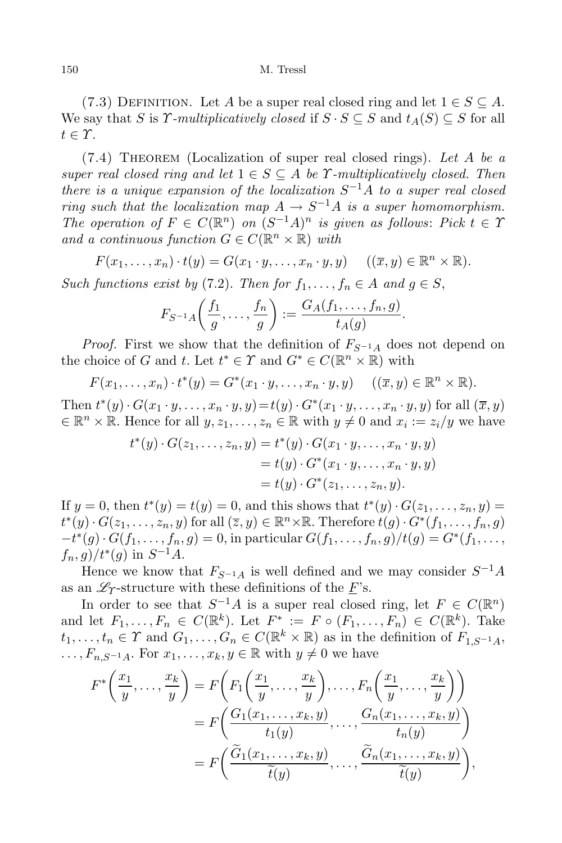#### 150 M. Tressl

(7.3) DEFINITION. Let A be a super real closed ring and let  $1 \in S \subseteq A$ . We say that S is  $\Upsilon$ -multiplicatively closed if  $S \cdot S \subseteq S$  and  $t_A(S) \subseteq S$  for all  $t \in \Upsilon$ .

 $(7.4)$  THEOREM (Localization of super real closed rings). Let A be a super real closed ring and let  $1 \in S \subseteq A$  be  $\Upsilon$ -multiplicatively closed. Then there is a unique expansion of the localization  $S^{-1}A$  to a super real closed ring such that the localization map  $A \to S^{-1}A$  is a super homomorphism. The operation of  $F \in C(\mathbb{R}^n)$  on  $(S^{-1}A)^n$  is given as follows: Pick  $t \in \mathcal{Y}$ and a continuous function  $G \in C(\mathbb{R}^n \times \mathbb{R})$  with

 $F(x_1, ..., x_n) \cdot t(y) = G(x_1 \cdot y, ..., x_n \cdot y, y)$  $((\overline{x}, y) \in \mathbb{R}^n \times \mathbb{R}).$ 

Such functions exist by (7.2). Then for  $f_1, \ldots, f_n \in A$  and  $g \in S$ ,

$$
F_{S^{-1}A}\left(\frac{f_1}{g},\ldots,\frac{f_n}{g}\right):=\frac{G_A(f_1,\ldots,f_n,g)}{t_A(g)}.
$$

*Proof.* First we show that the definition of  $F_{S^{-1}A}$  does not depend on the choice of G and t. Let  $t^* \in \Upsilon$  and  $G^* \in C(\mathbb{R}^n \times \mathbb{R})$  with

$$
F(x_1,\ldots,x_n)\cdot t^*(y)=G^*(x_1\cdot y,\ldots,x_n\cdot y,y) \quad ((\overline{x},y)\in\mathbb{R}^n\times\mathbb{R}).
$$

Then  $t^*(y) \cdot G(x_1 \cdot y, \ldots, x_n \cdot y, y) = t(y) \cdot G^*(x_1 \cdot y, \ldots, x_n \cdot y, y)$  for all  $(\overline{x}, y)$  $\in \mathbb{R}^n \times \mathbb{R}$ . Hence for all  $y, z_1, \ldots, z_n \in \mathbb{R}$  with  $y \neq 0$  and  $x_i := z_i/y$  we have

$$
t^*(y) \cdot G(z_1, ..., z_n, y) = t^*(y) \cdot G(x_1 \cdot y, ..., x_n \cdot y, y)
$$
  
=  $t(y) \cdot G^*(x_1 \cdot y, ..., x_n \cdot y, y)$   
=  $t(y) \cdot G^*(z_1, ..., z_n, y).$ 

If  $y = 0$ , then  $t^*(y) = t(y) = 0$ , and this shows that  $t^*(y) \cdot G(z_1, ..., z_n, y) =$  $t^*(y) \cdot G(z_1,\ldots,z_n,y)$  for all  $(\overline{z},y) \in \mathbb{R}^n \times \mathbb{R}$ . Therefore  $t(g) \cdot G^*(f_1,\ldots,f_n,g)$  $-t^{*}(g) \cdot G(f_{1},...,f_{n},g) = 0$ , in particular  $G(f_{1},...,f_{n},g)/t(g) = G^{*}(f_{1},...,f_{n},g)$  $f_n, g)/t^*(g)$  in  $S^{-1}A$ .

Hence we know that  $F_{S^{-1}A}$  is well defined and we may consider  $S^{-1}A$ as an  $\mathcal{L}_\Upsilon$ -structure with these definitions of the  $\underline{F}$ 's.

In order to see that  $S^{-1}A$  is a super real closed ring, let  $F \in C(\mathbb{R}^n)$ and let  $F_1, \ldots, F_n \in C(\mathbb{R}^k)$ . Let  $F^* := F \circ (F_1, \ldots, F_n) \in C(\mathbb{R}^k)$ . Take  $t_1, \ldots, t_n \in \Upsilon$  and  $G_1, \ldots, G_n \in C(\mathbb{R}^k \times \mathbb{R})$  as in the definition of  $F_{1,S^{-1}A}$ ,  $\ldots, F_{n,S^{-1}A}$ . For  $x_1, \ldots, x_k, y \in \mathbb{R}$  with  $y \neq 0$  we have

$$
F^*\left(\frac{x_1}{y},\ldots,\frac{x_k}{y}\right) = F\left(F_1\left(\frac{x_1}{y},\ldots,\frac{x_k}{y}\right),\ldots,F_n\left(\frac{x_1}{y},\ldots,\frac{x_k}{y}\right)\right)
$$
  

$$
= F\left(\frac{G_1(x_1,\ldots,x_k,y)}{t_1(y)},\ldots,\frac{G_n(x_1,\ldots,x_k,y)}{t_n(y)}\right)
$$
  

$$
= F\left(\frac{\widetilde{G}_1(x_1,\ldots,x_k,y)}{\widetilde{t}(y)},\ldots,\frac{\widetilde{G}_n(x_1,\ldots,x_k,y)}{\widetilde{t}(y)}\right),
$$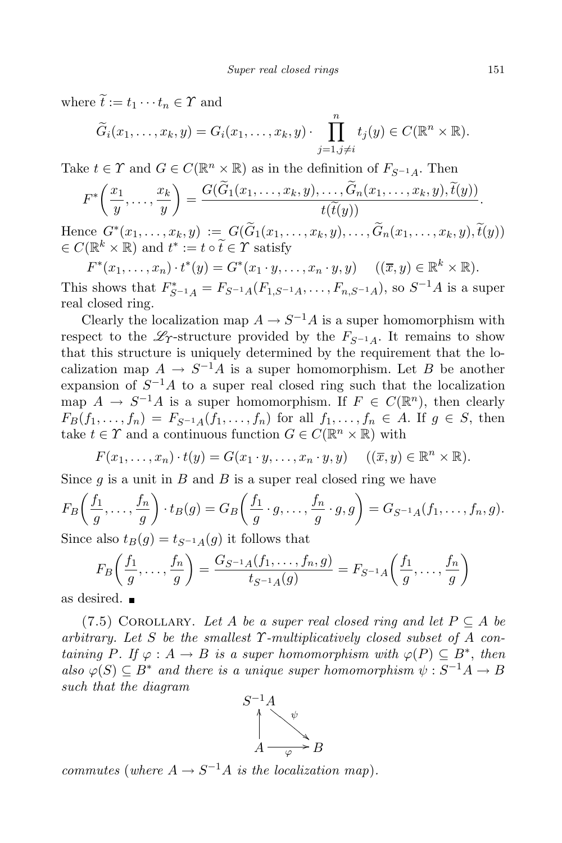where  $\widetilde{t} := t_1 \cdots t_n \in \Upsilon$  and

$$
\widetilde{G}_i(x_1,\ldots,x_k,y)=G_i(x_1,\ldots,x_k,y)\cdot\prod_{j=1,j\neq i}^n t_j(y)\in C(\mathbb{R}^n\times\mathbb{R}).
$$

Take  $t \in \Upsilon$  and  $G \in C(\mathbb{R}^n \times \mathbb{R})$  as in the definition of  $F_{S^{-1}A}$ . Then

$$
F^*\left(\frac{x_1}{y},\ldots,\frac{x_k}{y}\right)=\frac{G(\widetilde{G}_1(x_1,\ldots,x_k,y),\ldots,\widetilde{G}_n(x_1,\ldots,x_k,y),\widetilde{t}(y))}{t(\widetilde{t}(y))}.
$$

Hence  $G^*(x_1, \ldots, x_k, y) := G(G_1(x_1, \ldots, x_k, y), \ldots, G_n(x_1, \ldots, x_k, y), \tilde{t}(y))$  $\in C(\mathbb{R}^k \times \mathbb{R})$  and  $t^* := t \circ \tilde{t} \in \Upsilon$  satisfy

 $F^*(x_1, ..., x_n) \cdot t^*(y) = G^*(x_1 \cdot y, ..., x_n \cdot y, y) \quad ((\overline{x}, y) \in \mathbb{R}^k \times \mathbb{R}).$ This shows that  $F_{S^{-1}A}^* = F_{S^{-1}A}(F_{1,S^{-1}A}, \ldots, F_{n,S^{-1}A})$ , so  $S^{-1}A$  is a super real closed ring.

Clearly the localization map  $A \to S^{-1}A$  is a super homomorphism with respect to the  $\mathscr{L}_{\Upsilon}$ -structure provided by the  $F_{S^{-1}A}$ . It remains to show that this structure is uniquely determined by the requirement that the localization map  $A \to S^{-1}A$  is a super homomorphism. Let B be another expansion of  $S^{-1}A$  to a super real closed ring such that the localization map  $A \to S^{-1}A$  is a super homomorphism. If  $F \in C(\mathbb{R}^n)$ , then clearly  $F_B(f_1, \ldots, f_n) = F_{S^{-1}A}(f_1, \ldots, f_n)$  for all  $f_1, \ldots, f_n \in A$ . If  $g \in S$ , then take  $t \in \Upsilon$  and a continuous function  $G \in C(\mathbb{R}^n \times \mathbb{R})$  with

$$
F(x_1,\ldots,x_n)\cdot t(y)=G(x_1\cdot y,\ldots,x_n\cdot y,y)\quad ((\overline{x},y)\in\mathbb{R}^n\times\mathbb{R}).
$$

Since  $g$  is a unit in  $B$  and  $B$  is a super real closed ring we have

$$
F_B\left(\frac{f_1}{g},\ldots,\frac{f_n}{g}\right)\cdot t_B(g) = G_B\left(\frac{f_1}{g}\cdot g,\ldots,\frac{f_n}{g}\cdot g,g\right) = G_{S^{-1}A}(f_1,\ldots,f_n,g).
$$

Since also  $t_B(q) = t_{S^{-1}A}(q)$  it follows that

$$
F_B\left(\frac{f_1}{g}, \dots, \frac{f_n}{g}\right) = \frac{G_{S^{-1}A}(f_1, \dots, f_n, g)}{t_{S^{-1}A}(g)} = F_{S^{-1}A}\left(\frac{f_1}{g}, \dots, \frac{f_n}{g}\right)
$$

as desired.

(7.5) COROLLARY. Let A be a super real closed ring and let  $P \subseteq A$  be arbitrary. Let S be the smallest  $\Upsilon$ -multiplicatively closed subset of A containing P. If  $\varphi: A \to B$  is a super homomorphism with  $\varphi(P) \subseteq B^*$ , then also  $\varphi(S) \subseteq B^*$  and there is a unique super homomorphism  $\psi : S^{-1}A \to B$ such that the diagram



commutes (where  $A \rightarrow S^{-1}A$  is the localization map).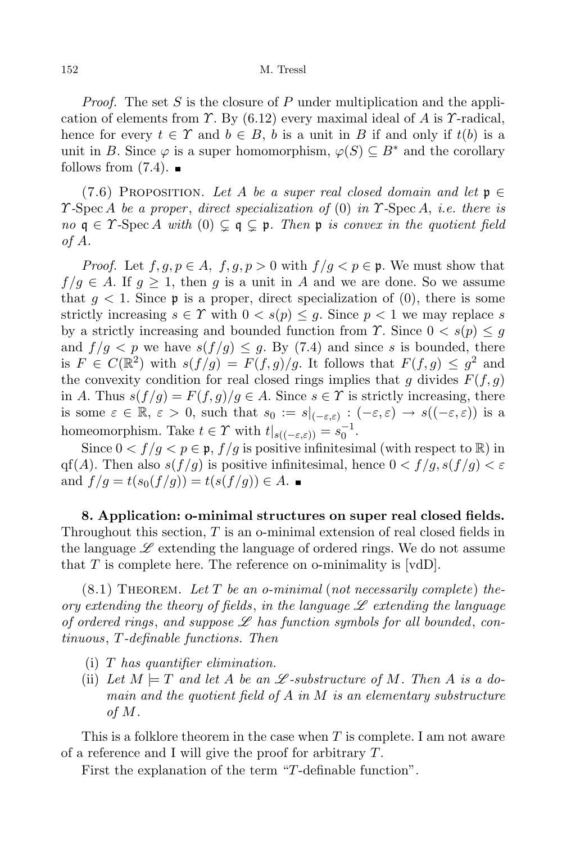*Proof.* The set S is the closure of P under multiplication and the application of elements from  $\hat{T}$ . By (6.12) every maximal ideal of A is  $\hat{T}$ -radical, hence for every  $t \in \Upsilon$  and  $b \in B$ , b is a unit in B if and only if  $t(b)$  is a unit in B. Since  $\varphi$  is a super homomorphism,  $\varphi(S) \subset B^*$  and the corollary follows from  $(7.4)$ .

(7.6) PROPOSITION. Let A be a super real closed domain and let  $\mathfrak{p} \in$ T-Spec A be a proper, direct specialization of (0) in T-Spec A, i.e. there is no  $\mathfrak{q} \in \Upsilon$ -Spec A with  $(0) \subsetneq \mathfrak{q} \subsetneq \mathfrak{p}$ . Then  $\mathfrak{p}$  is convex in the quotient field of A.

*Proof.* Let  $f, g, p \in A$ ,  $f, g, p > 0$  with  $f/g < p \in \mathfrak{p}$ . We must show that  $f/q \in A$ . If  $q \ge 1$ , then q is a unit in A and we are done. So we assume that  $g < 1$ . Since **p** is a proper, direct specialization of (0), there is some strictly increasing  $s \in \Upsilon$  with  $0 < s(p) \leq g$ . Since  $p < 1$  we may replace s by a strictly increasing and bounded function from  $\hat{T}$ . Since  $0 < s(p) \leq q$ and  $f/g < p$  we have  $s(f/g) \leq g$ . By (7.4) and since s is bounded, there is  $F \in C(\mathbb{R}^2)$  with  $s(f/g) = F(f, g)/g$ . It follows that  $F(f, g) \leq g^2$  and the convexity condition for real closed rings implies that g divides  $F(f, g)$ in A. Thus  $s(f/g) = F(f, g)/g \in A$ . Since  $s \in \Upsilon$  is strictly increasing, there is some  $\varepsilon \in \mathbb{R}$ ,  $\varepsilon > 0$ , such that  $s_0 := s|_{(-\varepsilon,\varepsilon)} : (-\varepsilon,\varepsilon) \to s((-\varepsilon,\varepsilon))$  is a homeomorphism. Take  $t \in \Upsilon$  with  $t|_{s((-\varepsilon,\varepsilon))} = s_0^{-1}$ .

Since  $0 < f/g < p \in \mathfrak{p}$ ,  $f/g$  is positive infinitesimal (with respect to  $\mathbb{R}$ ) in qf(A). Then also  $s(f/g)$  is positive infinitesimal, hence  $0 < f/g, s(f/g) < \varepsilon$ and  $f/g = t(s_0(f/g)) = t(s(f/g)) \in A$ .

8. Application: o-minimal structures on super real closed fields. Throughout this section,  $T$  is an o-minimal extension of real closed fields in the language  $\mathscr L$  extending the language of ordered rings. We do not assume that T is complete here. The reference on o-minimality is  $[\text{vdD}]$ .

 $(8.1)$  THEOREM. Let T be an o-minimal (not necessarily complete) theory extending the theory of fields, in the language  $\mathscr L$  extending the language of ordered rings, and suppose  $\mathscr L$  has function symbols for all bounded, continuous, T-definable functions. Then

- (i) T has quantifier elimination.
- (ii) Let  $M \models T$  and let A be an  $\mathscr L$ -substructure of M. Then A is a domain and the quotient field of  $A$  in  $M$  is an elementary substructure of M.

This is a folklore theorem in the case when T is complete. I am not aware of a reference and I will give the proof for arbitrary T.

First the explanation of the term "T-definable function".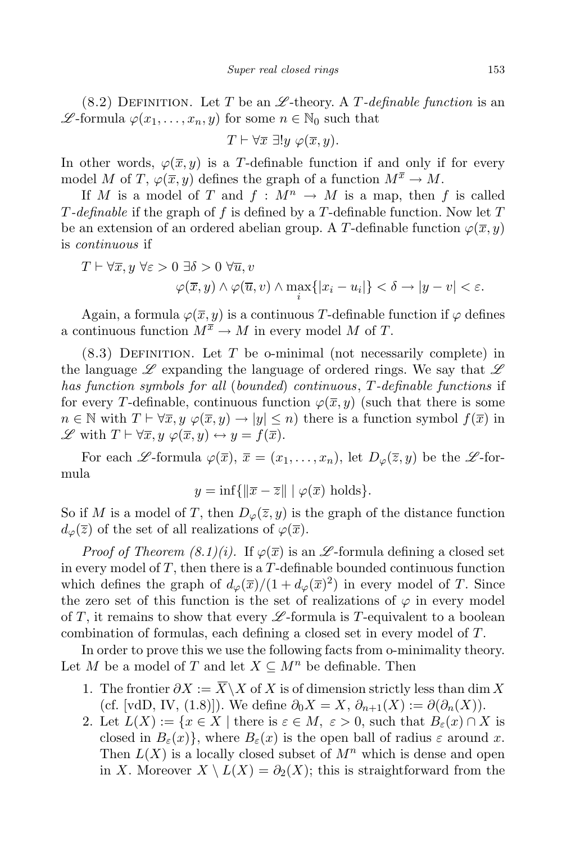(8.2) DEFINITION. Let T be an  $\mathscr{L}\text{-theory}$ . A T-definable function is an  $\mathscr{L}$ -formula  $\varphi(x_1,\ldots,x_n,y)$  for some  $n \in \mathbb{N}_0$  such that

$$
T \vdash \forall \overline{x} \; \exists ! y \; \varphi(\overline{x}, y).
$$

In other words,  $\varphi(\overline{x}, y)$  is a T-definable function if and only if for every model M of T,  $\varphi(\overline{x}, y)$  defines the graph of a function  $M^{\overline{x}} \to M$ .

If M is a model of T and  $f : M^n \to M$  is a map, then f is called T-definable if the graph of f is defined by a T-definable function. Now let  $T$ be an extension of an ordered abelian group. A T-definable function  $\varphi(\overline{x}, y)$ is continuous if

$$
T \vdash \forall \overline{x}, y \ \forall \varepsilon > 0 \ \exists \delta > 0 \ \forall \overline{u}, v
$$

$$
\varphi(\overline{x}, y) \land \varphi(\overline{u}, v) \land \max_{i} \{|x_i - u_i|\} < \delta \to |y - v| < \varepsilon.
$$

Again, a formula  $\varphi(\overline{x}, y)$  is a continuous T-definable function if  $\varphi$  defines a continuous function  $M^{\overline{x}} \to M$  in every model M of T.

 $(8.3)$  DEFINITION. Let T be o-minimal (not necessarily complete) in the language  $\mathscr L$  expanding the language of ordered rings. We say that  $\mathscr L$ has function symbols for all (bounded) continuous, T-definable functions if for every T-definable, continuous function  $\varphi(\overline{x}, y)$  (such that there is some  $n \in \mathbb{N}$  with  $T \vdash \forall \overline{x}, y \; \varphi(\overline{x}, y) \rightarrow |y| \leq n$  there is a function symbol  $f(\overline{x})$  in L with  $T \vdash \forall \overline{x}, y \ \varphi(\overline{x}, y) \leftrightarrow y = f(\overline{x}).$ 

For each L-formula  $\varphi(\overline{x}), \overline{x} = (x_1, \ldots, x_n)$ , let  $D_{\varphi}(\overline{z}, y)$  be the L-formula

$$
y = \inf\{\|\overline{x} - \overline{z}\| \mid \varphi(\overline{x}) \text{ holds}\}.
$$

So if M is a model of T, then  $D_{\varphi}(\overline{z}, y)$  is the graph of the distance function  $d_{\varphi}(\overline{z})$  of the set of all realizations of  $\varphi(\overline{x})$ .

*Proof of Theorem*  $(8.1)(i)$ *.* If  $\varphi(\overline{x})$  is an  $\mathscr{L}$ -formula defining a closed set in every model of  $T$ , then there is a  $T$ -definable bounded continuous function which defines the graph of  $d_{\varphi}(\overline{x})/(1+d_{\varphi}(\overline{x})^2)$  in every model of T. Since the zero set of this function is the set of realizations of  $\varphi$  in every model of T, it remains to show that every  $\mathscr L$ -formula is T-equivalent to a boolean combination of formulas, each defining a closed set in every model of T.

In order to prove this we use the following facts from o-minimality theory. Let M be a model of T and let  $X \subseteq M^n$  be definable. Then

- 1. The frontier  $\partial X := \overline{X} \backslash X$  of X is of dimension strictly less than dim X (cf. [vdD, IV, (1.8)]). We define  $\partial_0 X = X$ ,  $\partial_{n+1}(X) := \partial(\partial_n(X))$ .
- 2. Let  $L(X) := \{x \in X \mid \text{there is } \varepsilon \in M, \varepsilon > 0, \text{ such that } B_{\varepsilon}(x) \cap X \text{ is } \varepsilon \leq 0 \}$ closed in  $B_{\varepsilon}(x)$ , where  $B_{\varepsilon}(x)$  is the open ball of radius  $\varepsilon$  around x. Then  $L(X)$  is a locally closed subset of  $M^n$  which is dense and open in X. Moreover  $X \setminus L(X) = \partial_2(X)$ ; this is straightforward from the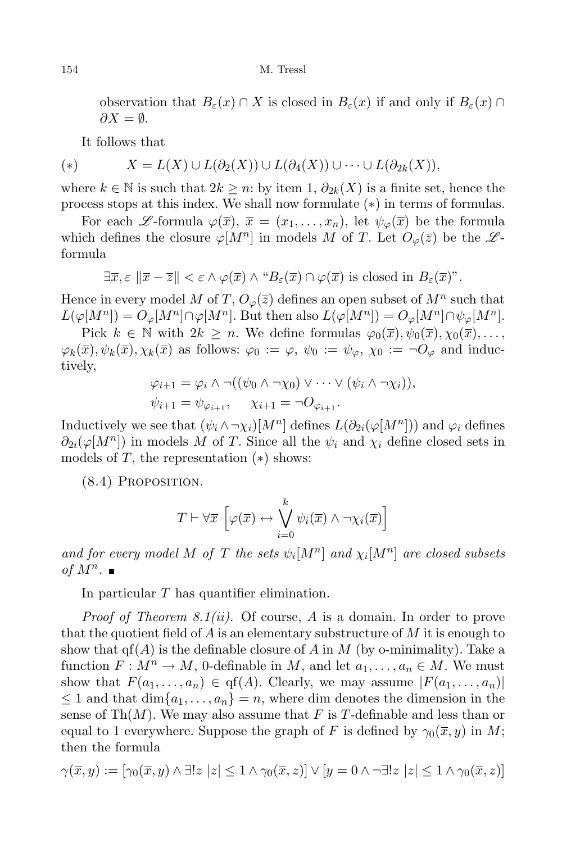observation that  $B_{\varepsilon}(x) \cap X$  is closed in  $B_{\varepsilon}(x)$  if and only if  $B_{\varepsilon}(x) \cap$  $\partial X = \emptyset$ .

It follows that

(\*) 
$$
X = L(X) \cup L(\partial_2(X)) \cup L(\partial_4(X)) \cup \cdots \cup L(\partial_{2k}(X)),
$$

where  $k \in \mathbb{N}$  is such that  $2k \geq n$ : by item 1,  $\partial_{2k}(X)$  is a finite set, hence the process stops at this index. We shall now formulate (∗) in terms of formulas.

For each L -formula  $\varphi(\overline{x}), \overline{x} = (x_1, \ldots, x_n),$  let  $\psi_{\varphi}(\overline{x})$  be the formula which defines the closure  $\varphi[M^n]$  in models M of T. Let  $O_{\varphi}(\overline{z})$  be the  $\mathscr{L}$ formula

 $\exists \overline{x}, \varepsilon \|\overline{x} - \overline{z}\| < \varepsilon \wedge \varphi(\overline{x}) \wedge \text{``} B_{\varepsilon}(\overline{x}) \cap \varphi(\overline{x})$  is closed in  $B_{\varepsilon}(\overline{x})$ ".

Hence in every model M of T,  $O_{\varphi}(\overline{z})$  defines an open subset of  $M^n$  such that  $L(\varphi[M^n]) = O_{\varphi}[M^n] \cap \varphi[M^n]$ . But then also  $L(\varphi[M^n]) = O_{\varphi}[M^n] \cap \psi_{\varphi}[M^n]$ .

Pick  $k \in \mathbb{N}$  with  $2k \geq n$ . We define formulas  $\varphi_0(\overline{x}), \psi_0(\overline{x}), \chi_0(\overline{x}), \ldots$  $\varphi_k(\overline{x}), \psi_k(\overline{x}), \chi_k(\overline{x})$  as follows:  $\varphi_0 := \varphi, \psi_0 := \psi_\varphi, \chi_0 := \neg O_\varphi$  and inductively,

$$
\varphi_{i+1} = \varphi_i \wedge \neg((\psi_0 \wedge \neg \chi_0) \vee \cdots \vee (\psi_i \wedge \neg \chi_i)),
$$
  

$$
\psi_{i+1} = \psi_{\varphi_{i+1}}, \qquad \chi_{i+1} = \neg O_{\varphi_{i+1}}.
$$

Inductively we see that  $(\psi_i \wedge \neg \chi_i)[M^n]$  defines  $L(\partial_{2i}(\varphi[M^n]))$  and  $\varphi_i$  defines  $\partial_{2i}(\varphi[M^n])$  in models M of T. Since all the  $\psi_i$  and  $\chi_i$  define closed sets in models of  $T$ , the representation  $(*)$  shows:

(8.4) Proposition.

$$
T \vdash \forall \overline{x} \left[ \varphi(\overline{x}) \leftrightarrow \bigvee_{i=0}^{k} \psi_i(\overline{x}) \land \neg \chi_i(\overline{x}) \right]
$$

and for every model M of T the sets  $\psi_i[M^n]$  and  $\chi_i[M^n]$  are closed subsets of  $M^n$ .

In particular T has quantifier elimination.

*Proof of Theorem 8.1(ii).* Of course, A is a domain. In order to prove that the quotient field of A is an elementary substructure of M it is enough to show that  $qf(A)$  is the definable closure of A in M (by o-minimality). Take a function  $F: M^n \to M$ , 0-definable in M, and let  $a_1, \ldots, a_n \in M$ . We must show that  $F(a_1, \ldots, a_n) \in \text{qf}(A)$ . Clearly, we may assume  $|F(a_1, \ldots, a_n)|$  $\leq 1$  and that  $\dim\{a_1,\ldots,a_n\}=n$ , where dim denotes the dimension in the sense of Th $(M)$ . We may also assume that F is T-definable and less than or equal to 1 everywhere. Suppose the graph of F is defined by  $\gamma_0(\overline{x}, y)$  in M; then the formula

$$
\gamma(\overline{x}, y) := [\gamma_0(\overline{x}, y) \land \exists! z \ |z| \leq 1 \land \gamma_0(\overline{x}, z)] \lor [y = 0 \land \neg \exists! z \ |z| \leq 1 \land \gamma_0(\overline{x}, z)]
$$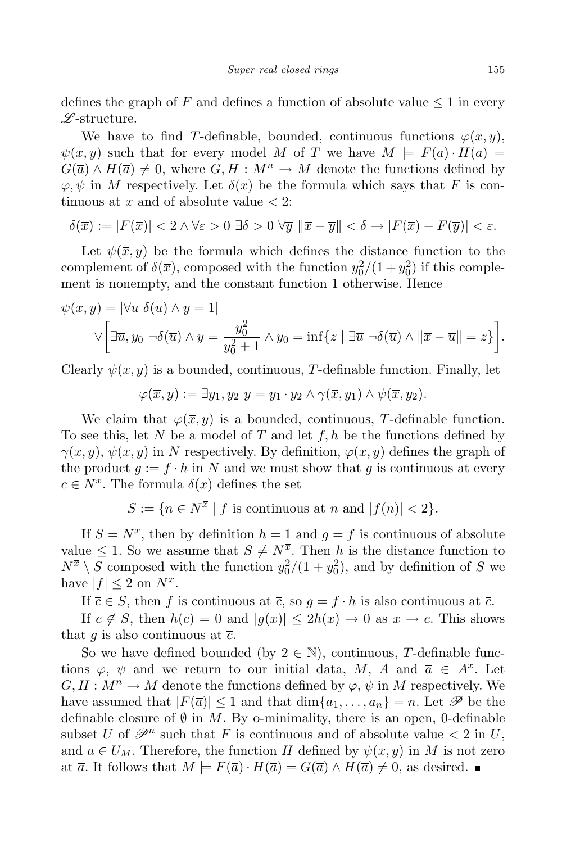defines the graph of F and defines a function of absolute value  $\leq 1$  in every  $\mathscr{L}$ -structure.

We have to find T-definable, bounded, continuous functions  $\varphi(\overline{x}, y)$ ,  $\psi(\overline{x}, y)$  such that for every model M of T we have  $M \models F(\overline{a}) \cdot H(\overline{a}) =$  $G(\overline{a}) \wedge H(\overline{a}) \neq 0$ , where  $G, H : M^n \to M$  denote the functions defined by  $\varphi, \psi$  in M respectively. Let  $\delta(\overline{x})$  be the formula which says that F is continuous at  $\bar{x}$  and of absolute value  $\langle 2 \rangle$ :

$$
\delta(\overline{x}) := |F(\overline{x})| < 2 \land \forall \varepsilon > 0 \exists \delta > 0 \,\forall \overline{y} \|\overline{x} - \overline{y}\| < \delta \rightarrow |F(\overline{x}) - F(\overline{y})| < \varepsilon.
$$

Let  $\psi(\overline{x}, y)$  be the formula which defines the distance function to the complement of  $\delta(\bar{x})$ , composed with the function  $y_0^2/(1+y_0^2)$  if this complement is nonempty, and the constant function 1 otherwise. Hence

$$
\psi(\overline{x}, y) = [\forall \overline{u} \ \delta(\overline{u}) \land y = 1]
$$

$$
\lor \left[\exists \overline{u}, y_0 \ \neg \delta(\overline{u}) \land y = \frac{y_0^2}{y_0^2 + 1} \land y_0 = \inf\{z \mid \exists \overline{u} \ \neg \delta(\overline{u}) \land \|\overline{x} - \overline{u}\| = z\}\right].
$$

Clearly  $\psi(\overline{x}, y)$  is a bounded, continuous, T-definable function. Finally, let

$$
\varphi(\overline{x},y) := \exists y_1, y_2 \ y = y_1 \cdot y_2 \wedge \gamma(\overline{x}, y_1) \wedge \psi(\overline{x}, y_2).
$$

We claim that  $\varphi(\overline{x}, y)$  is a bounded, continuous, T-definable function. To see this, let N be a model of T and let  $f, h$  be the functions defined by  $\gamma(\bar{x}, y)$ ,  $\psi(\bar{x}, y)$  in N respectively. By definition,  $\varphi(\bar{x}, y)$  defines the graph of the product  $g := f \cdot h$  in N and we must show that g is continuous at every  $\overline{c} \in N^{\overline{x}}$ . The formula  $\delta(\overline{x})$  defines the set

 $S := {\overline{n} \in N^{\overline{x}} \mid f \text{ is continuous at } \overline{n} \text{ and } |f(\overline{n})| < 2}.$ 

If  $S = N^{\overline{x}}$ , then by definition  $h = 1$  and  $g = f$  is continuous of absolute value  $\leq 1$ . So we assume that  $S \neq N^{\overline{x}}$ . Then h is the distance function to  $N^{\overline{x}} \setminus S$  composed with the function  $y_0^2/(1+y_0^2)$ , and by definition of S we have  $|f| \leq 2$  on  $N^{\overline{x}}$ .

If  $\overline{c} \in S$ , then f is continuous at  $\overline{c}$ , so  $g = f \cdot h$  is also continuous at  $\overline{c}$ .

If  $\overline{c} \notin S$ , then  $h(\overline{c}) = 0$  and  $|g(\overline{x})| \leq 2h(\overline{x}) \to 0$  as  $\overline{x} \to \overline{c}$ . This shows that q is also continuous at  $\overline{c}$ .

So we have defined bounded (by  $2 \in \mathbb{N}$ ), continuous, T-definable functions  $\varphi$ ,  $\psi$  and we return to our initial data, M, A and  $\overline{a} \in A^{\overline{x}}$ . Let  $G, H: M^n \to M$  denote the functions defined by  $\varphi, \psi$  in M respectively. We have assumed that  $|F(\overline{a})| \leq 1$  and that  $\dim\{a_1,\ldots,a_n\} = n$ . Let  $\mathscr P$  be the definable closure of  $\emptyset$  in M. By o-minimality, there is an open, 0-definable subset U of  $\mathscr{P}^n$  such that F is continuous and of absolute value  $\lt 2$  in U, and  $\overline{a} \in U_M$ . Therefore, the function H defined by  $\psi(\overline{x}, y)$  in M is not zero at  $\overline{a}$ . It follows that  $M \models F(\overline{a}) \cdot H(\overline{a}) = G(\overline{a}) \wedge H(\overline{a}) \neq 0$ , as desired. ■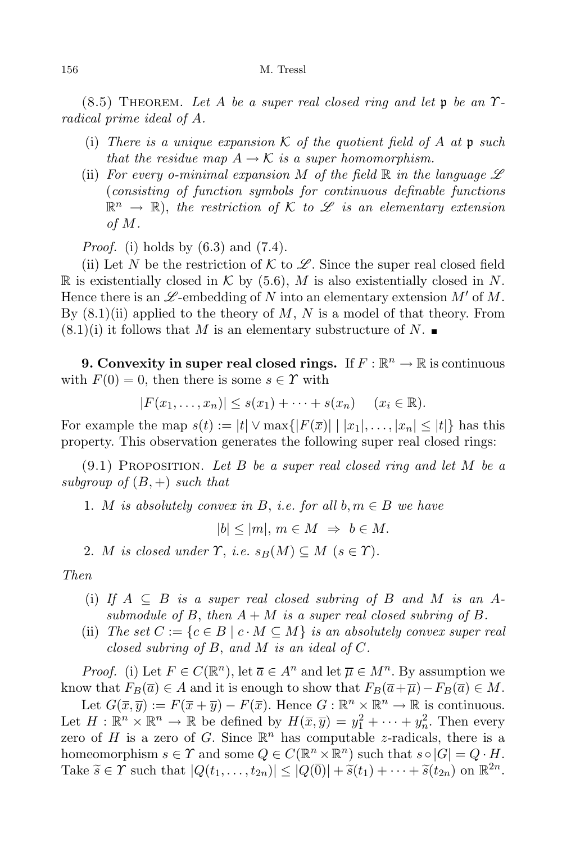$(8.5)$  THEOREM. Let A be a super real closed ring and let p be an  $\Upsilon$ radical prime ideal of A.

- (i) There is a unique expansion K of the quotient field of A at  $\mathfrak p$  such that the residue map  $A \to \mathcal{K}$  is a super homomorphism.
- (ii) For every o-minimal expansion M of the field  $\mathbb R$  in the language  $\mathscr L$ (consisting of function symbols for continuous definable functions  $\mathbb{R}^n \to \mathbb{R}$ , the restriction of K to L is an elementary extension of M.

*Proof.* (i) holds by  $(6.3)$  and  $(7.4)$ .

(ii) Let N be the restriction of K to  $\mathscr L$ . Since the super real closed field  $\mathbb R$  is existentially closed in  $\mathcal K$  by (5.6),  $M$  is also existentially closed in  $N$ . Hence there is an  $\mathscr{L}\text{-embedding of }N$  into an elementary extension M' of M. By  $(8.1)(ii)$  applied to the theory of M, N is a model of that theory. From  $(8.1)(i)$  it follows that M is an elementary substructure of N.

**9. Convexity in super real closed rings.** If  $F : \mathbb{R}^n \to \mathbb{R}$  is continuous with  $F(0) = 0$ , then there is some  $s \in \Upsilon$  with

$$
|F(x_1,\ldots,x_n)|\leq s(x_1)+\cdots+s(x_n)\quad (x_i\in\mathbb{R}).
$$

For example the map  $s(t) := |t| \vee \max\{|F(\overline{x})| \mid |x_1|, \ldots, |x_n| \leq |t|\}$  has this property. This observation generates the following super real closed rings:

 $(9.1)$  PROPOSITION. Let B be a super real closed ring and let M be a subgroup of  $(B,+)$  such that

1. M is absolutely convex in B, i.e. for all  $b, m \in B$  we have

 $|b| \le |m|, m \in M \Rightarrow b \in M.$ 

2. M is closed under  $\Upsilon$ , i.e.  $s_B(M) \subseteq M$   $(s \in \Upsilon)$ .

Then

- (i) If  $A \subseteq B$  is a super real closed subring of B and M is an Asubmodule of B, then  $A + M$  is a super real closed subring of B.
- (ii) The set  $C := \{c \in B \mid c \cdot M \subseteq M\}$  is an absolutely convex super real closed subring of B, and M is an ideal of C.

*Proof.* (i) Let  $F \in C(\mathbb{R}^n)$ , let  $\overline{a} \in A^n$  and let  $\overline{\mu} \in M^n$ . By assumption we know that  $F_B(\overline{a}) \in A$  and it is enough to show that  $F_B(\overline{a}+\overline{\mu})-F_B(\overline{a}) \in M$ .

Let  $G(\overline{x}, \overline{y}) := F(\overline{x} + \overline{y}) - F(\overline{x})$ . Hence  $G : \mathbb{R}^n \times \mathbb{R}^n \to \mathbb{R}$  is continuous. Let  $H: \mathbb{R}^n \times \mathbb{R}^n \to \mathbb{R}$  be defined by  $H(\overline{x}, \overline{y}) = y_1^2 + \cdots + y_n^2$ . Then every zero of H is a zero of G. Since  $\mathbb{R}^n$  has computable z-radicals, there is a homeomorphism  $s \in \Upsilon$  and some  $Q \in C(\mathbb{R}^n \times \mathbb{R}^n)$  such that  $s \circ |G| = Q \cdot H$ . Take  $\widetilde{s} \in \Upsilon$  such that  $|Q(t_1,\ldots,t_{2n})| \leq |Q(\overline{0})| + \widetilde{s}(t_1) + \cdots + \widetilde{s}(t_{2n})$  on  $\mathbb{R}^{2n}$ .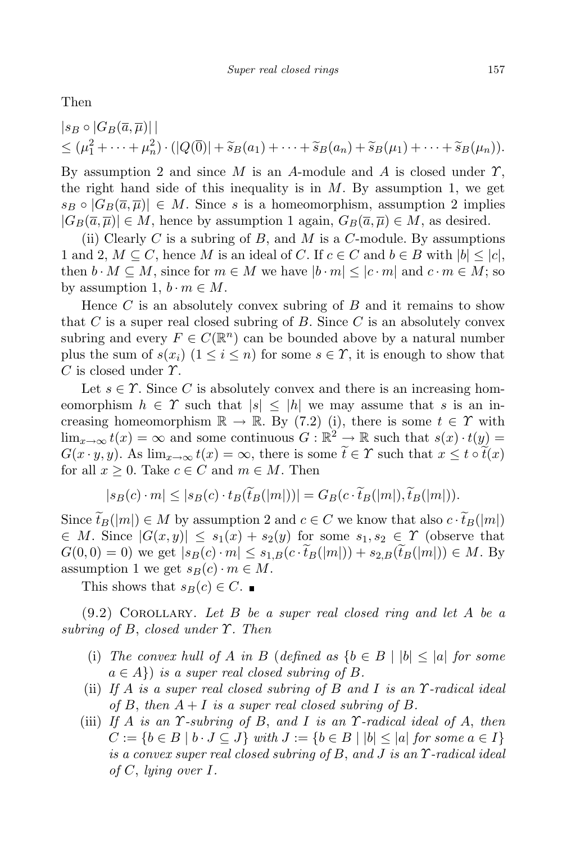Then

$$
|s_B \circ |G_B(\overline{a}, \overline{\mu})||
$$
  
\n
$$
\leq (\mu_1^2 + \cdots + \mu_n^2) \cdot (|Q(\overline{0})| + \widetilde{s}_B(a_1) + \cdots + \widetilde{s}_B(a_n) + \widetilde{s}_B(\mu_1) + \cdots + \widetilde{s}_B(\mu_n)).
$$

By assumption 2 and since M is an A-module and A is closed under  $\gamma$ , the right hand side of this inequality is in  $M$ . By assumption 1, we get  $s_B \circ |G_B(\overline{a}, \overline{\mu})| \in M$ . Since s is a homeomorphism, assumption 2 implies  $|G_B(\overline{a}, \overline{\mu})| \in M$ , hence by assumption 1 again,  $G_B(\overline{a}, \overline{\mu}) \in M$ , as desired.

(ii) Clearly  $C$  is a subring of  $B$ , and  $M$  is a  $C$ -module. By assumptions 1 and 2,  $M \subseteq C$ , hence M is an ideal of C. If  $c \in C$  and  $b \in B$  with  $|b| \leq |c|$ , then  $b \cdot M \subseteq M$ , since for  $m \in M$  we have  $|b \cdot m| \leq |c \cdot m|$  and  $c \cdot m \in M$ ; so by assumption 1,  $b \cdot m \in M$ .

Hence  $C$  is an absolutely convex subring of  $B$  and it remains to show that C is a super real closed subring of B. Since C is an absolutely convex subring and every  $F \in C(\mathbb{R}^n)$  can be bounded above by a natural number plus the sum of  $s(x_i)$   $(1 \leq i \leq n)$  for some  $s \in \Upsilon$ , it is enough to show that  $C$  is closed under  $\Upsilon$ .

Let  $s \in \Upsilon$ . Since C is absolutely convex and there is an increasing homeomorphism  $h \in \Upsilon$  such that  $|s| \leq |h|$  we may assume that s is an increasing homeomorphism  $\mathbb{R} \to \mathbb{R}$ . By (7.2) (i), there is some  $t \in \Upsilon$  with  $\lim_{x\to\infty} t(x) = \infty$  and some continuous  $G : \mathbb{R}^2 \to \mathbb{R}$  such that  $s(x) \cdot t(y) =$  $G(x \cdot y, y)$ . As  $\lim_{x\to\infty} t(x) = \infty$ , there is some  $\tilde{t} \in \mathcal{X}$  such that  $x \leq t \circ \tilde{t}(x)$ for all  $x \geq 0$ . Take  $c \in C$  and  $m \in M$ . Then

$$
|s_B(c) \cdot m| \leq |s_B(c) \cdot t_B(\widetilde{t}_B(|m|))| = G_B(c \cdot \widetilde{t}_B(|m|), \widetilde{t}_B(|m|)).
$$

Since  $\tilde{t}_B(|m|) \in M$  by assumption 2 and  $c \in C$  we know that also  $c \cdot \tilde{t}_B(|m|)$  $\in M$ . Since  $|G(x,y)| \leq s_1(x) + s_2(y)$  for some  $s_1, s_2 \in \Upsilon$  (observe that  $G(0,0) = 0$ ) we get  $|s_B(c) \cdot m| \leq s_{1,B}(c \cdot \tilde{t}_B(|m|)) + s_{2,B}(\tilde{t}_B(|m|)) \in M$ . By assumption 1 we get  $s_B(c) \cdot m \in M$ .

This shows that  $s_B(c) \in C$ .

 $(9.2)$  COROLLARY. Let B be a super real closed ring and let A be a subring of B, closed under  $\Upsilon$ . Then

- (i) The convex hull of A in B (defined as  ${b \in B \mid |b| \leq |a|}$  for some  $a \in A$ ) is a super real closed subring of B.
- (ii) If A is a super real closed subring of B and I is an  $\Upsilon$ -radical ideal of B, then  $A + I$  is a super real closed subring of B.
- (iii) If A is an  $\Upsilon$ -subring of B, and I is an  $\Upsilon$ -radical ideal of A, then  $C := \{b \in B \mid b \cdot J \subseteq J\}$  with  $J := \{b \in B \mid |b| \leq |a| \text{ for some } a \in I\}$ is a convex super real closed subring of B, and J is an  $\Upsilon$ -radical ideal of C, lying over  $I$ .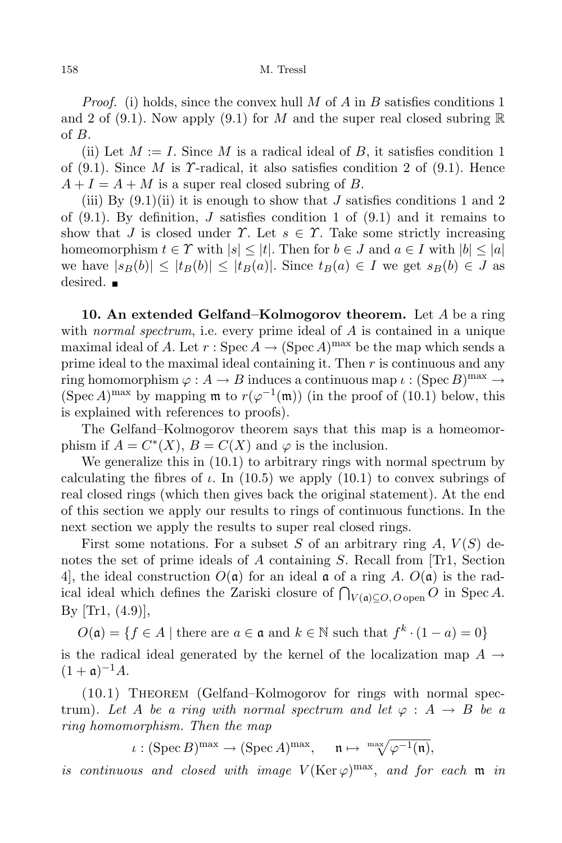*Proof.* (i) holds, since the convex hull M of A in B satisfies conditions 1 and 2 of (9.1). Now apply (9.1) for M and the super real closed subring  $\mathbb R$ of B.

(ii) Let  $M := I$ . Since M is a radical ideal of B, it satisfies condition 1 of  $(9.1)$ . Since M is Y-radical, it also satisfies condition 2 of  $(9.1)$ . Hence  $A + I = A + M$  is a super real closed subring of B.

(iii) By  $(9.1)$ (ii) it is enough to show that J satisfies conditions 1 and 2 of  $(9.1)$ . By definition, J satisfies condition 1 of  $(9.1)$  and it remains to show that J is closed under  $\Upsilon$ . Let  $s \in \Upsilon$ . Take some strictly increasing homeomorphism  $t \in \Upsilon$  with  $|s| \leq |t|$ . Then for  $b \in J$  and  $a \in I$  with  $|b| \leq |a|$ we have  $|s_B(b)| \leq |t_B(b)| \leq |t_B(a)|$ . Since  $t_B(a) \in I$  we get  $s_B(b) \in J$  as desired. ■

10. An extended Gelfand–Kolmogorov theorem. Let  $A$  be a ring with *normal spectrum*, i.e. every prime ideal of  $A$  is contained in a unique maximal ideal of A. Let  $r : \text{Spec } A \to (\text{Spec } A)^{\text{max}}$  be the map which sends a prime ideal to the maximal ideal containing it. Then  $r$  is continuous and any ring homomorphism  $\varphi : A \to B$  induces a continuous map  $\iota : (\text{Spec } B)^{\text{max}} \to$  $(\text{Spec } A)^{\text{max}}$  by mapping  $\mathfrak{m}$  to  $r(\varphi^{-1}(\mathfrak{m}))$  (in the proof of (10.1) below, this is explained with references to proofs).

The Gelfand–Kolmogorov theorem says that this map is a homeomorphism if  $A = C^*(X)$ ,  $B = C(X)$  and  $\varphi$  is the inclusion.

We generalize this in  $(10.1)$  to arbitrary rings with normal spectrum by calculating the fibres of  $\iota$ . In (10.5) we apply (10.1) to convex subrings of real closed rings (which then gives back the original statement). At the end of this section we apply our results to rings of continuous functions. In the next section we apply the results to super real closed rings.

First some notations. For a subset S of an arbitrary ring  $A, V(S)$  denotes the set of prime ideals of A containing S. Recall from [Tr1, Section] 4, the ideal construction  $O(\mathfrak{a})$  for an ideal  $\mathfrak{a}$  of a ring A.  $O(\mathfrak{a})$  is the radical ideal which defines the Zariski closure of  $\bigcap_{V(\mathfrak{a})\subseteq O, O \text{ open}} O$  in Spec A. By [Tr1,  $(4.9)$ ],

 $O(\mathfrak{a}) = \{ f \in A \mid \text{there are } a \in \mathfrak{a} \text{ and } k \in \mathbb{N} \text{ such that } f^k \cdot (1 - a) = 0 \}$ 

is the radical ideal generated by the kernel of the localization map  $A \rightarrow$  $(1 + \mathfrak{a})^{-1}A$ .

 $(10.1)$  THEOREM (Gelfand–Kolmogorov for rings with normal spectrum). Let A be a ring with normal spectrum and let  $\varphi : A \to B$  be a ring homomorphism. Then the map

 $\iota : (\text{Spec } B)^{\text{max}} \to (\text{Spec } A)^{\text{max}}, \quad \mathfrak{n} \mapsto \sqrt{\text{max}} \sqrt{\varphi^{-1}(\mathfrak{n})},$ 

is continuous and closed with image  $V(\text{Ker }\varphi)^\text{max}$ , and for each m in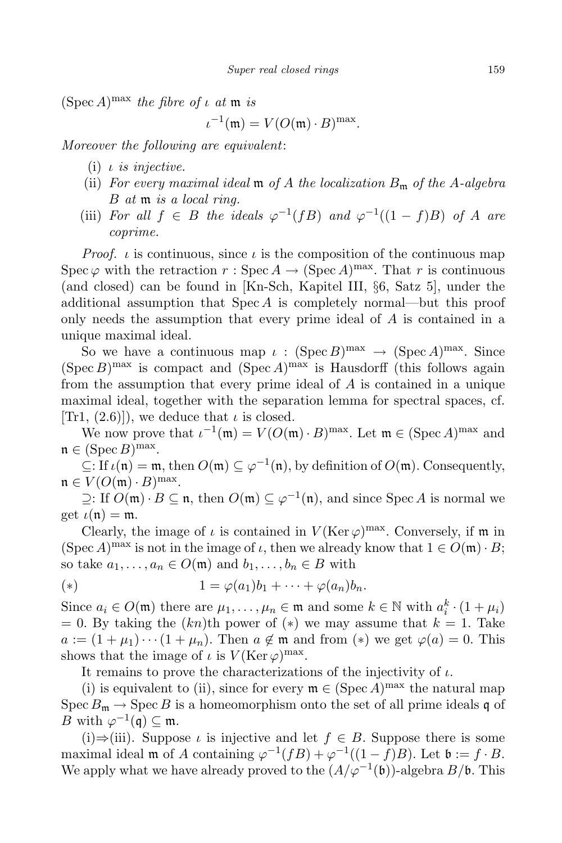$(Spec A)^{max}$  the fibre of  $\iota$  at  $\mathfrak{m}$  is

$$
\iota^{-1}(\mathfrak{m})=V(O(\mathfrak{m})\cdot B)^{\max}.
$$

Moreover the following are equivalent:

- (i)  $\iota$  is injective.
- (ii) For every maximal ideal  $\mathfrak m$  of A the localization  $B_{\mathfrak m}$  of the A-algebra B at m is a local ring.
- (iii) For all  $f \in B$  the ideals  $\varphi^{-1}(fB)$  and  $\varphi^{-1}((1-f)B)$  of A are coprime.

*Proof. ι* is continuous, since *ι* is the composition of the continuous map Spec  $\varphi$  with the retraction  $r : \operatorname{Spec} A \to (\operatorname{Spec} A)^{\operatorname{max}}$ . That r is continuous (and closed) can be found in [Kn-Sch, Kapitel III, §6, Satz 5], under the additional assumption that  $Spec A$  is completely normal—but this proof only needs the assumption that every prime ideal of  $A$  is contained in a unique maximal ideal.

So we have a continuous map  $\iota : (\operatorname{Spec} B)^{\max} \to (\operatorname{Spec} A)^{\max}$ . Since  $(Spec B)^{max}$  is compact and  $(Spec A)^{max}$  is Hausdorff (this follows again from the assumption that every prime ideal of A is contained in a unique maximal ideal, together with the separation lemma for spectral spaces, cf. [Tr1,  $(2.6)$ ], we deduce that  $\iota$  is closed.

We now prove that  $\iota^{-1}(\mathfrak{m}) = V(O(\mathfrak{m}) \cdot B)^{\max}$ . Let  $\mathfrak{m} \in (\operatorname{Spec} A)^{\max}$  and  $\mathfrak{n} \in (\operatorname{Spec} B)^{\operatorname{max}}.$ 

 $\subseteq$ : If  $\iota(\mathfrak{n}) = \mathfrak{m}$ , then  $O(\mathfrak{m}) \subseteq \varphi^{-1}(\mathfrak{n})$ , by definition of  $O(\mathfrak{m})$ . Consequently,  $\mathfrak{n} \in V(O(\mathfrak{m}) \cdot B)^{\max}$ .

 $\supseteq$ : If  $O(\mathfrak{m}) \cdot B \subseteq \mathfrak{n}$ , then  $O(\mathfrak{m}) \subseteq \varphi^{-1}(\mathfrak{n})$ , and since  $\text{Spec } A$  is normal we get  $\iota(\mathfrak{n}) = \mathfrak{m}$ .

Clearly, the image of  $\iota$  is contained in  $V(\mathrm{Ker}\,\varphi)^{\mathrm{max}}$ . Conversely, if m in  $(\text{Spec } A)^{\text{max}}$  is not in the image of  $\iota$ , then we already know that  $1 \in O(\mathfrak{m}) \cdot B$ ; so take  $a_1, \ldots, a_n \in O(\mathfrak{m})$  and  $b_1, \ldots, b_n \in B$  with

(\*) 
$$
1 = \varphi(a_1)b_1 + \cdots + \varphi(a_n)b_n.
$$

Since  $a_i \in O(\mathfrak{m})$  there are  $\mu_1, \ldots, \mu_n \in \mathfrak{m}$  and some  $k \in \mathbb{N}$  with  $a_i^k \cdot (1 + \mu_i)$  $= 0$ . By taking the  $(kn)$ <sup>th</sup> power of  $(*)$  we may assume that  $k = 1$ . Take  $a := (1 + \mu_1) \cdots (1 + \mu_n)$ . Then  $a \notin \mathfrak{m}$  and from  $(*)$  we get  $\varphi(a) = 0$ . This shows that the image of  $\iota$  is  $V(\mathrm{Ker}\,\varphi)^{\mathrm{max}}$ .

It remains to prove the characterizations of the injectivity of  $\iota$ .

(i) is equivalent to (ii), since for every  $\mathfrak{m} \in (\text{Spec } A)$ <sup>max</sup> the natural map Spec  $B_m \to \text{Spec } B$  is a homeomorphism onto the set of all prime ideals q of B with  $\varphi^{-1}(\mathfrak{q}) \subseteq \mathfrak{m}$ .

(i)⇒(iii). Suppose  $\iota$  is injective and let  $f \in B$ . Suppose there is some maximal ideal **m** of A containing  $\varphi^{-1}(fB) + \varphi^{-1}((1-f)B)$ . Let  $\mathfrak{b} := f \cdot B$ . We apply what we have already proved to the  $(A/\varphi^{-1}(\mathfrak{b}))$ -algebra  $B/\mathfrak{b}$ . This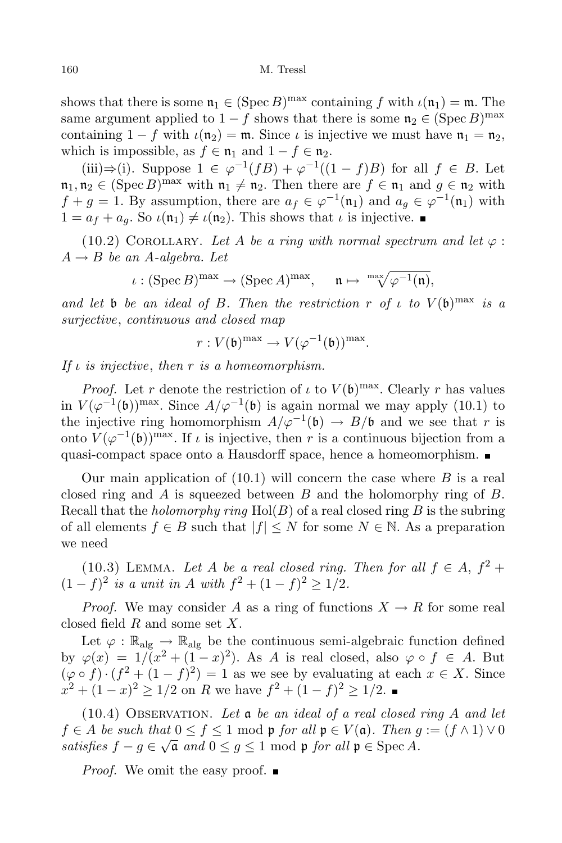shows that there is some  $\mathfrak{n}_1 \in (\operatorname{Spec} B)^{\max}$  containing f with  $\iota(\mathfrak{n}_1) = \mathfrak{m}$ . The same argument applied to  $1 - f$  shows that there is some  $\mathfrak{n}_2 \in (\text{Spec } B)^{\text{max}}$ containing  $1 - f$  with  $\iota(\mathfrak{n}_2) = \mathfrak{m}$ . Since  $\iota$  is injective we must have  $\mathfrak{n}_1 = \mathfrak{n}_2$ , which is impossible, as  $f \in \mathfrak{n}_1$  and  $1 - f \in \mathfrak{n}_2$ .

(iii) $\Rightarrow$ (i). Suppose  $1 \in \varphi^{-1}(fB) + \varphi^{-1}((1-f)B)$  for all  $f \in B$ . Let  $\mathfrak{n}_1, \mathfrak{n}_2 \in (\operatorname{Spec} B)^{\text{max}}$  with  $\mathfrak{n}_1 \neq \mathfrak{n}_2$ . Then there are  $f \in \mathfrak{n}_1$  and  $g \in \mathfrak{n}_2$  with  $f + g = 1$ . By assumption, there are  $a_f \in \varphi^{-1}(\mathfrak{n}_1)$  and  $a_g \in \varphi^{-1}(\mathfrak{n}_1)$  with  $1 = a_f + a_g$ . So  $\iota(\mathfrak{n}_1) \neq \iota(\mathfrak{n}_2)$ . This shows that  $\iota$  is injective.

(10.2) COROLLARY. Let A be a ring with normal spectrum and let  $\varphi$ :  $A \rightarrow B$  be an A-algebra. Let

 $\iota : (\operatorname{Spec} B)^{\max} \to (\operatorname{Spec} A)^{\max}, \quad \mathfrak{n} \mapsto {\max_{\forall \varphi^{-1}(\mathfrak{n})}}$ 

and let b be an ideal of B. Then the restriction r of  $\iota$  to  $V(\mathfrak{b})^{\max}$  is a surjective, continuous and closed map

$$
r: V(\mathfrak{b})^{\max} \to V(\varphi^{-1}(\mathfrak{b}))^{\max}.
$$

If  $\iota$  is injective, then  $r$  is a homeomorphism.

*Proof.* Let r denote the restriction of  $\iota$  to  $V(\mathfrak{b})^{\max}$ . Clearly r has values in  $V(\varphi^{-1}(\mathfrak{b}))^{\max}$ . Since  $A/\varphi^{-1}(\mathfrak{b})$  is again normal we may apply (10.1) to the injective ring homomorphism  $A/\varphi^{-1}(\mathfrak{b}) \to B/\mathfrak{b}$  and we see that r is onto  $V(\varphi^{-1}(\mathfrak{b}))^{\max}$ . If  $\iota$  is injective, then r is a continuous bijection from a quasi-compact space onto a Hausdorff space, hence a homeomorphism.

Our main application of  $(10.1)$  will concern the case where  $B$  is a real closed ring and  $A$  is squeezed between  $B$  and the holomorphy ring of  $B$ . Recall that the *holomorphy ring*  $Hol(B)$  of a real closed ring B is the subring of all elements  $f \in B$  such that  $|f| \leq N$  for some  $N \in \mathbb{N}$ . As a preparation we need

(10.3) LEMMA. Let A be a real closed ring. Then for all  $f \in A$ ,  $f^2 +$  $(1-f)^2$  is a unit in A with  $f^2 + (1-f)^2 \ge 1/2$ .

*Proof.* We may consider A as a ring of functions  $X \to R$  for some real closed field  $R$  and some set  $X$ .

Let  $\varphi : \mathbb{R}_{\text{alg}} \to \mathbb{R}_{\text{alg}}$  be the continuous semi-algebraic function defined by  $\varphi(x) = 1/(x^2 + (1-x)^2)$ . As A is real closed, also  $\varphi \circ f \in A$ . But  $(\varphi \circ f) \cdot (f^2 + (1 - f)^2) = 1$  as we see by evaluating at each  $x \in X$ . Since  $x^2 + (1-x)^2 \ge 1/2$  on R we have  $f^2 + (1-f)^2 \ge 1/2$ .

(10.4) OBSERVATION. Let  $a$  be an ideal of a real closed ring A and let  $f \in A$  be such that  $0 \le f \le 1 \text{ mod } \mathfrak{p}$  for all  $\mathfrak{p} \in V(\mathfrak{a})$ . Then  $g := (f \wedge 1) \vee 0$ satisfies  $f - g \in \sqrt{\mathfrak{a}}$  and  $0 \le g \le 1$  mod  $\mathfrak{p}$  for all  $\mathfrak{p} \in \text{Spec } A$ .

*Proof.* We omit the easy proof.  $\blacksquare$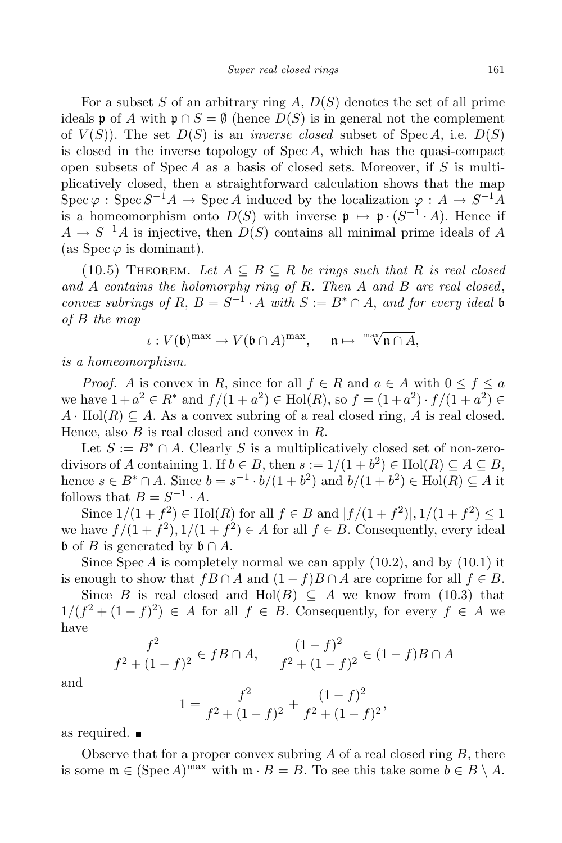For a subset S of an arbitrary ring A,  $D(S)$  denotes the set of all prime ideals **p** of A with  $\mathfrak{p} \cap S = \emptyset$  (hence  $D(S)$  is in general not the complement of  $V(S)$ ). The set  $D(S)$  is an *inverse closed* subset of Spec A, i.e.  $D(S)$ is closed in the inverse topology of  $Spec A$ , which has the quasi-compact open subsets of Spec A as a basis of closed sets. Moreover, if S is multiplicatively closed, then a straightforward calculation shows that the map Spec  $\varphi$  : Spec  $S^{-1}A \to \text{Spec } A$  induced by the localization  $\varphi : A \to S^{-1}A$ is a homeomorphism onto  $D(S)$  with inverse  $\mathfrak{p} \mapsto \mathfrak{p} \cdot (S^{-1} \cdot A)$ . Hence if  $A \to S^{-1}A$  is injective, then  $D(S)$  contains all minimal prime ideals of A (as  $Spec \varphi$  is dominant).

(10.5) THEOREM. Let  $A \subseteq B \subseteq R$  be rings such that R is real closed and  $A$  contains the holomorphy ring of  $R$ . Then  $A$  and  $B$  are real closed, convex subrings of R,  $B = S^{-1} \cdot A$  with  $S := B^* \cap A$ , and for every ideal b of B the map

$$
\iota: V(\mathfrak{b})^{\mathrm{max}} \to V(\mathfrak{b} \cap A)^{\mathrm{max}}, \quad \mathfrak{n} \mapsto \sqrt{\mathfrak{m} \cap A},
$$

is a homeomorphism.

*Proof.* A is convex in R, since for all  $f \in R$  and  $a \in A$  with  $0 \le f \le a$ we have  $1 + a^2 \in R^*$  and  $f/(1 + a^2) \in Hol(R)$ , so  $f = (1 + a^2) \cdot f/(1 + a^2) \in \mathbb{R}$  $A \cdot Hol(R) \subseteq A$ . As a convex subring of a real closed ring, A is real closed. Hence, also  $B$  is real closed and convex in  $R$ .

Let  $S := B^* \cap A$ . Clearly S is a multiplicatively closed set of non-zerodivisors of A containing 1. If  $b \in B$ , then  $s := 1/(1 + b^2) \in Hol(R) \subseteq A \subseteq B$ , hence  $s \in B^* \cap A$ . Since  $b = s^{-1} \cdot b/(1 + b^2)$  and  $b/(1 + b^2) \in Hol(R) \subseteq A$  it follows that  $B = S^{-1} \cdot A$ .

Since  $1/(1+f^2) \in Hol(R)$  for all  $f \in B$  and  $|f/(1+f^2)|, 1/(1+f^2) \le 1$ we have  $f/(1+f^2), 1/(1+f^2) \in A$  for all  $f \in B$ . Consequently, every ideal  $\mathfrak b$  of B is generated by  $\mathfrak b \cap A$ .

Since  $Spec A$  is completely normal we can apply  $(10.2)$ , and by  $(10.1)$  it is enough to show that  $fB \cap A$  and  $(1-f)B \cap A$  are coprime for all  $f \in B$ .

Since B is real closed and Hol(B)  $\subseteq$  A we know from (10.3) that  $1/(f^2 + (1-f)^2) \in A$  for all  $f \in B$ . Consequently, for every  $f \in A$  we have

$$
\frac{f^2}{f^2 + (1 - f)^2} \in f B \cap A, \quad \frac{(1 - f)^2}{f^2 + (1 - f)^2} \in (1 - f)B \cap A
$$

and

$$
1 = \frac{f^2}{f^2 + (1 - f)^2} + \frac{(1 - f)^2}{f^2 + (1 - f)^2},
$$

as required.

Observe that for a proper convex subring  $A$  of a real closed ring  $B$ , there is some  $\mathfrak{m} \in (\operatorname{Spec} A)^{\text{max}}$  with  $\mathfrak{m} \cdot B = B$ . To see this take some  $b \in B \setminus A$ .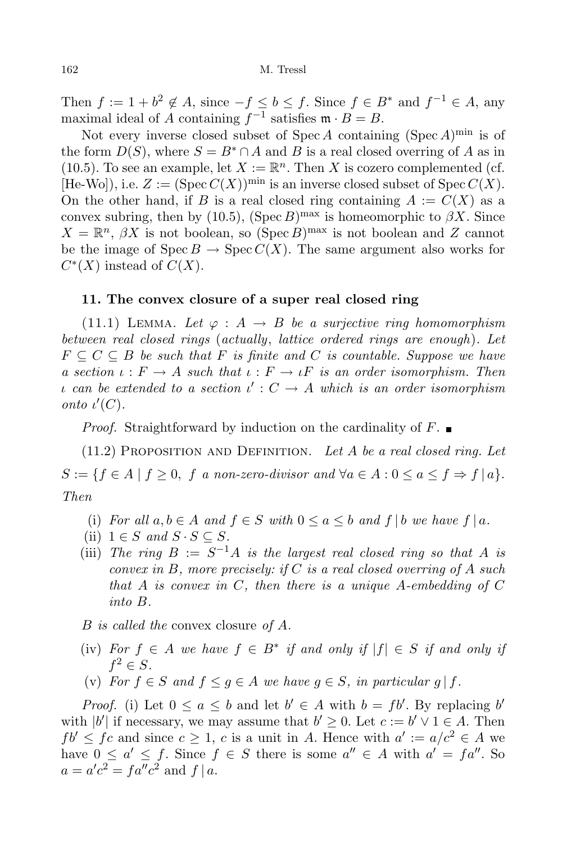Then  $f := 1 + b^2 \notin A$ , since  $-f \leq b \leq f$ . Since  $f \in B^*$  and  $f^{-1} \in A$ , any maximal ideal of A containing  $f^{-1}$  satisfies  $\mathfrak{m} \cdot B = B$ .

Not every inverse closed subset of  $Spec A$  containing  $(Spec A)^{min}$  is of the form  $D(S)$ , where  $S = B^* \cap A$  and B is a real closed overring of A as in (10.5). To see an example, let  $X := \mathbb{R}^n$ . Then X is cozero complemented (cf. [He-Wo]), i.e.  $Z := (\operatorname{Spec} C(X))^{\text{min}}$  is an inverse closed subset of  $\operatorname{Spec} C(X)$ . On the other hand, if B is a real closed ring containing  $A := C(X)$  as a convex subring, then by (10.5),  $(\text{Spec } B)^{\text{max}}$  is homeomorphic to  $\beta X$ . Since  $X = \mathbb{R}^n$ ,  $\beta X$  is not boolean, so  $(\text{Spec } B)^{\text{max}}$  is not boolean and Z cannot be the image of  $Spec B \to Spec C(X)$ . The same argument also works for  $C^*(X)$  instead of  $C(X)$ .

### 11. The convex closure of a super real closed ring

(11.1) LEMMA. Let  $\varphi : A \to B$  be a surjective ring homomorphism between real closed rings (actually, lattice ordered rings are enough). Let  $F \subseteq C \subseteq B$  be such that F is finite and C is countable. Suppose we have a section  $\iota : F \to A$  such that  $\iota : F \to \iota F$  is an order isomorphism. Then *i* can be extended to a section  $\iota' : C \to A$  which is an order isomorphism onto  $\iota'(C)$ .

*Proof.* Straightforward by induction on the cardinality of  $F$ .

 $(11.2)$  PROPOSITION AND DEFINITION. Let A be a real closed ring. Let  $S := \{f \in A \mid f \geq 0, f \text{ a non-zero-divisor and } \forall a \in A : 0 \leq a \leq f \Rightarrow f \mid a\}.$ Then

- (i) For all  $a, b \in A$  and  $f \in S$  with  $0 \le a \le b$  and  $f \mid b$  we have  $f \mid a$ .
- (ii)  $1 \in S$  and  $S \cdot S \subseteq S$ .
- (iii) The ring  $B := S^{-1}A$  is the largest real closed ring so that A is convex in B, more precisely: if C is a real closed overring of A such that A is convex in C, then there is a unique A-embedding of  $C$ into B.

B is called the convex closure of A.

- (iv) For  $f \in A$  we have  $f \in B^*$  if and only if  $|f| \in S$  if and only if  $f^2 \in S$ .
- (v) For  $f \in S$  and  $f \leq g \in A$  we have  $g \in S$ , in particular  $g \mid f$ .

*Proof.* (i) Let  $0 \le a \le b$  and let  $b' \in A$  with  $b = fb'$ . By replacing b with |b'| if necessary, we may assume that  $b' \geq 0$ . Let  $c := b' \vee 1 \in A$ . Then  $fb' \leq fc$  and since  $c \geq 1$ , c is a unit in A. Hence with  $a' := a/c^2 \in A$  we have  $0 \le a' \le f$ . Since  $f \in S$  there is some  $a'' \in A$  with  $a' = fa''$ . So  $a = a'c^2 = fa''c^2$  and  $f | a$ .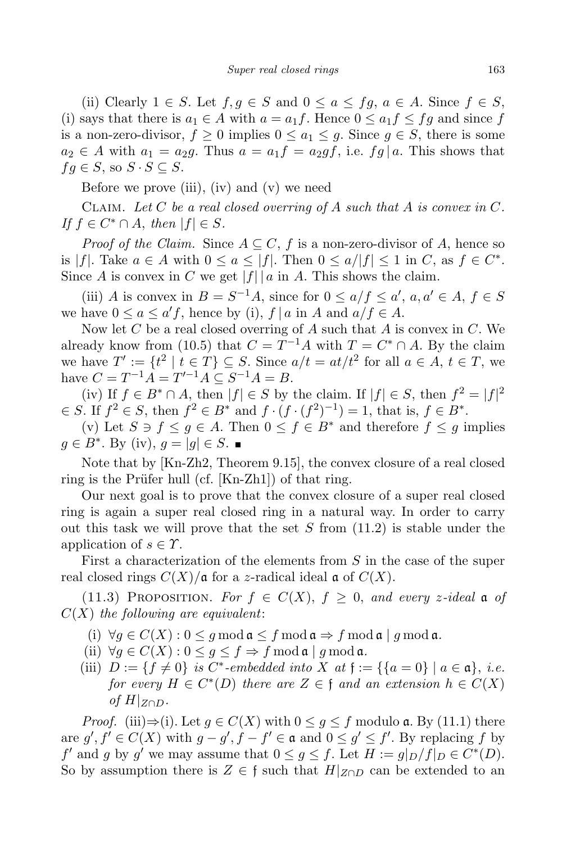(ii) Clearly  $1 \in S$ . Let  $f, g \in S$  and  $0 \le a \le fg$ ,  $a \in A$ . Since  $f \in S$ , (i) says that there is  $a_1 \in A$  with  $a = a_1 f$ . Hence  $0 \le a_1 f \le fg$  and since f is a non-zero-divisor,  $f \ge 0$  implies  $0 \le a_1 \le g$ . Since  $g \in S$ , there is some  $a_2 \in A$  with  $a_1 = a_2g$ . Thus  $a = a_1f = a_2gf$ , i.e.  $fg | a$ . This shows that  $f \circ g \in S$ , so  $S \cdot S \subset S$ .

Before we prove (iii), (iv) and  $(v)$  we need

CLAIM. Let  $C$  be a real closed overring of  $A$  such that  $A$  is convex in  $C$ . If  $f \in C^* \cap A$ , then  $|f| \in S$ .

*Proof of the Claim.* Since  $A \subseteq C$ , f is a non-zero-divisor of A, hence so is |f|. Take  $a \in A$  with  $0 \le a \le |f|$ . Then  $0 \le a/|f| \le 1$  in  $C$ , as  $f \in C^*$ . Since A is convex in C we get  $|f| | a$  in A. This shows the claim.

(iii) A is convex in  $B = S^{-1}A$ , since for  $0 \le a/f \le a'$ ,  $a, a' \in A, f \in S$ we have  $0 \le a \le a'f$ , hence by (i),  $f | a$  in A and  $a/f \in A$ .

Now let C be a real closed overring of A such that A is convex in  $C$ . We already know from (10.5) that  $C = T^{-1}A$  with  $T = C^* \cap A$ . By the claim we have  $T' := \{t^2 \mid t \in T\} \subseteq S$ . Since  $a/t = at/t^2$  for all  $a \in A, t \in T$ , we have  $C = T^{-1}A = T'^{-1}A \subseteq S^{-1}A = B$ .

(iv) If  $f \in B^* \cap A$ , then  $|f| \in S$  by the claim. If  $|f| \in S$ , then  $f^2 = |f|^2$  $\in S$ . If  $f^2 \in S$ , then  $f^2 \in B^*$  and  $f \cdot (f \cdot (f^2)^{-1}) = 1$ , that is,  $f \in B^*$ .

(v) Let  $S \ni f \leq g \in A$ . Then  $0 \leq f \in B^*$  and therefore  $f \leq g$  implies  $g \in B^*$ . By (iv),  $g = |g| \in S$ .

Note that by [Kn-Zh2, Theorem 9.15], the convex closure of a real closed ring is the Prüfer hull (cf.  $[Kn-Zh1]$ ) of that ring.

Our next goal is to prove that the convex closure of a super real closed ring is again a super real closed ring in a natural way. In order to carry out this task we will prove that the set S from  $(11.2)$  is stable under the application of  $s \in \Upsilon$ .

First a characterization of the elements from S in the case of the super real closed rings  $C(X)/\mathfrak{a}$  for a z-radical ideal  $\mathfrak{a}$  of  $C(X)$ .

(11.3) PROPOSITION. For  $f \in C(X)$ ,  $f \geq 0$ , and every z-ideal a of  $C(X)$  the following are equivalent:

- (i)  $\forall g \in C(X) : 0 \leq g \mod \mathfrak{a} \leq f \mod \mathfrak{a} \Rightarrow f \mod \mathfrak{a} \mid g \mod \mathfrak{a}.$
- (ii)  $\forall g \in C(X) : 0 \le g \le f \Rightarrow f \mod \mathfrak{a} \mid g \mod \mathfrak{a}.$
- (iii)  $D := \{f \neq 0\}$  is  $C^*$ -embedded into X at  $f := \{\{a = 0\} \mid a \in \mathfrak{a}\}, i.e.$ for every  $H \in C^*(D)$  there are  $Z \in \mathfrak{f}$  and an extension  $h \in C(X)$ of  $H|_{Z\cap D}$ .

*Proof.* (iii)⇒(i). Let  $g \in C(X)$  with  $0 \le g \le f$  modulo **a**. By (11.1) there are  $g', f' \in C(X)$  with  $g - g', f - f' \in \mathfrak{a}$  and  $0 \le g' \le f'$ . By replacing f by  $f'$  and g by g' we may assume that  $0 \le g \le f$ . Let  $H := g|_D/f|_D \in C^*(D)$ . So by assumption there is  $Z \in \mathfrak{f}$  such that  $H|_{Z\cap D}$  can be extended to an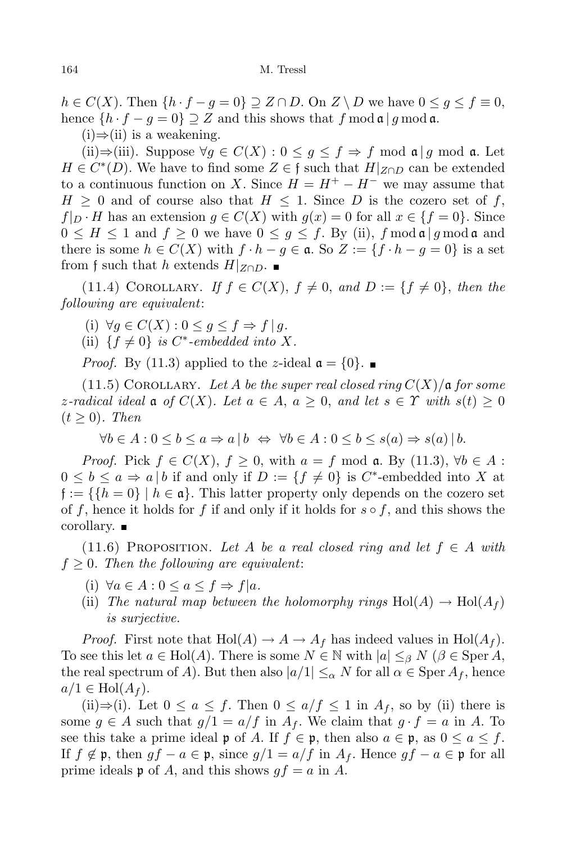$h \in C(X)$ . Then  $\{h \cdot f - g = 0\} \supseteq Z \cap D$ . On  $Z \setminus D$  we have  $0 \le g \le f \equiv 0$ , hence  $\{h \cdot f - g = 0\} \supseteq Z$  and this shows that f mod  $\mathfrak{a} \mid g \mod \mathfrak{a}$ .

 $(i)$ ⇒(ii) is a weakening.

(ii)⇒(iii). Suppose  $\forall g \in C(X) : 0 \le g \le f \Rightarrow f \mod \mathfrak{a} | g \mod \mathfrak{a}$ . Let  $H \in C^*(D)$ . We have to find some  $Z \in \mathfrak{f}$  such that  $H|_{Z \cap D}$  can be extended to a continuous function on X. Since  $H = H^+ - H^-$  we may assume that  $H \geq 0$  and of course also that  $H \leq 1$ . Since D is the cozero set of f,  $f|_D \cdot H$  has an extension  $g \in C(X)$  with  $g(x) = 0$  for all  $x \in \{f = 0\}$ . Since  $0 \leq H \leq 1$  and  $f \geq 0$  we have  $0 \leq g \leq f$ . By (ii), f mod a | g mod a and there is some  $h \in C(X)$  with  $f \cdot h - g \in \mathfrak{a}$ . So  $Z := \{f \cdot h - g = 0\}$  is a set from f such that h extends  $H|_{Z\cap D}$ .

(11.4) COROLLARY. If  $f \in C(X)$ ,  $f \neq 0$ , and  $D := \{f \neq 0\}$ , then the following are equivalent:

(i)  $\forall g \in C(X) : 0 \leq g \leq f \Rightarrow f \mid g$ .

(ii)  $\{f \neq 0\}$  is C<sup>\*</sup>-embedded into X.

*Proof.* By (11.3) applied to the z-ideal  $\mathfrak{a} = \{0\}$ .

 $(11.5)$  COROLLARY. Let A be the super real closed ring  $C(X)/\mathfrak{a}$  for some z-radical ideal  $a$  of  $C(X)$ . Let  $a \in A$ ,  $a \geq 0$ , and let  $s \in \Upsilon$  with  $s(t) \geq 0$  $(t \geq 0)$ . Then

 $\forall b \in A : 0 \leq b \leq a \Rightarrow a \mid b \Leftrightarrow \forall b \in A : 0 \leq b \leq s(a) \Rightarrow s(a) \mid b.$ 

*Proof.* Pick  $f \in C(X)$ ,  $f \geq 0$ , with  $a = f \mod \mathfrak{a}$ . By (11.3),  $\forall b \in A$ :  $0 \leq b \leq a \Rightarrow a \mid b$  if and only if  $D := \{f \neq 0\}$  is  $C^*$ -embedded into X at  $f := \{h = 0\} \mid h \in \mathfrak{a}\}\)$ . This latter property only depends on the cozero set of f, hence it holds for f if and only if it holds for  $s \circ f$ , and this shows the corollary.

(11.6) PROPOSITION. Let A be a real closed ring and let  $f \in A$  with  $f \geq 0$ . Then the following are equivalent:

- (i)  $\forall a \in A : 0 \leq a \leq f \Rightarrow f|a$ .
- (ii) The natural map between the holomorphy rings  $\text{Hol}(A) \to \text{Hol}(A_f)$ is surjective.

*Proof.* First note that  $\text{Hol}(A) \to A \to A_f$  has indeed values in  $\text{Hol}(A_f)$ . To see this let  $a \in Hol(A)$ . There is some  $N \in \mathbb{N}$  with  $|a| \leq_{\beta} N$  ( $\beta \in Sper A$ , the real spectrum of A). But then also  $|a/1| \leq_\alpha N$  for all  $\alpha \in \text{Sper } A_f$ , hence  $a/1 \in Hol(A_f).$ 

(ii)⇒(i). Let  $0 \le a \le f$ . Then  $0 \le a/f \le 1$  in  $A_f$ , so by (ii) there is some  $g \in A$  such that  $g/1 = a/f$  in  $A_f$ . We claim that  $g \cdot f = a$  in A. To see this take a prime ideal  $\mathfrak p$  of A. If  $f \in \mathfrak p$ , then also  $a \in \mathfrak p$ , as  $0 \le a \le f$ . If  $f \notin \mathfrak{p}$ , then  $gf - a \in \mathfrak{p}$ , since  $g/1 = a/f$  in  $A_f$ . Hence  $gf - a \in \mathfrak{p}$  for all prime ideals  $\mathfrak p$  of A, and this shows  $gf = a$  in A.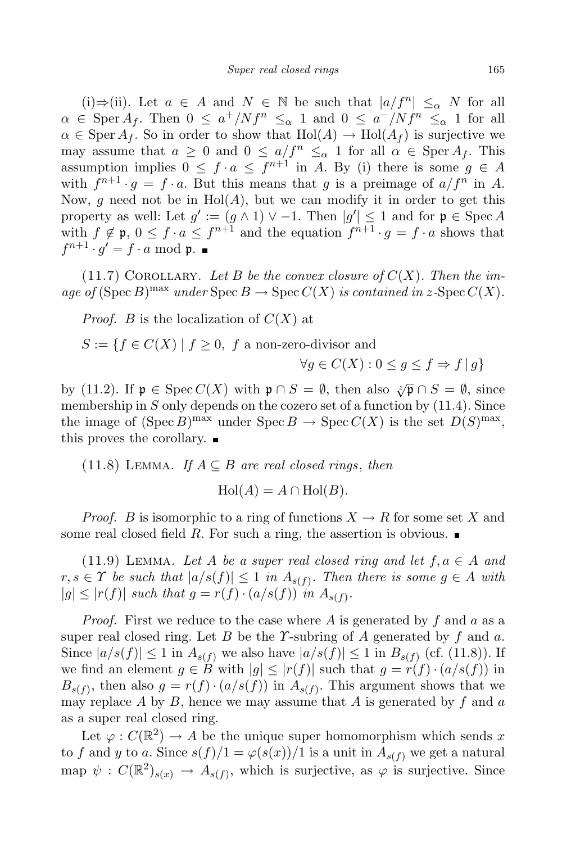(i)⇒(ii). Let  $a \in A$  and  $N \in \mathbb{N}$  be such that  $|a/f^n| \leq_\alpha N$  for all  $\alpha \in \text{Sper } A_f$ . Then  $0 \leq a^+/Nf^n \leq_\alpha 1$  and  $0 \leq a^-/Nf^n \leq_\alpha 1$  for all  $\alpha \in \operatorname{Sper} A_f$ . So in order to show that  $\operatorname{Hol}(A) \to \operatorname{Hol}(A_f)$  is surjective we may assume that  $a \geq 0$  and  $0 \leq a/f^n \leq a$  1 for all  $\alpha \in \text{Sper } A_f$ . This assumption implies  $0 \leq f \cdot a \leq f^{n+1}$  in A. By (i) there is some  $g \in A$ with  $f^{n+1} \cdot g = f \cdot a$ . But this means that g is a preimage of  $a/f^n$  in A. Now, g need not be in  $Hol(A)$ , but we can modify it in order to get this property as well: Let  $g' := (g \wedge 1) \vee -1$ . Then  $|g'| \leq 1$  and for  $\mathfrak{p} \in \operatorname{Spec} A$ with  $f \notin \mathfrak{p}, 0 \leq f \cdot a \leq f^{n+1}$  and the equation  $f^{n+1} \cdot g = f \cdot a$  shows that  $f^{n+1} \cdot g' = f \cdot a \mod \mathfrak{p}.$ 

 $(11.7)$  COROLLARY. Let B be the convex closure of  $C(X)$ . Then the image of  $(\operatorname{Spec} B)^{\max}$  under  $\operatorname{Spec} B \to \operatorname{Spec} C(X)$  is contained in z-Spec  $C(X)$ .

*Proof.* B is the localization of  $C(X)$  at

$$
S := \{ f \in C(X) \mid f \ge 0, \ f \text{ a non-zero-divisor and}
$$

$$
\forall g \in C(X) : 0 \le g \le f \Rightarrow f \mid g \}
$$

by (11.2). If  $\mathfrak{p} \in \operatorname{Spec} C(X)$  with  $\mathfrak{p} \cap S = \emptyset$ , then also  $\sqrt[x]{\mathfrak{p}} \cap S = \emptyset$ , since membership in  $S$  only depends on the cozero set of a function by  $(11.4)$ . Since the image of  $(\text{Spec }B)^{\text{max}}$  under  $\text{Spec }B \to \text{Spec }C(X)$  is the set  $D(S)^{\text{max}}$ , this proves the corollary.  $\blacksquare$ 

### (11.8) LEMMA. If  $A \subseteq B$  are real closed rings, then

$$
Hol(A) = A \cap Hol(B).
$$

*Proof.* B is isomorphic to a ring of functions  $X \to R$  for some set X and some real closed field R. For such a ring, the assertion is obvious.  $\blacksquare$ 

(11.9) LEMMA. Let A be a super real closed ring and let  $f, a \in A$  and  $r, s \in \Upsilon$  be such that  $|a/s(f)| \leq 1$  in  $A_{s(f)}$ . Then there is some  $g \in A$  with  $|g| \leq |r(f)|$  such that  $g = r(f) \cdot (a/s(f))$  in  $A_{s(f)}$ .

*Proof.* First we reduce to the case where A is generated by f and a as a super real closed ring. Let B be the  $\Upsilon$ -subring of A generated by f and a. Since  $|a/s(f)| \leq 1$  in  $A_{s(f)}$  we also have  $|a/s(f)| \leq 1$  in  $B_{s(f)}$  (cf. (11.8)). If we find an element  $g \in B$  with  $|g| \leq |r(f)|$  such that  $g = r(f) \cdot (a/s(f))$  in  $B_{s(f)}$ , then also  $g = r(f) \cdot (a/s(f))$  in  $A_{s(f)}$ . This argument shows that we may replace A by B, hence we may assume that A is generated by  $f$  and  $a$ as a super real closed ring.

Let  $\varphi: C(\mathbb{R}^2) \to A$  be the unique super homomorphism which sends x to f and y to a. Since  $s(f)/1 = \varphi(s(x))/1$  is a unit in  $A_{s(f)}$  we get a natural map  $\psi: C(\mathbb{R}^2)_{s(x)} \to A_{s(f)}$ , which is surjective, as  $\varphi$  is surjective. Since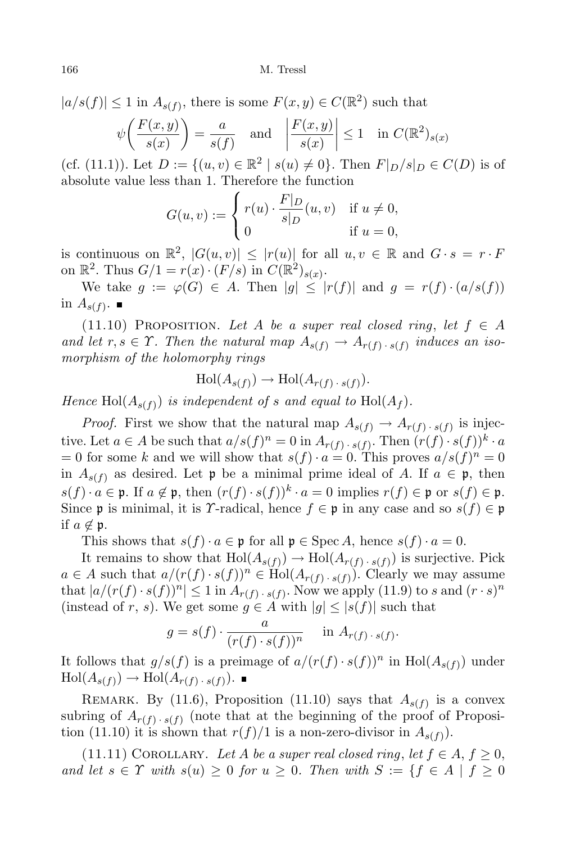$|a/s(f)| \leq 1$  in  $A_{s(f)}$ , there is some  $F(x, y) \in C(\mathbb{R}^2)$  such that

$$
\psi\left(\frac{F(x,y)}{s(x)}\right) = \frac{a}{s(f)} \quad \text{and} \quad \left|\frac{F(x,y)}{s(x)}\right| \le 1 \quad \text{in } C(\mathbb{R}^2)_{s(x)}
$$

(cf. (11.1)). Let  $D := \{(u, v) \in \mathbb{R}^2 \mid s(u) \neq 0\}$ . Then  $F|_{D}/s|_{D} \in C(D)$  is of absolute value less than 1. Therefore the function

$$
G(u, v) := \begin{cases} r(u) \cdot \frac{F|_{D}}{s|_{D}}(u, v) & \text{if } u \neq 0, \\ 0 & \text{if } u = 0, \end{cases}
$$

is continuous on  $\mathbb{R}^2$ ,  $|G(u, v)| \le |r(u)|$  for all  $u, v \in \mathbb{R}$  and  $G \cdot s = r \cdot F$ on  $\mathbb{R}^2$ . Thus  $G/1 = r(x) \cdot (F/s)$  in  $C(\mathbb{R}^2)_{s(x)}$ .

We take  $g := \varphi(G) \in A$ . Then  $|g| \leq |r(f)|$  and  $g = r(f) \cdot (a/s(f))$ in  $A_{s(f)}$ .

(11.10) PROPOSITION. Let A be a super real closed ring, let  $f \in A$ and let  $r, s \in \Upsilon$ . Then the natural map  $A_{s(f)} \to A_{r(f) \cdot s(f)}$  induces an isomorphism of the holomorphy rings

$$
\operatorname{Hol}(A_{s(f)}) \to \operatorname{Hol}(A_{r(f)\cdot s(f)}).
$$

Hence  $\text{Hol}(A_{s(f)})$  is independent of s and equal to  $\text{Hol}(A_f)$ .

*Proof.* First we show that the natural map  $A_{s(f)} \to A_{r(f) \cdot s(f)}$  is injective. Let  $a \in A$  be such that  $a/s(f)^n = 0$  in  $A_{r(f) \cdot s(f)}$ . Then  $(r(f) \cdot s(f))^k \cdot a$  $= 0$  for some k and we will show that  $s(f) \cdot a = 0$ . This proves  $a/s(f)^n = 0$ in  $A_{s(f)}$  as desired. Let p be a minimal prime ideal of A. If  $a \in \mathfrak{p}$ , then  $s(f) \cdot a \in \mathfrak{p}$ . If  $a \notin \mathfrak{p}$ , then  $(r(f) \cdot s(f))^k \cdot a = 0$  implies  $r(f) \in \mathfrak{p}$  or  $s(f) \in \mathfrak{p}$ . Since p is minimal, it is Y-radical, hence  $f \in \mathfrak{p}$  in any case and so  $s(f) \in \mathfrak{p}$ if  $a \notin \mathfrak{p}$ .

This shows that  $s(f) \cdot a \in \mathfrak{p}$  for all  $\mathfrak{p} \in \mathrm{Spec}\, A$ , hence  $s(f) \cdot a = 0$ .

It remains to show that  $\text{Hol}(A_{s(f)}) \to \text{Hol}(A_{r(f) \cdot s(f)})$  is surjective. Pick  $a \in A$  such that  $a/(r(f) \cdot s(f))^n \in \text{Hol}(A_{r(f) \cdot s(f)})$ . Clearly we may assume that  $|a/(r(f) \cdot s(f))^n| \leq 1$  in  $A_{r(f) \cdot s(f)}$ . Now we apply (11.9) to s and  $(r \cdot s)^n$ (instead of r, s). We get some  $g \in A$  with  $|g| \leq |s(f)|$  such that

$$
g = s(f) \cdot \frac{a}{(r(f) \cdot s(f))^n} \quad \text{in } A_{r(f) \cdot s(f)}.
$$

It follows that  $g/s(f)$  is a preimage of  $a/(r(f) \cdot s(f))^n$  in  $Hol(A_{s(f)})$  under  $\text{Hol}(A_{s(f)}) \to \text{Hol}(A_{r(f)\cdot s(f)}).$ 

REMARK. By (11.6), Proposition (11.10) says that  $A_{s(f)}$  is a convex subring of  $A_{r(f) \cdot s(f)}$  (note that at the beginning of the proof of Proposition (11.10) it is shown that  $r(f)/1$  is a non-zero-divisor in  $A_{s(f)}$ ).

(11.11) COROLLARY. Let A be a super real closed ring, let  $f \in A, f \geq 0$ , and let  $s \in \Upsilon$  with  $s(u) \geq 0$  for  $u \geq 0$ . Then with  $S := \{f \in A \mid f \geq 0\}$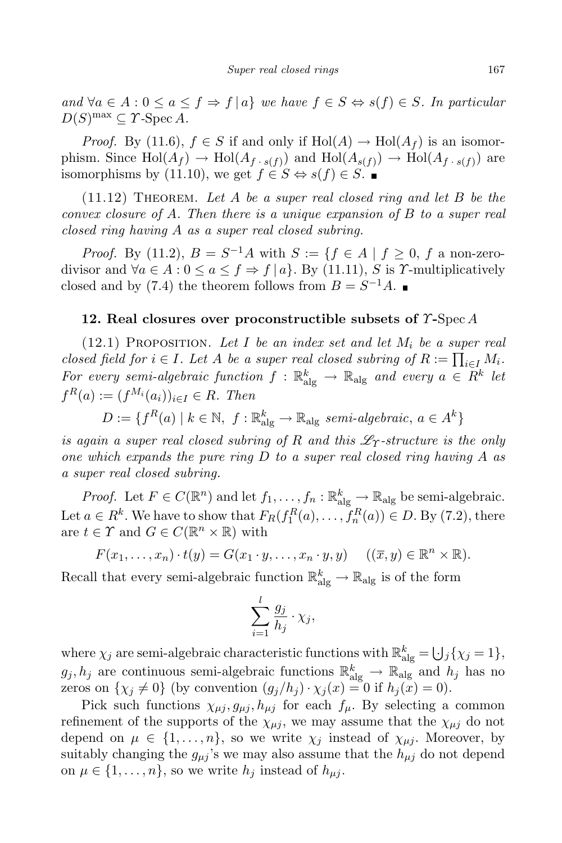and  $\forall a \in A : 0 \le a \le f \Rightarrow f \mid a$  we have  $f \in S \Leftrightarrow s(f) \in S$ . In particular  $D(S)^{\max} \subseteq \Upsilon$ -Spec A.

*Proof.* By (11.6),  $f \in S$  if and only if  $Hol(A) \to Hol(A_f)$  is an isomorphism. Since  $\text{Hol}(A_f) \to \text{Hol}(A_{f \cdot s(f)})$  and  $\text{Hol}(A_{s(f)}) \to \text{Hol}(A_{f \cdot s(f)})$  are isomorphisms by (11.10), we get  $f \in S \Leftrightarrow s(f) \in S$ .

 $(11.12)$  THEOREM. Let A be a super real closed ring and let B be the convex closure of A. Then there is a unique expansion of  $B$  to a super real closed ring having A as a super real closed subring.

*Proof.* By (11.2),  $B = S^{-1}A$  with  $S := \{f \in A \mid f \ge 0, f \text{ a non-zero--} \}$ divisor and  $\forall a \in A : 0 \le a \le f \Rightarrow f | a$ . By (11.11), S is T-multiplicatively closed and by (7.4) the theorem follows from  $B = S^{-1}A$ .

## 12. Real closures over proconstructible subsets of  $\Upsilon$ -Spec A

 $(12.1)$  PROPOSITION. Let I be an index set and let  $M_i$  be a super real closed field for  $i \in I$ . Let A be a super real closed subring of  $R := \prod_{i \in I} M_i$ . For every semi-algebraic function  $f : \mathbb{R}^k_{\text{alg}} \to \mathbb{R}_{\text{alg}}$  and every  $a \in R^k$  let  $f^R(a) := (f^{M_i}(a_i))_{i \in I} \in R$ . Then

 $D := \{ f^R(a) \mid k \in \mathbb{N}, f : \mathbb{R}^k_{\text{alg}} \to \mathbb{R}_{\text{alg}} \text{ semi-algebraic}, a \in A^k \}$ 

is again a super real closed subring of R and this  $\mathscr{L}_{\Upsilon}$ -structure is the only one which expands the pure ring D to a super real closed ring having A as a super real closed subring.

*Proof.* Let  $F \in C(\mathbb{R}^n)$  and let  $f_1, \ldots, f_n : \mathbb{R}^k_{\text{alg}} \to \mathbb{R}_{\text{alg}}$  be semi-algebraic. Let  $a \in R^k$ . We have to show that  $F_R(f_1^R(a), \ldots, f_n^R(a)) \in D$ . By (7.2), there are  $t \in \Upsilon$  and  $G \in C(\mathbb{R}^n \times \mathbb{R})$  with

 $F(x_1, \ldots, x_n) \cdot t(y) = G(x_1 \cdot y, \ldots, x_n \cdot y, y) \quad ((\overline{x}, y) \in \mathbb{R}^n \times \mathbb{R}).$ 

Recall that every semi-algebraic function  $\mathbb{R}^k_{\text{alg}} \to \mathbb{R}_{\text{alg}}$  is of the form

$$
\sum_{i=1}^l \frac{g_j}{h_j} \cdot \chi_j,
$$

where  $\chi_j$  are semi-algebraic characteristic functions with  $\mathbb{R}^k_{\text{alg}} = \bigcup_j \{\chi_j = 1\},\$  $g_j, h_j$  are continuous semi-algebraic functions  $\mathbb{R}^k_{\text{alg}} \to \mathbb{R}_{\text{alg}}$  and  $h_j$  has no zeros on  $\{\chi_i \neq 0\}$  (by convention  $(g_i/h_i) \cdot \chi_i(x) = 0$  if  $h_i(x) = 0$ ).

Pick such functions  $\chi_{\mu j}, g_{\mu j}, h_{\mu j}$  for each  $f_{\mu}$ . By selecting a common refinement of the supports of the  $\chi_{\mu j}$ , we may assume that the  $\chi_{\mu j}$  do not depend on  $\mu \in \{1, \ldots, n\}$ , so we write  $\chi_i$  instead of  $\chi_{\mu i}$ . Moreover, by suitably changing the  $g_{\mu i}$ 's we may also assume that the  $h_{\mu j}$  do not depend on  $\mu \in \{1, \ldots, n\}$ , so we write  $h_i$  instead of  $h_{\mu i}$ .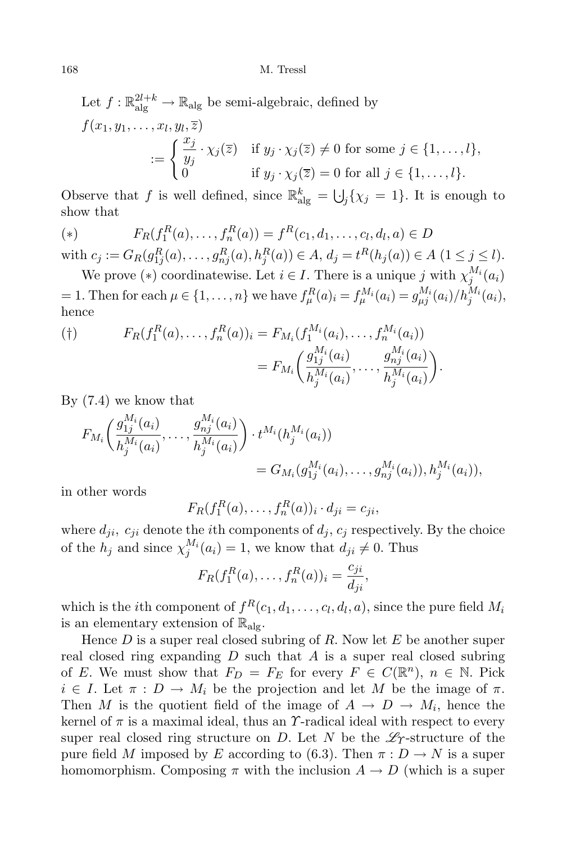Let  $f: \mathbb{R}_{\text{alg}}^{2l+k} \to \mathbb{R}_{\text{alg}}$  be semi-algebraic, defined by  $f(x_1,y_1,\ldots,x_l,y_l,\overline{z})$  $:= \begin{cases} \frac{x_j}{y_j} \cdot \chi_j(\overline{z}) & \text{if } y_j \cdot \chi_j(\overline{z}) \neq 0 \text{ for some } j \in \{1, \ldots, l\}, \end{cases}$ 0 if  $y_j \cdot \chi_j(\overline{z}) = 0$  for all  $j \in \{1, \ldots, l\}.$ 

Observe that f is well defined, since  $\mathbb{R}^k_{\text{alg}} = \bigcup_j \{\chi_j = 1\}$ . It is enough to show that

(\*) 
$$
F_R(f_1^R(a),...,f_n^R(a)) = f^R(c_1,d_1,...,c_l,d_l,a) \in D
$$

with  $c_j := G_R(g_{1j}^R(a), \ldots, g_{nj}^R(a), h_j^R(a)) \in A, d_j = t^R(h_j(a)) \in A \ (1 \leq j \leq l).$ We prove (\*) coordinatewise. Let  $i \in I$ . There is a unique j with  $\chi_{j}^{M_i}$  $j^{Mi} (a_i)$ 

= 1. Then for each  $\mu \in \{1, ..., n\}$  we have  $f_{\mu}^{R}(a)_{i} = f_{\mu}^{M_{i}}(a_{i}) = g_{\mu j}^{M_{i}}(a_{i})/h_{j}^{M_{i}}(a_{i}),$ hence

$$
\begin{aligned} \text{(†)} \qquad & F_R(f_1^R(a), \dots, f_n^R(a))_i = F_{M_i}(f_1^{M_i}(a_i), \dots, f_n^{M_i}(a_i)) \\ &= F_{M_i}\left(\frac{g_{1j}^{M_i}(a_i)}{h_j^{M_i}(a_i)}, \dots, \frac{g_{nj}^{M_i}(a_i)}{h_j^{M_i}(a_i)}\right). \end{aligned}
$$

By (7.4) we know that

$$
F_{M_i}\left(\frac{g_{1j}^{M_i}(a_i)}{h_j^{M_i}(a_i)},\ldots,\frac{g_{nj}^{M_i}(a_i)}{h_j^{M_i}(a_i)}\right)\cdot t^{M_i}(h_j^{M_i}(a_i))
$$
  
=  $G_{M_i}(g_{1j}^{M_i}(a_i),\ldots,g_{nj}^{M_i}(a_i)), h_j^{M_i}(a_i)),$ 

in other words

$$
F_R(f_1^R(a),\ldots,f_n^R(a))_i\cdot d_{ji}=c_{ji},
$$

where  $d_{ji}$ ,  $c_{ji}$  denote the *i*th components of  $d_j$ ,  $c_j$  respectively. By the choice of the  $h_j$  and since  $\chi_j^{M_i}$  $j^{M_i}(a_i) = 1$ , we know that  $d_{ji} \neq 0$ . Thus

> $F_R(f_1^R(a),...,f_n^R(a))_i = \frac{c_{ji}}{d_{ji}}$  $rac{c_{ji}}{d_{ji}},$

which is the *i*<sup>th</sup> component of  $f^R(c_1, d_1, \ldots, c_l, d_l, a)$ , since the pure field  $M_i$ is an elementary extension of  $\mathbb{R}_{\text{ale}}$ .

Hence  $D$  is a super real closed subring of  $R$ . Now let  $E$  be another super real closed ring expanding  $D$  such that  $A$  is a super real closed subring of E. We must show that  $F_D = F_E$  for every  $F \in C(\mathbb{R}^n)$ ,  $n \in \mathbb{N}$ . Pick  $i \in I$ . Let  $\pi : D \to M_i$  be the projection and let M be the image of  $\pi$ . Then M is the quotient field of the image of  $A \to D \to M_i$ , hence the kernel of  $\pi$  is a maximal ideal, thus an Y-radical ideal with respect to every super real closed ring structure on D. Let N be the  $\mathscr{L}_{\gamma}$ -structure of the pure field M imposed by E according to (6.3). Then  $\pi : D \to N$  is a super homomorphism. Composing  $\pi$  with the inclusion  $A \to D$  (which is a super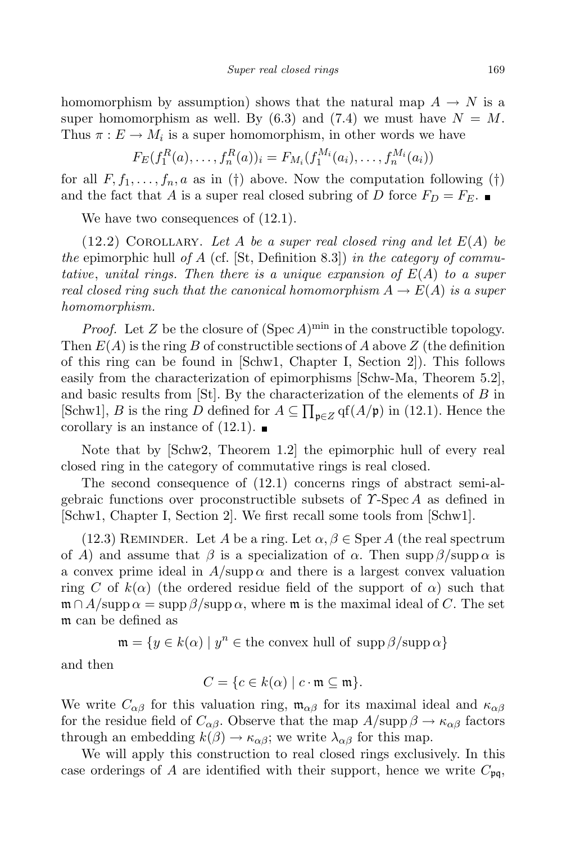homomorphism by assumption) shows that the natural map  $A \to N$  is a super homomorphism as well. By  $(6.3)$  and  $(7.4)$  we must have  $N = M$ . Thus  $\pi: E \to M_i$  is a super homomorphism, in other words we have

$$
F_E(f_1^R(a),...,f_n^R(a))_i = F_{M_i}(f_1^{M_i}(a_i),...,f_n^{M_i}(a_i))
$$

for all  $F, f_1, \ldots, f_n, a$  as in (†) above. Now the computation following (†) and the fact that A is a super real closed subring of D force  $F_D = F_E$ .

We have two consequences of  $(12.1)$ .

 $(12.2)$  COROLLARY. Let A be a super real closed ring and let  $E(A)$  be the epimorphic hull of A (cf. [St, Definition 8.3]) in the category of commutative, unital rings. Then there is a unique expansion of  $E(A)$  to a super real closed ring such that the canonical homomorphism  $A \to E(A)$  is a super homomorphism.

*Proof.* Let Z be the closure of  $(Spec A)^{min}$  in the constructible topology. Then  $E(A)$  is the ring B of constructible sections of A above Z (the definition of this ring can be found in [Schw1, Chapter I, Section 2]). This follows easily from the characterization of epimorphisms [Schw-Ma, Theorem 5.2], and basic results from  $[St]$ . By the characterization of the elements of  $B$  in [Schw1], B is the ring D defined for  $A \subseteq \prod_{\mathfrak{p} \in Z} \text{qf}(A/\mathfrak{p})$  in (12.1). Hence the corollary is an instance of  $(12.1)$ .

Note that by [Schw2, Theorem 1.2] the epimorphic hull of every real closed ring in the category of commutative rings is real closed.

The second consequence of (12.1) concerns rings of abstract semi-algebraic functions over proconstructible subsets of  $\Upsilon$ -Spec A as defined in [Schw1, Chapter I, Section 2]. We first recall some tools from [Schw1].

(12.3) REMINDER. Let A be a ring. Let  $\alpha, \beta \in \text{Sper } A$  (the real spectrum of A) and assume that  $\beta$  is a specialization of  $\alpha$ . Then supp  $\beta$ /supp $\alpha$  is a convex prime ideal in  $A/\text{supp }\alpha$  and there is a largest convex valuation ring C of  $k(\alpha)$  (the ordered residue field of the support of  $\alpha$ ) such that  $\mathfrak{m} \cap A/\mathrm{supp \,} \alpha = \mathrm{supp \,} \beta/\mathrm{supp \,} \alpha$ , where  $\mathfrak{m}$  is the maximal ideal of C. The set m can be defined as

 $\mathfrak{m} = \{ y \in k(\alpha) \mid y^n \in \text{the convex hull of } \text{supp }\beta/\text{supp }\alpha \}$ 

and then

$$
C = \{c \in k(\alpha) \mid c \cdot \mathfrak{m} \subseteq \mathfrak{m}\}.
$$

We write  $C_{\alpha\beta}$  for this valuation ring,  $\mathfrak{m}_{\alpha\beta}$  for its maximal ideal and  $\kappa_{\alpha\beta}$ for the residue field of  $C_{\alpha\beta}$ . Observe that the map  $A/\text{supp }\beta \to \kappa_{\alpha\beta}$  factors through an embedding  $k(\beta) \to \kappa_{\alpha\beta}$ ; we write  $\lambda_{\alpha\beta}$  for this map.

We will apply this construction to real closed rings exclusively. In this case orderings of A are identified with their support, hence we write  $C_{pq}$ ,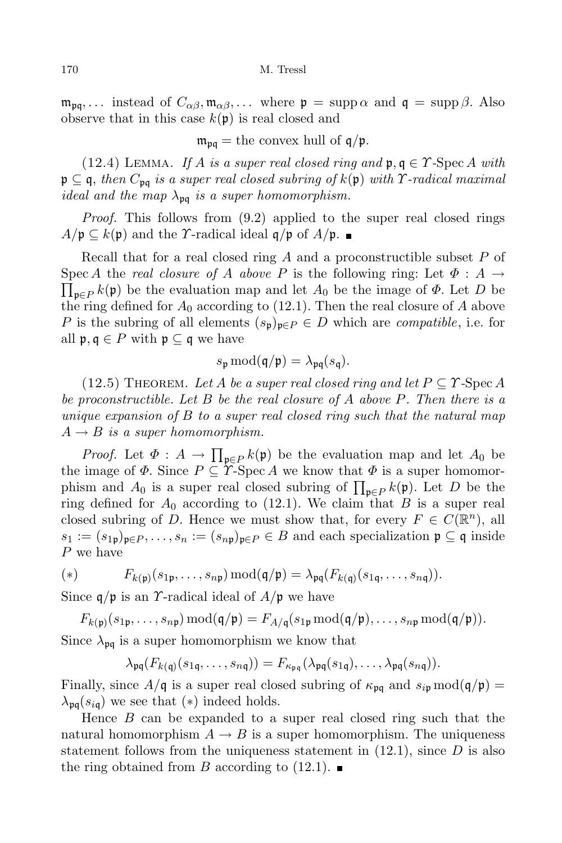$\mathfrak{m}_{\mathfrak{p}\mathfrak{q}},\ldots$  instead of  $C_{\alpha\beta},\mathfrak{m}_{\alpha\beta},\ldots$  where  $\mathfrak{p} = \text{supp }\alpha$  and  $\mathfrak{q} = \text{supp }\beta$ . Also observe that in this case  $k(\mathfrak{p})$  is real closed and

 $m_{\text{pa}} =$  the convex hull of  $q/p$ .

(12.4) LEMMA. If A is a super real closed ring and  $\mathfrak{p}, \mathfrak{q} \in \Upsilon$ -Spec A with  $\mathfrak{p} \subseteq \mathfrak{q}$ , then  $C_{\mathfrak{p}q}$  is a super real closed subring of  $k(\mathfrak{p})$  with  $\Upsilon$ -radical maximal ideal and the map  $\lambda_{pq}$  is a super homomorphism.

Proof. This follows from  $(9.2)$  applied to the super real closed rings  $A/\mathfrak{p} \subseteq k(\mathfrak{p})$  and the Y-radical ideal  $\mathfrak{q}/\mathfrak{p}$  of  $A/\mathfrak{p}$ .

Recall that for a real closed ring  $A$  and a proconstructible subset  $P$  of Spec A the real closure of A above P is the following ring: Let  $\Phi : A \to$  $\prod_{\mathfrak{p}\in P} k(\mathfrak{p})$  be the evaluation map and let  $A_0$  be the image of  $\Phi$ . Let D be the ring defined for  $A_0$  according to (12.1). Then the real closure of A above P is the subring of all elements  $(s_p)_{p \in P} \in D$  which are *compatible*, i.e. for all  $\mathfrak{p}, \mathfrak{q} \in P$  with  $\mathfrak{p} \subseteq \mathfrak{q}$  we have

$$
s_{\mathfrak{p}}\,\mathrm{mod}(\mathfrak{q}/\mathfrak{p})=\lambda_{\mathfrak{p}\mathfrak{q}}(s_{\mathfrak{q}}).
$$

(12.5) THEOREM. Let A be a super real closed ring and let  $P \subseteq \Upsilon$ -Spec A be proconstructible. Let B be the real closure of A above P. Then there is a unique expansion of  $B$  to a super real closed ring such that the natural map  $A \rightarrow B$  is a super homomorphism.

*Proof.* Let  $\Phi: A \to \prod_{\mathfrak{p} \in P} k(\mathfrak{p})$  be the evaluation map and let  $A_0$  be the image of  $\Phi$ . Since  $P \subseteq \Upsilon$ -Spec A we know that  $\Phi$  is a super homomorphism and  $A_0$  is a super real closed subring of  $\prod_{\mathfrak{p}\in P} k(\mathfrak{p})$ . Let D be the ring defined for  $A_0$  according to (12.1). We claim that B is a super real closed subring of D. Hence we must show that, for every  $F \in C(\mathbb{R}^n)$ , all  $s_1 := (s_{1\mathfrak{p}})_{\mathfrak{p} \in P}, \ldots, s_n := (s_{n\mathfrak{p}})_{\mathfrak{p} \in P} \in B$  and each specialization  $\mathfrak{p} \subseteq \mathfrak{q}$  inside P we have

(\*) 
$$
F_{k(\mathfrak{p})}(s_{1\mathfrak{p}},\ldots,s_{n\mathfrak{p}})\bmod(\mathfrak{q}/\mathfrak{p})=\lambda_{\mathfrak{p}\mathfrak{q}}(F_{k(\mathfrak{q})}(s_{1\mathfrak{q}},\ldots,s_{n\mathfrak{q}})).
$$

Since  $\mathfrak{q}/\mathfrak{p}$  is an Y-radical ideal of  $A/\mathfrak{p}$  we have

$$
F_{k(\mathfrak{p})}(s_{1\mathfrak{p}},\ldots,s_{n\mathfrak{p}}) \bmod(\mathfrak{q}/\mathfrak{p}) = F_{A/\mathfrak{q}}(s_{1\mathfrak{p}} \bmod(\mathfrak{q}/\mathfrak{p}),\ldots,s_{n\mathfrak{p}} \bmod(\mathfrak{q}/\mathfrak{p})).
$$
  
Since  $\lambda_{\mathfrak{p}\mathfrak{q}}$  is a super homomorphism we know that

$$
\lambda_{\mathfrak{pq}}(F_{k(\mathfrak{q})}(s_{1\mathfrak{q}},\ldots,s_{n\mathfrak{q}}))=F_{\kappa_{\mathfrak{pq}}}(\lambda_{\mathfrak{pq}}(s_{1\mathfrak{q}}),\ldots,\lambda_{\mathfrak{pq}}(s_{n\mathfrak{q}})).
$$

Finally, since  $A/\mathfrak{q}$  is a super real closed subring of  $\kappa_{\mathfrak{p}\mathfrak{q}}$  and  $s_{i\mathfrak{p}}\,\mathrm{mod}(\mathfrak{q}/\mathfrak{p})=$  $\lambda_{pq}(s_{iq})$  we see that  $(*)$  indeed holds.

Hence  $B$  can be expanded to a super real closed ring such that the natural homomorphism  $A \to B$  is a super homomorphism. The uniqueness statement follows from the uniqueness statement in  $(12.1)$ , since D is also the ring obtained from B according to  $(12.1)$ .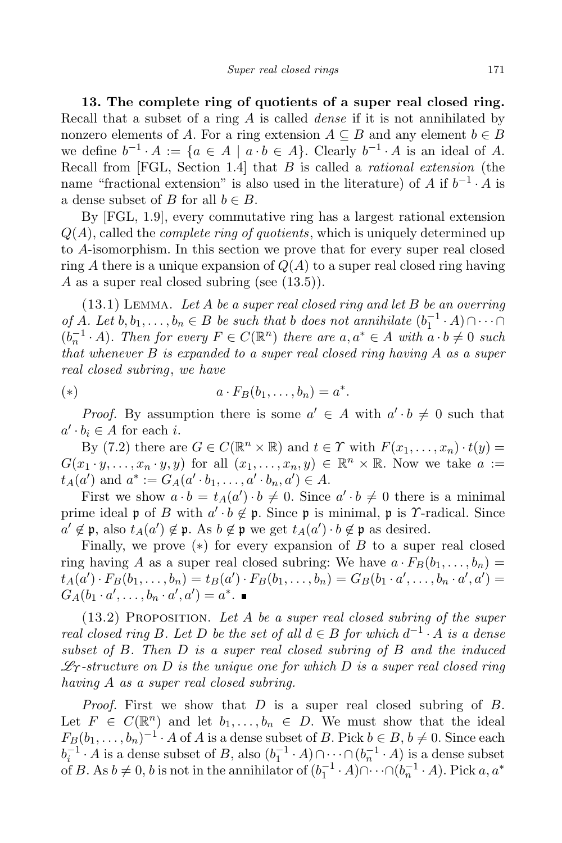13. The complete ring of quotients of a super real closed ring. Recall that a subset of a ring  $A$  is called *dense* if it is not annihilated by nonzero elements of A. For a ring extension  $A \subseteq B$  and any element  $b \in B$ we define  $b^{-1} \cdot A := \{a \in A \mid a \cdot b \in A\}$ . Clearly  $b^{-1} \cdot A$  is an ideal of A. Recall from  $[FGL, Section 1.4]$  that  $B$  is called a *rational extension* (the name "fractional extension" is also used in the literature) of A if  $b^{-1} \cdot A$  is a dense subset of B for all  $b \in B$ .

By [FGL, 1.9], every commutative ring has a largest rational extension  $Q(A)$ , called the *complete ring of quotients*, which is uniquely determined up to A-isomorphism. In this section we prove that for every super real closed ring A there is a unique expansion of  $Q(A)$  to a super real closed ring having A as a super real closed subring (see  $(13.5)$ ).

 $(13.1)$  LEMMA. Let A be a super real closed ring and let B be an overring of A. Let  $b, b_1, \ldots, b_n \in B$  be such that b does not annihilate  $(b_1^{-1} \cdot A) \cap \cdots \cap$  $(b_n^{-1} \cdot A)$ . Then for every  $F \in C(\mathbb{R}^n)$  there are  $a, a^* \in A$  with  $a \cdot b \neq 0$  such that whenever  $B$  is expanded to a super real closed ring having  $A$  as a super real closed subring, we have

$$
(*)\qquad a \cdot F_B(b_1,\ldots,b_n)=a^*.
$$

*Proof.* By assumption there is some  $a' \in A$  with  $a' \cdot b \neq 0$  such that  $a' \cdot b_i \in A$  for each *i*.

By (7.2) there are  $G \in C(\mathbb{R}^n \times \mathbb{R})$  and  $t \in \Upsilon$  with  $F(x_1, \ldots, x_n) \cdot t(y) =$  $G(x_1, y, \ldots, x_n, y, y)$  for all  $(x_1, \ldots, x_n, y) \in \mathbb{R}^n \times \mathbb{R}$ . Now we take  $a :=$  $t_A(a')$  and  $a^* := G_A(a' \cdot b_1, \ldots, a' \cdot b_n, a') \in A$ .

First we show  $a \cdot b = t_A(a') \cdot b \neq 0$ . Since  $a' \cdot b \neq 0$  there is a minimal prime ideal  $\mathfrak p$  of B with  $a' \cdot b \notin \mathfrak p$ . Since  $\mathfrak p$  is minimal,  $\mathfrak p$  is Y-radical. Since  $a' \notin \mathfrak{p}$ , also  $t_A(a') \notin \mathfrak{p}$ . As  $b \notin \mathfrak{p}$  we get  $t_A(a') \cdot b \notin \mathfrak{p}$  as desired.

Finally, we prove  $(*)$  for every expansion of B to a super real closed ring having A as a super real closed subring: We have  $a \cdot F_B(b_1, \ldots, b_n) =$  $t_A(a') \cdot F_B(b_1, \ldots, b_n) = t_B(a') \cdot F_B(b_1, \ldots, b_n) = G_B(b_1 \cdot a', \ldots, b_n \cdot a', a') =$  $G_A(b_1 \cdot a', \ldots, b_n \cdot a', a') = a^*.$ 

 $(13.2)$  PROPOSITION. Let A be a super real closed subring of the super real closed ring B. Let D be the set of all  $d \in B$  for which  $d^{-1} \cdot A$  is a dense subset of  $B$ . Then  $D$  is a super real closed subring of  $B$  and the induced  $\mathscr{L}_{\mathcal{T}}$ -structure on D is the unique one for which D is a super real closed ring having A as a super real closed subring.

*Proof.* First we show that  $D$  is a super real closed subring of  $B$ . Let  $F \in C(\mathbb{R}^n)$  and let  $b_1, \ldots, b_n \in D$ . We must show that the ideal  $F_B(b_1, \ldots, b_n)^{-1} \cdot A$  of A is a dense subset of B. Pick  $b \in B, b \neq 0$ . Since each  $b_i^{-1} \cdot A$  is a dense subset of B, also  $(b_1^{-1} \cdot A) \cap \cdots \cap (b_n^{-1} \cdot A)$  is a dense subset of B. As  $b \neq 0$ , b is not in the annihilator of  $(b_1^{-1} \cdot A) \cap \cdots \cap (b_n^{-1} \cdot A)$ . Pick  $a, a^*$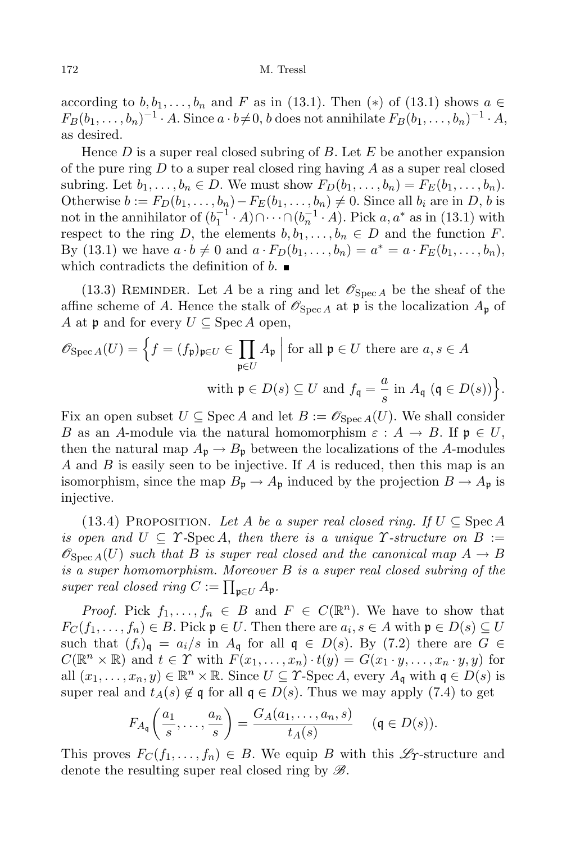according to  $b, b_1, \ldots, b_n$  and F as in (13.1). Then (\*) of (13.1) shows  $a \in$  $F_B(b_1, \ldots, b_n)^{-1} \cdot A$ . Since  $a \cdot b \neq 0$ , b does not annihilate  $F_B(b_1, \ldots, b_n)^{-1} \cdot A$ , as desired.

Hence  $D$  is a super real closed subring of  $B$ . Let  $E$  be another expansion of the pure ring  $D$  to a super real closed ring having  $A$  as a super real closed subring. Let  $b_1, \ldots, b_n \in D$ . We must show  $F_D(b_1, \ldots, b_n) = F_E(b_1, \ldots, b_n)$ . Otherwise  $b := F_D(b_1, \ldots, b_n) - F_E(b_1, \ldots, b_n) \neq 0$ . Since all  $b_i$  are in D, b is not in the annihilator of  $(b_1^{-1} \cdot A) \cap \cdots \cap (b_n^{-1} \cdot A)$ . Pick  $a, a^*$  as in (13.1) with respect to the ring D, the elements  $b, b_1, \ldots, b_n \in D$  and the function F. By (13.1) we have  $a \cdot b \neq 0$  and  $a \cdot F_D(b_1, ..., b_n) = a^* = a \cdot F_E(b_1, ..., b_n)$ , which contradicts the definition of  $b$ .

(13.3) REMINDER. Let A be a ring and let  $\mathscr{O}_{Spec\ A}$  be the sheaf of the affine scheme of A. Hence the stalk of  $\mathscr{O}_{\text{Spec }A}$  at p is the localization  $A_{\mathfrak{p}}$  of A at p and for every  $U \subseteq \operatorname{Spec} A$  open,

$$
\mathscr{O}_{\text{Spec}\,A}(U) = \Big\{ f = (f_{\mathfrak{p}})_{\mathfrak{p} \in U} \in \prod_{\mathfrak{p} \in U} A_{\mathfrak{p}} \Big| \text{ for all } \mathfrak{p} \in U \text{ there are } a, s \in A
$$
  
with  $\mathfrak{p} \in D(s) \subseteq U$  and  $f_{\mathfrak{q}} = \frac{a}{s}$  in  $A_{\mathfrak{q}} (\mathfrak{q} \in D(s)) \Big\}.$ 

Fix an open subset  $U \subseteq \text{Spec } A$  and let  $B := \mathscr{O}_{\text{Spec } A}(U)$ . We shall consider B as an A-module via the natural homomorphism  $\varepsilon : A \to B$ . If  $\mathfrak{p} \in U$ , then the natural map  $A_{\mathfrak{p}} \to B_{\mathfrak{p}}$  between the localizations of the A-modules A and B is easily seen to be injective. If A is reduced, then this map is an isomorphism, since the map  $B_p \to A_p$  induced by the projection  $B \to A_p$  is injective.

(13.4) PROPOSITION. Let A be a super real closed ring. If  $U \subseteq \operatorname{Spec} A$ is open and  $U \subseteq \Upsilon$ -Spec A, then there is a unique  $\Upsilon$ -structure on  $B :=$  $\mathscr{O}_{\text{Spec } A}(U)$  such that B is super real closed and the canonical map  $A \to B$ is a super homomorphism. Moreover B is a super real closed subring of the super real closed ring  $C := \prod_{\mathfrak{p} \in U} A_{\mathfrak{p}}$ .

*Proof.* Pick  $f_1, \ldots, f_n \in B$  and  $F \in C(\mathbb{R}^n)$ . We have to show that  $F_C(f_1,\ldots,f_n)\in B.$  Pick  $\mathfrak{p}\in U.$  Then there are  $a_i, s\in A$  with  $\mathfrak{p}\in D(s)\subseteq U$ such that  $(f_i)_{\mathfrak{q}} = a_i/s$  in  $A_{\mathfrak{q}}$  for all  $\mathfrak{q} \in D(s)$ . By (7.2) there are  $G \in$  $C(\mathbb{R}^n \times \mathbb{R})$  and  $t \in \Upsilon$  with  $F(x_1, \ldots, x_n) \cdot t(y) = G(x_1 \cdot y, \ldots, x_n \cdot y, y)$  for all  $(x_1, \ldots, x_n, y) \in \mathbb{R}^n \times \mathbb{R}$ . Since  $U \subseteq \Upsilon$ -Spec A, every  $A_{\mathfrak{q}}$  with  $\mathfrak{q} \in D(s)$  is super real and  $t_A(s) \notin \mathfrak{q}$  for all  $\mathfrak{q} \in D(s)$ . Thus we may apply (7.4) to get

$$
F_{A_{\mathfrak{q}}}\left(\frac{a_1}{s},\ldots,\frac{a_n}{s}\right)=\frac{G_A(a_1,\ldots,a_n,s)}{t_A(s)}\quad(\mathfrak{q}\in D(s)).
$$

This proves  $F_C(f_1, \ldots, f_n) \in B$ . We equip B with this  $\mathscr{L}_T$ -structure and denote the resulting super real closed ring by  $\mathscr{B}$ .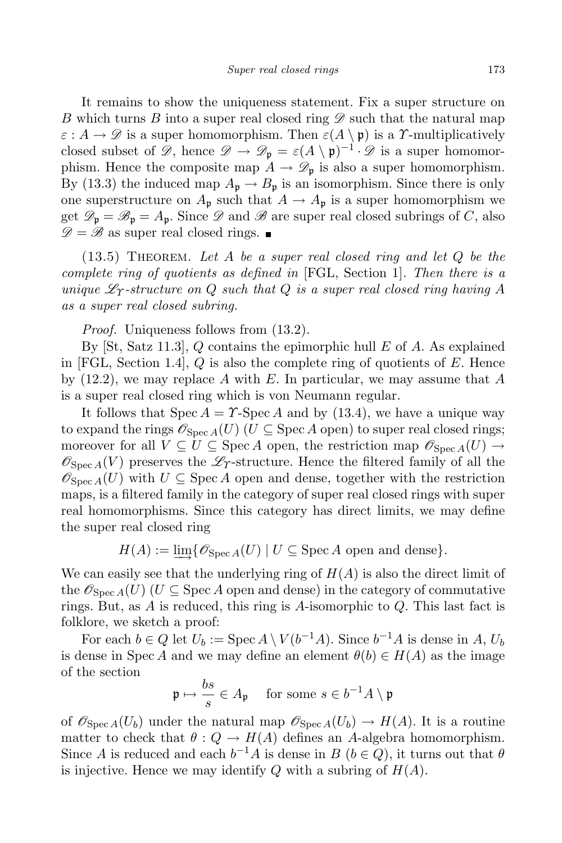It remains to show the uniqueness statement. Fix a super structure on B which turns B into a super real closed ring  $\mathscr{D}$  such that the natural map  $\varepsilon : A \to \mathscr{D}$  is a super homomorphism. Then  $\varepsilon(A \setminus \mathfrak{p})$  is a T-multiplicatively closed subset of  $\mathscr{D}$ , hence  $\mathscr{D} \to \mathscr{D}_{\mathfrak{p}} = \varepsilon (A \setminus \mathfrak{p})^{-1} \cdot \mathscr{D}$  is a super homomorphism. Hence the composite map  $A \to \mathscr{D}_{p}$  is also a super homomorphism. By (13.3) the induced map  $A_{\mathfrak{p}} \to B_{\mathfrak{p}}$  is an isomorphism. Since there is only one superstructure on  $A_{\mathfrak{p}}$  such that  $A \to A_{\mathfrak{p}}$  is a super homomorphism we get  $\mathscr{D}_{\mathfrak{p}} = \mathscr{B}_{\mathfrak{p}} = A_{\mathfrak{p}}$ . Since  $\mathscr{D}$  and  $\mathscr{B}$  are super real closed subrings of C, also  $\mathscr{D} = \mathscr{B}$  as super real closed rings.

 $(13.5)$  THEOREM. Let A be a super real closed ring and let Q be the complete ring of quotients as defined in [FGL, Section 1]. Then there is a unique  $\mathscr{L}_{\mathcal{T}}$ -structure on Q such that Q is a super real closed ring having A as a super real closed subring.

*Proof.* Uniqueness follows from  $(13.2)$ .

By  $[St, Satz 11.3], Q$  contains the epimorphic hull E of A. As explained in [FGL, Section 1.4],  $Q$  is also the complete ring of quotients of  $E$ . Hence by  $(12.2)$ , we may replace A with E. In particular, we may assume that A is a super real closed ring which is von Neumann regular.

It follows that  $Spec A = \Upsilon$ -Spec A and by (13.4), we have a unique way to expand the rings  $\mathscr{O}_{\text{Spec } A}(U)$  (U  $\subseteq$  Spec A open) to super real closed rings; moreover for all  $V \subseteq U \subseteq \text{Spec } A$  open, the restriction map  $\mathscr{O}_{\text{Spec } A}(U) \to$  $\mathscr{O}_{\text{Spec }A}(V)$  preserves the  $\mathscr{L}_{\mathcal{V}}$ -structure. Hence the filtered family of all the  $\mathscr{O}_{\text{Spec }A}(U)$  with  $U \subseteq \text{Spec }A$  open and dense, together with the restriction maps, is a filtered family in the category of super real closed rings with super real homomorphisms. Since this category has direct limits, we may define the super real closed ring

$$
H(A) := \varinjlim \{ \mathscr{O}_{\operatorname{Spec} A}(U) \mid U \subseteq \operatorname{Spec} A \text{ open and dense} \}.
$$

We can easily see that the underlying ring of  $H(A)$  is also the direct limit of the  $\mathscr{O}_{\text{Spec } A}(U)$  (U  $\subseteq$  Spec A open and dense) in the category of commutative rings. But, as  $A$  is reduced, this ring is  $A$ -isomorphic to  $Q$ . This last fact is folklore, we sketch a proof:

For each  $b \in Q$  let  $U_b := \operatorname{Spec} A \setminus V(b^{-1}A)$ . Since  $b^{-1}A$  is dense in  $A, U_b$ is dense in Spec A and we may define an element  $\theta(b) \in H(A)$  as the image of the section

$$
\mathfrak{p} \mapsto \frac{bs}{s} \in A_{\mathfrak{p}} \quad \text{ for some } s \in b^{-1}A \setminus \mathfrak{p}
$$

of  $\mathscr{O}_{\text{Spec }A}(U_b)$  under the natural map  $\mathscr{O}_{\text{Spec }A}(U_b) \to H(A)$ . It is a routine matter to check that  $\theta: Q \to H(A)$  defines an A-algebra homomorphism. Since A is reduced and each  $b^{-1}A$  is dense in  $B$   $(b \in Q)$ , it turns out that  $\theta$ is injective. Hence we may identify Q with a subring of  $H(A)$ .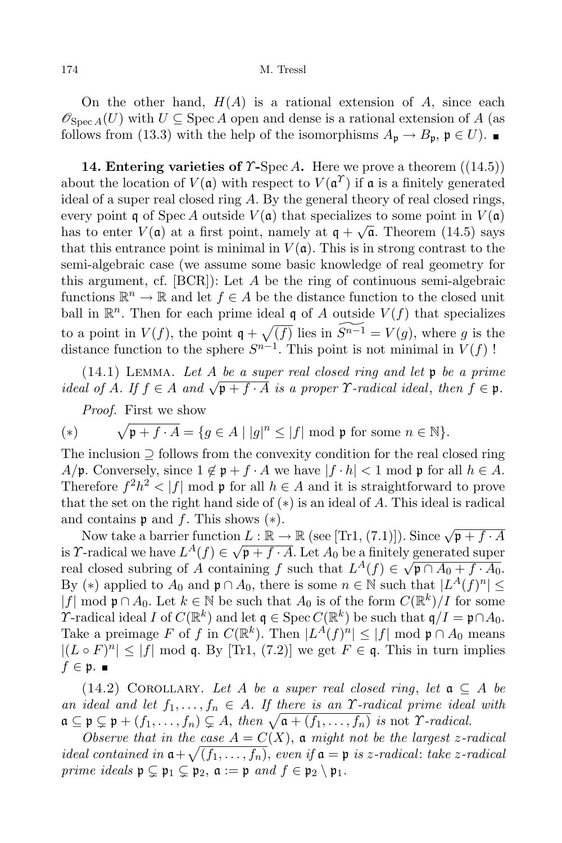#### 174 M. Tressl

On the other hand,  $H(A)$  is a rational extension of A, since each  $\mathscr{O}_{\text{Spec }A}(U)$  with  $U \subseteq \text{Spec }A$  open and dense is a rational extension of A (as follows from (13.3) with the help of the isomorphisms  $A_{\mathfrak{p}} \to B_{\mathfrak{p}}, \mathfrak{p} \in U$ .

14. Entering varieties of  $\Upsilon$ -Spec A. Here we prove a theorem  $((14.5))$ about the location of  $V(\mathfrak{a})$  with respect to  $V(\mathfrak{a}^{\gamma})$  if  $\mathfrak{a}$  is a finitely generated ideal of a super real closed ring A. By the general theory of real closed rings, every point q of Spec A outside  $V(\mathfrak{a})$  that specializes to some point in  $V(\mathfrak{a})$ has to enter  $V(\mathfrak{a})$  at a first point, namely at  $\mathfrak{q} + \sqrt{\mathfrak{a}}$ . Theorem (14.5) says that this entrance point is minimal in  $V(\mathfrak{a})$ . This is in strong contrast to the semi-algebraic case (we assume some basic knowledge of real geometry for this argument, cf. [BCR]): Let A be the ring of continuous semi-algebraic functions  $\mathbb{R}^n \to \mathbb{R}$  and let  $f \in A$  be the distance function to the closed unit ball in  $\mathbb{R}^n$ . Then for each prime ideal q of A outside  $V(f)$  that specializes to a point in  $V(f)$ , the point  $\mathfrak{q} + \sqrt{(f)}$  lies in  $S^{n-1} = V(g)$ , where g is the distance function to the sphere  $S^{n-1}$ . This point is not minimal in  $V(f)$ !

 $(14.1)$  LEMMA. Let A be a super real closed ring and let  $\mathfrak p$  be a prime ideal of A. If  $f \in A$  and  $\sqrt{\mathfrak{p} + f \cdot A}$  is a proper  $\Upsilon$ -radical ideal, then  $f \in \mathfrak{p}$ .

Proof. First we show

(∗)  $\sqrt{\mathfrak{p}+f\cdot A} = \{g \in A \mid |g|^n \leq |f| \bmod \mathfrak{p} \text{ for some } n \in \mathbb{N}\}.$ 

The inclusion ⊇ follows from the convexity condition for the real closed ring  $A/\mathfrak{p}$ . Conversely, since  $1 \notin \mathfrak{p} + f \cdot A$  we have  $|f \cdot h| < 1 \text{ mod } \mathfrak{p}$  for all  $h \in A$ . Therefore  $f^2h^2 < |f|$  mod  $\mathfrak p$  for all  $h \in A$  and it is straightforward to prove that the set on the right hand side of  $(*)$  is an ideal of A. This ideal is radical and contains  $\mathfrak p$  and f. This shows  $(*)$ .

Now take a barrier function  $L : \mathbb{R} \to \mathbb{R}$  (see [Tr1, (7.1)]). Since  $\sqrt{\mathfrak{p} + f \cdot A}$ is T-radical we have  $L^A(f) \in \sqrt{\mathfrak{p} + f \cdot A}$ . Let  $A_0$  be a finitely generated super real closed subring of A containing f such that  $L^A(f) \in \sqrt{\mathfrak{p} \cap A_0 + f \cdot A_0}$ . By (\*) applied to  $A_0$  and  $\mathfrak{p} \cap A_0$ , there is some  $n \in \mathbb{N}$  such that  $|L^A(f)^n| \le$ |f| mod  $\mathfrak{p} \cap A_0$ . Let  $k \in \mathbb{N}$  be such that  $A_0$  is of the form  $C(\mathbb{R}^k)/I$  for some T-radical ideal I of  $C(\mathbb{R}^k)$  and let  $\mathfrak{q} \in \text{Spec } C(\mathbb{R}^k)$  be such that  $\mathfrak{q}/I = \mathfrak{p} \cap A_0$ . Take a preimage F of f in  $C(\mathbb{R}^k)$ . Then  $|L^A(f)^n| \leq |f| \mod \mathfrak{p} \cap A_0$  means  $|(L \circ F)^n| \leq |f|$  mod q. By [Tr1, (7.2)] we get  $F \in \mathfrak{q}$ . This in turn implies  $f \in \mathfrak{p}.$ 

(14.2) COROLLARY. Let A be a super real closed ring, let  $a \subseteq A$  be an ideal and let  $f_1, \ldots, f_n \in A$ . If there is an  $\Upsilon$ -radical prime ideal with  $\mathfrak{a} \subseteq \mathfrak{p} \subsetneq \mathfrak{p} + (f_1, \ldots, f_n) \subsetneq A$ , then  $\sqrt{\mathfrak{a} + (f_1, \ldots, f_n)}$  is not  $\Upsilon$ -radical.

Observe that in the case  $A = C(X)$ , a might not be the largest z-radical ideal contained in  $\mathfrak{a}+\sqrt{(f_1,\ldots,f_n)}$ , even if  $\mathfrak{a}=\mathfrak{p}$  is z-radical: take z-radical prime ideals  $\mathfrak{p} \subsetneq \mathfrak{p}_1 \subsetneq \mathfrak{p}_2$ ,  $\mathfrak{a} := \mathfrak{p}$  and  $f \in \mathfrak{p}_2 \setminus \mathfrak{p}_1$ .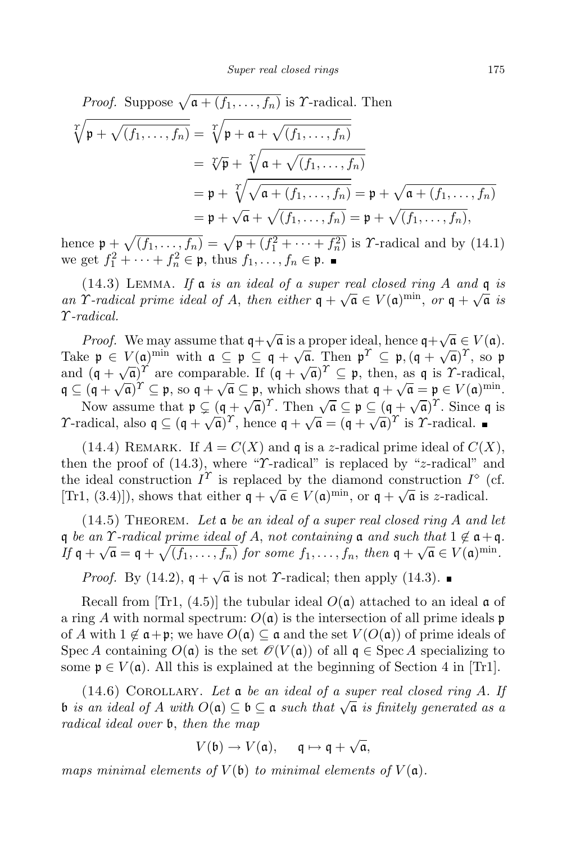*Proof.* Suppose 
$$
\sqrt{\mathfrak{a} + (f_1, \ldots, f_n)}
$$
 is  $\Upsilon$ -radical. Then  
\n
$$
\sqrt[n]{\mathfrak{p} + \sqrt{(f_1, \ldots, f_n)}} = \sqrt[n]{\mathfrak{p} + \mathfrak{a} + \sqrt{(f_1, \ldots, f_n)}}
$$
\n
$$
= \sqrt[n]{\mathfrak{p}} + \sqrt[n]{\mathfrak{a} + \sqrt{(f_1, \ldots, f_n)}}
$$
\n
$$
= \mathfrak{p} + \sqrt[n]{\sqrt{\mathfrak{a} + (f_1, \ldots, f_n)}} = \mathfrak{p} + \sqrt{\mathfrak{a} + (f_1, \ldots, f_n)}
$$
\n
$$
= \mathfrak{p} + \sqrt{\mathfrak{a} + \sqrt{(f_1, \ldots, f_n)}} = \mathfrak{p} + \sqrt{(f_1, \ldots, f_n)},
$$
\n
$$
\sqrt{\mathfrak{a} + \mathfrak{a} + \sqrt{(f_1, \ldots, f_n)}} = \mathfrak{p} + \sqrt{(f_1, \ldots, f_n)},
$$
\n
$$
\sqrt{\mathfrak{a} + \mathfrak{a} + \sqrt{(f_1, \ldots, f_n)}} = \mathfrak{p} + \sqrt{(f_1, \ldots, f_n)}.
$$

hence  $\mathfrak{p} + \sqrt{(f_1, \ldots, f_n)} = \sqrt{\mathfrak{p} + (f_1^2 + \cdots + f_n^2)}$  is  $\Upsilon$ -radical and by (14.1) we get  $f_1^2 + \cdots + f_n^2 \in \mathfrak{p}$ , thus  $f_1, \ldots, f_n \in \mathfrak{p}$ .

(14.3) LEMMA. If  $a$  is an ideal of a super real closed ring A and  $q$  is an  $\Gamma$ -radical prime ideal of A, then either  $\mathfrak{q} + \sqrt{\mathfrak{a}} \in V(\mathfrak{a})^{\text{min}}$ , or  $\mathfrak{q} + \sqrt{\mathfrak{a}}$  is Υ-radical.

*Proof.* We may assume that  $q + \sqrt{a}$  is a proper ideal, hence  $q + \sqrt{a} \in V(a)$ . Take  $\mathfrak{p} \in V(\mathfrak{a})^{\min}$  with  $\mathfrak{a} \subseteq \mathfrak{p} \subseteq \mathfrak{q} + \sqrt{\mathfrak{a}}$ . Then  $\mathfrak{p}^T \subseteq \mathfrak{p}, (\mathfrak{q} + \sqrt{\mathfrak{a}})^T$ , so  $\mathfrak{p}$ and  $(\mathfrak{q} + \sqrt{\mathfrak{q}})$  are comparable. If  $(\mathfrak{q} + \sqrt{\mathfrak{q}})^T \subseteq \mathfrak{p}$ , then, as  $\mathfrak{q}$  is Y-radical,  $\mathfrak{q} \subseteq (\mathfrak{q} + \sqrt{\mathfrak{a}})^{\Upsilon} \subseteq \mathfrak{p}$ , so  $\mathfrak{q} + \sqrt{\mathfrak{a}} \subseteq \mathfrak{p}$ , which shows that  $\mathfrak{q} + \sqrt{\mathfrak{a}} = \mathfrak{p} \in V(\mathfrak{a})^{\text{min}}$ .

Now assume that  $p \subsetneq (q + \sqrt{a})^T$ . Then  $\sqrt{a} \subseteq p \subseteq (q + \sqrt{a})^T$ . Since q is T-radical, also  $\mathfrak{q} \subseteq (\mathfrak{q} + \sqrt{\mathfrak{a}})^T$ , hence  $\mathfrak{q} + \sqrt{\mathfrak{a}} = (\mathfrak{q} + \sqrt{\mathfrak{a}})^T$  is T-radical.

(14.4) REMARK. If  $A = C(X)$  and q is a z-radical prime ideal of  $C(X)$ , then the proof of  $(14.3)$ , where "*T*-radical" is replaced by "*z*-radical" and the ideal construction  $I^{\Upsilon}$  is replaced by the diamond construction  $I^{\diamond}$  (cf. [Tr1, (3.4)]), shows that either  $\mathfrak{q} + \sqrt{\mathfrak{a}} \in V(\mathfrak{a})^{\text{min}}$ , or  $\mathfrak{q} + \sqrt{\mathfrak{a}}$  is z-radical.

 $(14.5)$  THEOREM. Let a be an ideal of a super real closed ring A and let q be an  $\Upsilon$ -radical prime ideal of A, not containing  $\mathfrak a$  and such that  $1 \notin \mathfrak a + \mathfrak q$ . If  $\mathfrak{q} + \sqrt{\mathfrak{a}} = \mathfrak{q} + \sqrt{(f_1, \ldots, f_n)}$  for some  $f_1, \ldots, f_n$ , then  $\mathfrak{q} + \sqrt{\mathfrak{a}} \in V(\mathfrak{a})^{\text{min}}$ .

*Proof.* By (14.2),  $q + \sqrt{a}$  is not *Y*-radical; then apply (14.3).

Recall from [Tr1, (4.5)] the tubular ideal  $O(\mathfrak{a})$  attached to an ideal  $\mathfrak{a}$  of a ring A with normal spectrum:  $O(\mathfrak{a})$  is the intersection of all prime ideals  $\mathfrak{p}$ of A with  $1 \notin \mathfrak{a}+\mathfrak{p}$ ; we have  $O(\mathfrak{a}) \subseteq \mathfrak{a}$  and the set  $V(O(\mathfrak{a}))$  of prime ideals of Spec A containing  $O(\mathfrak{a})$  is the set  $\mathscr{O}(V(\mathfrak{a}))$  of all  $\mathfrak{q} \in \mathrm{Spec}\, A$  specializing to some  $\mathfrak{p} \in V(\mathfrak{a})$ . All this is explained at the beginning of Section 4 in [Tr1].

 $(14.6)$  COROLLARY. Let a be an ideal of a super real closed ring A. If b is an ideal of A with  $O(\mathfrak{a}) \subseteq \mathfrak{b} \subseteq \mathfrak{a}$  such that  $\sqrt{\mathfrak{a}}$  is finitely generated as a radical ideal over b, then the map

$$
V(\mathfrak{b})\to V(\mathfrak{a}), \quad \ \mathfrak{q}\mapsto \mathfrak{q}+\sqrt{\mathfrak{a}},
$$

maps minimal elements of  $V(\mathfrak{b})$  to minimal elements of  $V(\mathfrak{a})$ .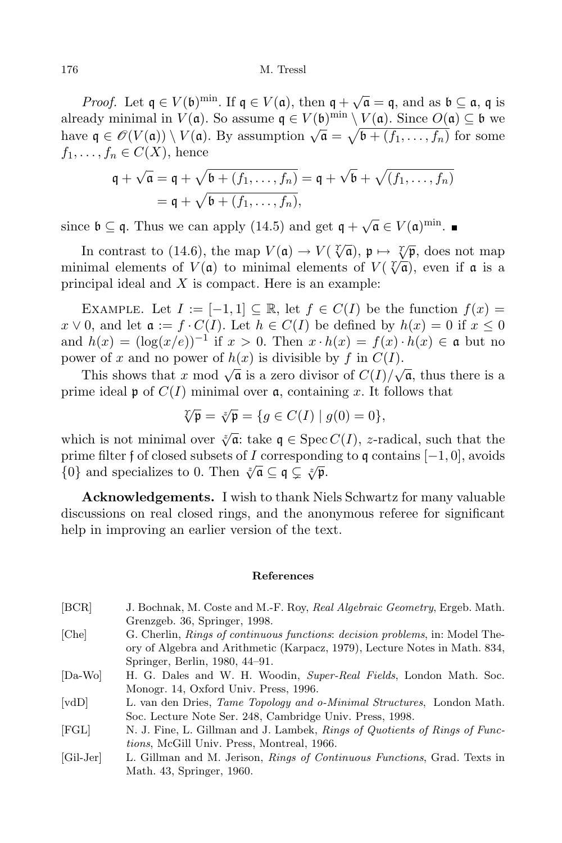*Proof.* Let  $q \in V(\mathfrak{b})^{\min}$ . If  $q \in V(\mathfrak{a})$ , then  $q + \sqrt{\mathfrak{a}} = \mathfrak{q}$ , and as  $\mathfrak{b} \subseteq \mathfrak{a}$ ,  $q$  is already minimal in  $V(\mathfrak{a})$ . So assume  $\mathfrak{q} \in V(\mathfrak{b})^{\min} \setminus V(\mathfrak{a})$ . Since  $O(\mathfrak{a}) \subseteq \mathfrak{b}$  we have  $\mathfrak{q} \in \mathscr{O}(V(\mathfrak{a})) \setminus V(\mathfrak{a})$ . By assumption  $\sqrt{\mathfrak{a}} = \sqrt{\mathfrak{b} + (f_1, \ldots, f_n)}$  for some  $f_1, \ldots, f_n \in C(X)$ , hence

$$
\mathfrak{q} + \sqrt{\mathfrak{a}} = \mathfrak{q} + \sqrt{\mathfrak{b} + (f_1, \dots, f_n)} = \mathfrak{q} + \sqrt{\mathfrak{b}} + \sqrt{(f_1, \dots, f_n)}
$$

$$
= \mathfrak{q} + \sqrt{\mathfrak{b} + (f_1, \dots, f_n)},
$$

since  $\mathfrak{b} \subseteq \mathfrak{q}$ . Thus we can apply (14.5) and get  $\mathfrak{q} + \sqrt{\mathfrak{a}} \in V(\mathfrak{a})^{\text{min}}$ .

In contrast to (14.6), the map  $V(\mathfrak{a}) \to V(\sqrt[n]{\mathfrak{a}})$ ,  $\mathfrak{p} \mapsto \sqrt[n]{\mathfrak{p}}$ , does not map minimal elements of  $V(\mathfrak{a})$  to minimal elements of  $V(\sqrt[n]{\mathfrak{a}})$ , even if  $\mathfrak{a}$  is a principal ideal and  $X$  is compact. Here is an example:

EXAMPLE. Let  $I := [-1, 1] \subseteq \mathbb{R}$ , let  $f \in C(I)$  be the function  $f(x) =$  $x \vee 0$ , and let  $\mathfrak{a} := f \cdot C(I)$ . Let  $h \in C(I)$  be defined by  $h(x) = 0$  if  $x \leq 0$ and  $h(x) = (\log(x/e))^{-1}$  if  $x > 0$ . Then  $x \cdot h(x) = f(x) \cdot h(x) \in \mathfrak{a}$  but no power of x and no power of  $h(x)$  is divisible by f in  $C(I)$ .

This shows that x mod  $\sqrt{\mathfrak{a}}$  is a zero divisor of  $C(I)/\sqrt{\mathfrak{a}}$ , thus there is a prime ideal  $\mathfrak{p}$  of  $C(I)$  minimal over  $\mathfrak{a}$ , containing x. It follows that

$$
\sqrt[\gamma]{\mathfrak{p}} = \sqrt[\gamma]{\mathfrak{p}} = \{ g \in C(I) \mid g(0) = 0 \},
$$

which is not minimal over  $\sqrt[x]{\mathfrak{a}}$ : take  $\mathfrak{q} \in \operatorname{Spec} C(I)$ , z-radical, such that the prime filter f of closed subsets of I corresponding to q contains  $[-1, 0]$ , avoids {0} and specializes to 0. Then  $\sqrt[\infty]{\mathfrak{a}} \subseteq \mathfrak{q} \subsetneq \sqrt[\infty]{\mathfrak{p}}$ .

Acknowledgements. I wish to thank Niels Schwartz for many valuable discussions on real closed rings, and the anonymous referee for significant help in improving an earlier version of the text.

#### References

- [BCR] J. Bochnak, M. Coste and M.-F. Roy, Real Algebraic Geometry, Ergeb. Math. Grenzgeb. 36, Springer, 1998. [Che] G. Cherlin, Rings of continuous functions: decision problems, in: Model Theory of Algebra and Arithmetic (Karpacz, 1979), Lecture Notes in Math. 834, Springer, Berlin, 1980, 44–91. [Da-Wo] H. G. Dales and W. H. Woodin, Super-Real Fields, London Math. Soc. Monogr. 14, Oxford Univ. Press, 1996. [vdD] L. van den Dries, Tame Topology and o-Minimal Structures, London Math. Soc. Lecture Note Ser. 248, Cambridge Univ. Press, 1998. [FGL] N. J. Fine, L. Gillman and J. Lambek, Rings of Quotients of Rings of Functions, McGill Univ. Press, Montreal, 1966.
- [Gil-Jer] L. Gillman and M. Jerison, Rings of Continuous Functions, Grad. Texts in Math. 43, Springer, 1960.